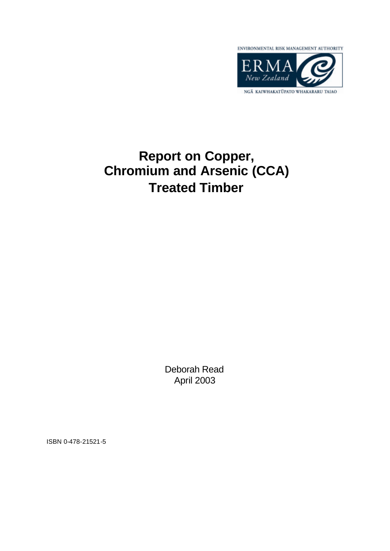

# **Report on Copper, Chromium and Arsenic (CCA) Treated Timber**

Deborah Read April 2003

ISBN 0-478-21521-5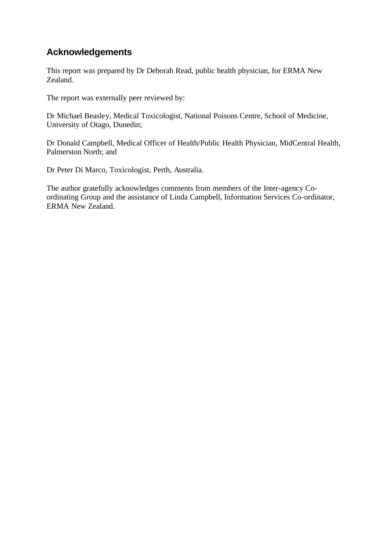# **Acknowledgements**

This report was prepared by Dr Deborah Read, public health physician, for ERMA New Zealand.

The report was externally peer reviewed by:

Dr Michael Beasley, Medical Toxicologist, National Poisons Centre, School of Medicine, University of Otago, Dunedin;

Dr Donald Campbell, Medical Officer of Health/Public Health Physician, MidCentral Health, Palmerston North; and

Dr Peter Di Marco, Toxicologist, Perth, Australia.

The author gratefully acknowledges comments from members of the Inter-agency Coordinating Group and the assistance of Linda Campbell, Information Services Co-ordinator, ERMA New Zealand.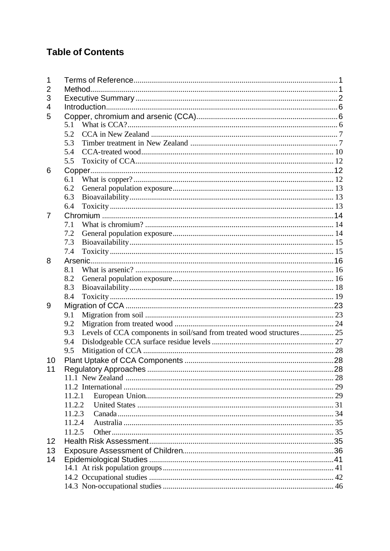# **Table of Contents**

| 1  |        |                                                                       |  |  |  |
|----|--------|-----------------------------------------------------------------------|--|--|--|
| 2  |        |                                                                       |  |  |  |
| 3  |        |                                                                       |  |  |  |
| 4  |        |                                                                       |  |  |  |
| 5  |        |                                                                       |  |  |  |
|    | 5.1    |                                                                       |  |  |  |
|    | 5.2    |                                                                       |  |  |  |
|    | 5.3    |                                                                       |  |  |  |
|    | 5.4    |                                                                       |  |  |  |
|    | 5.5    |                                                                       |  |  |  |
| 6  |        |                                                                       |  |  |  |
|    | 6.1    |                                                                       |  |  |  |
|    | 6.2    |                                                                       |  |  |  |
|    | 6.3    |                                                                       |  |  |  |
|    | 6.4    |                                                                       |  |  |  |
| 7  |        |                                                                       |  |  |  |
|    | 7.1    |                                                                       |  |  |  |
|    | 7.2    |                                                                       |  |  |  |
|    | 7.3    |                                                                       |  |  |  |
|    | 7.4    |                                                                       |  |  |  |
| 8  |        |                                                                       |  |  |  |
|    | 8.1    |                                                                       |  |  |  |
|    | 8.2    |                                                                       |  |  |  |
|    | 8.3    |                                                                       |  |  |  |
|    | 8.4    |                                                                       |  |  |  |
| 9  |        |                                                                       |  |  |  |
|    | 9.1    |                                                                       |  |  |  |
|    | 9.2    |                                                                       |  |  |  |
|    | 9.3    | Levels of CCA components in soil/sand from treated wood structures 25 |  |  |  |
|    | 9.4    |                                                                       |  |  |  |
|    | 9.5    |                                                                       |  |  |  |
| 10 |        |                                                                       |  |  |  |
| 11 |        |                                                                       |  |  |  |
|    |        |                                                                       |  |  |  |
|    |        |                                                                       |  |  |  |
|    | 11.2.1 |                                                                       |  |  |  |
|    | 11.2.2 |                                                                       |  |  |  |
|    | 11.2.3 |                                                                       |  |  |  |
|    | 11.2.4 |                                                                       |  |  |  |
|    | 11.2.5 |                                                                       |  |  |  |
| 12 |        |                                                                       |  |  |  |
| 13 |        |                                                                       |  |  |  |
| 14 |        |                                                                       |  |  |  |
|    |        |                                                                       |  |  |  |
|    |        |                                                                       |  |  |  |
|    |        |                                                                       |  |  |  |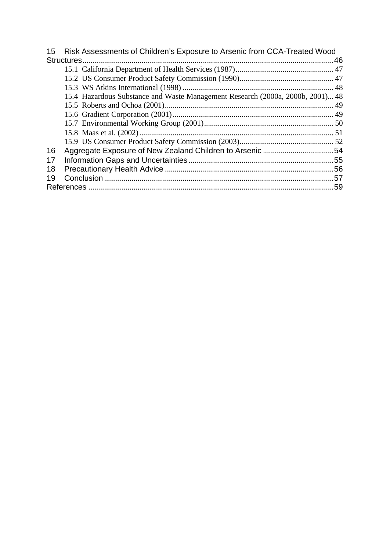| 15 | Risk Assessments of Children's Exposure to Arsenic from CCA-Treated Wood       |  |
|----|--------------------------------------------------------------------------------|--|
|    |                                                                                |  |
|    |                                                                                |  |
|    |                                                                                |  |
|    |                                                                                |  |
|    | 15.4 Hazardous Substance and Waste Management Research (2000a, 2000b, 2001) 48 |  |
|    |                                                                                |  |
|    |                                                                                |  |
|    |                                                                                |  |
|    |                                                                                |  |
|    |                                                                                |  |
| 16 |                                                                                |  |
| 17 |                                                                                |  |
| 18 |                                                                                |  |
| 19 |                                                                                |  |
|    |                                                                                |  |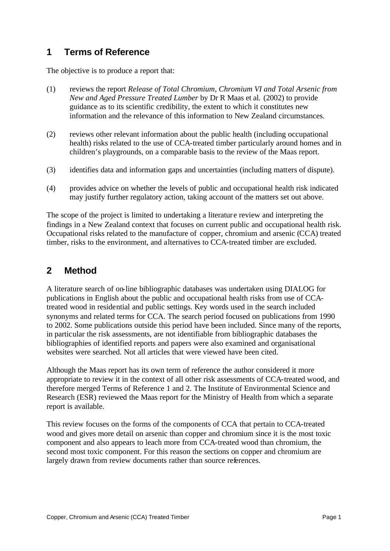# **1 Terms of Reference**

The objective is to produce a report that:

- (1) reviews the report *Release of Total Chromium, Chromium VI and Total Arsenic from New and Aged Pressure Treated Lumber* by Dr R Maas et al. (2002) to provide guidance as to its scientific credibility, the extent to which it constitutes new information and the relevance of this information to New Zealand circumstances.
- (2) reviews other relevant information about the public health (including occupational health) risks related to the use of CCA-treated timber particularly around homes and in children's playgrounds, on a comparable basis to the review of the Maas report.
- (3) identifies data and information gaps and uncertainties (including matters of dispute).
- (4) provides advice on whether the levels of public and occupational health risk indicated may justify further regulatory action, taking account of the matters set out above.

The scope of the project is limited to undertaking a literature review and interpreting the findings in a New Zealand context that focuses on current public and occupational health risk. Occupational risks related to the manufacture of copper, chromium and arsenic (CCA) treated timber, risks to the environment, and alternatives to CCA-treated timber are excluded.

## **2 Method**

A literature search of on-line bibliographic databases was undertaken using DIALOG for publications in English about the public and occupational health risks from use of CCAtreated wood in residential and public settings. Key words used in the search included synonyms and related terms for CCA. The search period focused on publications from 1990 to 2002. Some publications outside this period have been included. Since many of the reports, in particular the risk assessments, are not identifiable from bibliographic databases the bibliographies of identified reports and papers were also examined and organisational websites were searched. Not all articles that were viewed have been cited.

Although the Maas report has its own term of reference the author considered it more appropriate to review it in the context of all other risk assessments of CCA-treated wood, and therefore merged Terms of Reference 1 and 2. The Institute of Environmental Science and Research (ESR) reviewed the Maas report for the Ministry of Health from which a separate report is available.

This review focuses on the forms of the components of CCA that pertain to CCA-treated wood and gives more detail on arsenic than copper and chromium since it is the most toxic component and also appears to leach more from CCA-treated wood than chromium, the second most toxic component. For this reason the sections on copper and chromium are largely drawn from review documents rather than source references.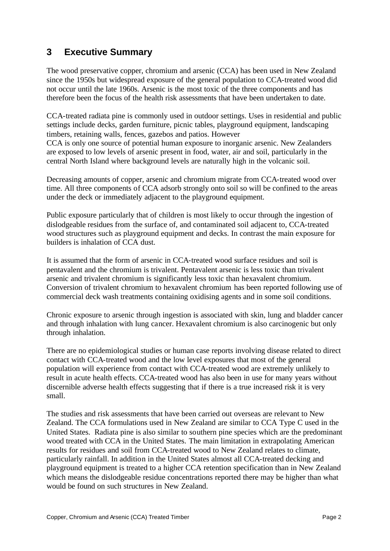# **3 Executive Summary**

The wood preservative copper, chromium and arsenic (CCA) has been used in New Zealand since the 1950s but widespread exposure of the general population to CCA-treated wood did not occur until the late 1960s. Arsenic is the most toxic of the three components and has therefore been the focus of the health risk assessments that have been undertaken to date.

CCA-treated radiata pine is commonly used in outdoor settings. Uses in residential and public settings include decks, garden furniture, picnic tables, playground equipment, landscaping timbers, retaining walls, fences, gazebos and patios. However CCA is only one source of potential human exposure to inorganic arsenic. New Zealanders are exposed to low levels of arsenic present in food, water, air and soil, particularly in the central North Island where background levels are naturally high in the volcanic soil.

Decreasing amounts of copper, arsenic and chromium migrate from CCA-treated wood over time. All three components of CCA adsorb strongly onto soil so will be confined to the areas under the deck or immediately adjacent to the playground equipment.

Public exposure particularly that of children is most likely to occur through the ingestion of dislodgeable residues from the surface of, and contaminated soil adjacent to, CCA-treated wood structures such as playground equipment and decks. In contrast the main exposure for builders is inhalation of CCA dust.

It is assumed that the form of arsenic in CCA-treated wood surface residues and soil is pentavalent and the chromium is trivalent. Pentavalent arsenic is less toxic than trivalent arsenic and trivalent chromium is significantly less toxic than hexavalent chromium. Conversion of trivalent chromium to hexavalent chromium has been reported following use of commercial deck wash treatments containing oxidising agents and in some soil conditions.

Chronic exposure to arsenic through ingestion is associated with skin, lung and bladder cancer and through inhalation with lung cancer. Hexavalent chromium is also carcinogenic but only through inhalation.

There are no epidemiological studies or human case reports involving disease related to direct contact with CCA-treated wood and the low level exposures that most of the general population will experience from contact with CCA-treated wood are extremely unlikely to result in acute health effects. CCA-treated wood has also been in use for many years without discernible adverse health effects suggesting that if there is a true increased risk it is very small.

The studies and risk assessments that have been carried out overseas are relevant to New Zealand. The CCA formulations used in New Zealand are similar to CCA Type C used in the United States. Radiata pine is also similar to southern pine species which are the predominant wood treated with CCA in the United States. The main limitation in extrapolating American results for residues and soil from CCA-treated wood to New Zealand relates to climate, particularly rainfall. In addition in the United States almost all CCA-treated decking and playground equipment is treated to a higher CCA retention specification than in New Zealand which means the dislodgeable residue concentrations reported there may be higher than what would be found on such structures in New Zealand.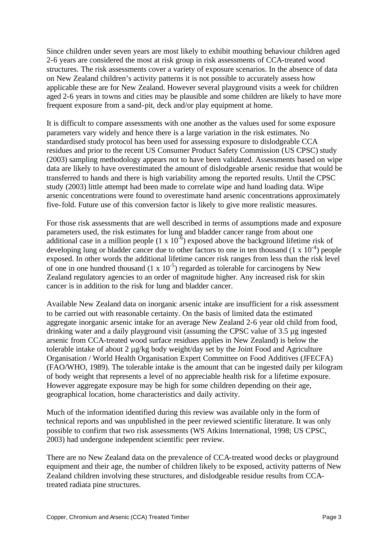Since children under seven years are most likely to exhibit mouthing behaviour children aged 2-6 years are considered the most at risk group in risk assessments of CCA-treated wood structures. The risk assessments cover a variety of exposure scenarios. In the absence of data on New Zealand children's activity patterns it is not possible to accurately assess how applicable these are for New Zealand. However several playground visits a week for children aged 2-6 years in towns and cities may be plausible and some children are likely to have more frequent exposure from a sand-pit, deck and/or play equipment at home.

It is difficult to compare assessments with one another as the values used for some exposure parameters vary widely and hence there is a large variation in the risk estimates. No standardised study protocol has been used for assessing exposure to dislodgeable CCA residues and prior to the recent US Consumer Product Safety Commission (US CPSC) study (2003) sampling methodology appears not to have been validated. Assessments based on wipe data are likely to have overestimated the amount of dislodgeable arsenic residue that would be transferred to hands and there is high variability among the reported results. Until the CPSC study (2003) little attempt had been made to correlate wipe and hand loading data. Wipe arsenic concentrations were found to overestimate hand arsenic concentrations approximately five-fold. Future use of this conversion factor is likely to give more realistic measures.

For those risk assessments that are well described in terms of assumptions made and exposure parameters used, the risk estimates for lung and bladder cancer range from about one additional case in a million people  $(1 \times 10^{-6})$  exposed above the background lifetime risk of developing lung or bladder cancer due to other factors to one in ten thousand  $(1 \times 10^{-4})$  people exposed. In other words the additional lifetime cancer risk ranges from less than the risk level of one in one hundred thousand  $(1 \times 10^{-5})$  regarded as tolerable for carcinogens by New Zealand regulatory agencies to an order of magnitude higher. Any increased risk for skin cancer is in addition to the risk for lung and bladder cancer.

Available New Zealand data on inorganic arsenic intake are insufficient for a risk assessment to be carried out with reasonable certainty. On the basis of limited data the estimated aggregate inorganic arsenic intake for an average New Zealand 2-6 year old child from food, drinking water and a daily playground visit (assuming the CPSC value of 3.5 µg ingested arsenic from CCA-treated wood surface residues applies in New Zealand) is below the tolerable intake of about 2 µg/kg body weight/day set by the Joint Food and Agriculture Organisation / World Health Organisation Expert Committee on Food Additives (JFECFA) (FAO/WHO, 1989). The tolerable intake is the amount that can be ingested daily per kilogram of body weight that represents a level of no appreciable health risk for a lifetime exposure. However aggregate exposure may be high for some children depending on their age, geographical location, home characteristics and daily activity.

Much of the information identified during this review was available only in the form of technical reports and was unpublished in the peer reviewed scientific literature. It was only possible to confirm that two risk assessments (WS Atkins International, 1998; US CPSC, 2003) had undergone independent scientific peer review.

There are no New Zealand data on the prevalence of CCA-treated wood decks or playground equipment and their age, the number of children likely to be exposed, activity patterns of New Zealand children involving these structures, and dislodgeable residue results from CCAtreated radiata pine structures.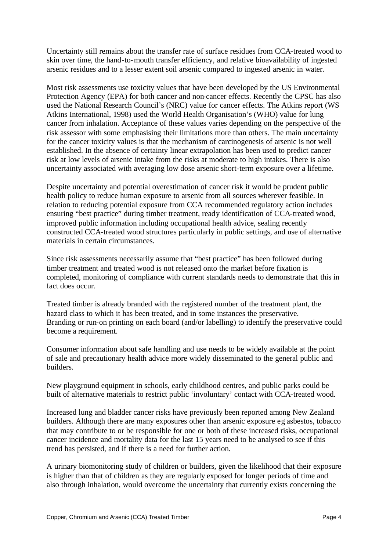Uncertainty still remains about the transfer rate of surface residues from CCA-treated wood to skin over time, the hand-to-mouth transfer efficiency, and relative bioavailability of ingested arsenic residues and to a lesser extent soil arsenic compared to ingested arsenic in water.

Most risk assessments use toxicity values that have been developed by the US Environmental Protection Agency (EPA) for both cancer and non-cancer effects. Recently the CPSC has also used the National Research Council's (NRC) value for cancer effects. The Atkins report (WS Atkins International, 1998) used the World Health Organisation's (WHO) value for lung cancer from inhalation. Acceptance of these values varies depending on the perspective of the risk assessor with some emphasising their limitations more than others. The main uncertainty for the cancer toxicity values is that the mechanism of carcinogenesis of arsenic is not well established. In the absence of certainty linear extrapolation has been used to predict cancer risk at low levels of arsenic intake from the risks at moderate to high intakes. There is also uncertainty associated with averaging low dose arsenic short-term exposure over a lifetime.

Despite uncertainty and potential overestimation of cancer risk it would be prudent public health policy to reduce human exposure to arsenic from all sources wherever feasible. In relation to reducing potential exposure from CCA recommended regulatory action includes ensuring "best practice" during timber treatment, ready identification of CCA-treated wood, improved public information including occupational health advice, sealing recently constructed CCA-treated wood structures particularly in public settings, and use of alternative materials in certain circumstances.

Since risk assessments necessarily assume that "best practice" has been followed during timber treatment and treated wood is not released onto the market before fixation is completed, monitoring of compliance with current standards needs to demonstrate that this in fact does occur.

Treated timber is already branded with the registered number of the treatment plant, the hazard class to which it has been treated, and in some instances the preservative. Branding or run-on printing on each board (and/or labelling) to identify the preservative could become a requirement.

Consumer information about safe handling and use needs to be widely available at the point of sale and precautionary health advice more widely disseminated to the general public and builders.

New playground equipment in schools, early childhood centres, and public parks could be built of alternative materials to restrict public 'involuntary' contact with CCA-treated wood.

Increased lung and bladder cancer risks have previously been reported among New Zealand builders. Although there are many exposures other than arsenic exposure eg asbestos, tobacco that may contribute to or be responsible for one or both of these increased risks, occupational cancer incidence and mortality data for the last 15 years need to be analysed to see if this trend has persisted, and if there is a need for further action.

A urinary biomonitoring study of children or builders, given the likelihood that their exposure is higher than that of children as they are regularly exposed for longer periods of time and also through inhalation, would overcome the uncertainty that currently exists concerning the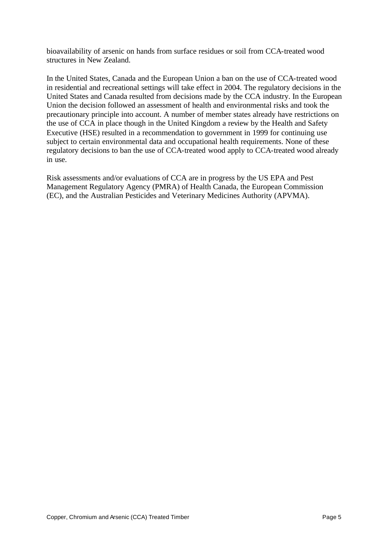bioavailability of arsenic on hands from surface residues or soil from CCA-treated wood structures in New Zealand.

In the United States, Canada and the European Union a ban on the use of CCA-treated wood in residential and recreational settings will take effect in 2004. The regulatory decisions in the United States and Canada resulted from decisions made by the CCA industry. In the European Union the decision followed an assessment of health and environmental risks and took the precautionary principle into account. A number of member states already have restrictions on the use of CCA in place though in the United Kingdom a review by the Health and Safety Executive (HSE) resulted in a recommendation to government in 1999 for continuing use subject to certain environmental data and occupational health requirements. None of these regulatory decisions to ban the use of CCA-treated wood apply to CCA-treated wood already in use.

Risk assessments and/or evaluations of CCA are in progress by the US EPA and Pest Management Regulatory Agency (PMRA) of Health Canada, the European Commission (EC), and the Australian Pesticides and Veterinary Medicines Authority (APVMA).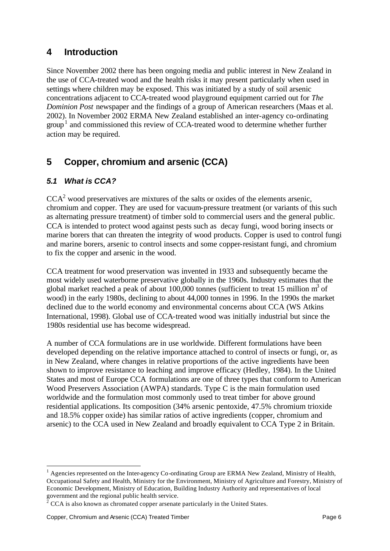## **4 Introduction**

Since November 2002 there has been ongoing media and public interest in New Zealand in the use of CCA-treated wood and the health risks it may present particularly when used in settings where children may be exposed. This was initiated by a study of soil arsenic concentrations adjacent to CCA-treated wood playground equipment carried out for *The Dominion Post* newspaper and the findings of a group of American researchers (Maas et al. 2002). In November 2002 ERMA New Zealand established an inter-agency co-ordinating  $\text{group}^1$  and commissioned this review of CCA-treated wood to determine whether further action may be required.

# **5 Copper, chromium and arsenic (CCA)**

## *5.1 What is CCA?*

 $CCA<sup>2</sup>$  wood preservatives are mixtures of the salts or oxides of the elements arsenic, chromium and copper. They are used for vacuum-pressure treatment (or variants of this such as alternating pressure treatment) of timber sold to commercial users and the general public. CCA is intended to protect wood against pests such as decay fungi, wood boring insects or marine borers that can threaten the integrity of wood products. Copper is used to control fungi and marine borers, arsenic to control insects and some copper-resistant fungi, and chromium to fix the copper and arsenic in the wood.

CCA treatment for wood preservation was invented in 1933 and subsequently became the most widely used waterborne preservative globally in the 1960s. Industry estimates that the global market reached a peak of about  $100,000$  tonnes (sufficient to treat 15 million m<sup>3</sup> of wood) in the early 1980s, declining to about 44,000 tonnes in 1996. In the 1990s the market declined due to the world economy and environmental concerns about CCA (WS Atkins International, 1998). Global use of CCA-treated wood was initially industrial but since the 1980s residential use has become widespread.

A number of CCA formulations are in use worldwide. Different formulations have been developed depending on the relative importance attached to control of insects or fungi, or, as in New Zealand, where changes in relative proportions of the active ingredients have been shown to improve resistance to leaching and improve efficacy (Hedley, 1984). In the United States and most of Europe CCA formulations are one of three types that conform to American Wood Preservers Association (AWPA) standards. Type C is the main formulation used worldwide and the formulation most commonly used to treat timber for above ground residential applications. Its composition (34% arsenic pentoxide, 47.5% chromium trioxide and 18.5% copper oxide) has similar ratios of active ingredients (copper, chromium and arsenic) to the CCA used in New Zealand and broadly equivalent to CCA Type 2 in Britain.

<sup>&</sup>lt;sup>1</sup> Agencies represented on the Inter-agency Co-ordinating Group are ERMA New Zealand, Ministry of Health, Occupational Safety and Health, Ministry for the Environment, Ministry of Agriculture and Forestry, Ministry of Economic Development, Ministry of Education, Building Industry Authority and representatives of local

government and the regional public health service.<br><sup>2</sup> CCA is also known as chromated copper arsenate particularly in the United States.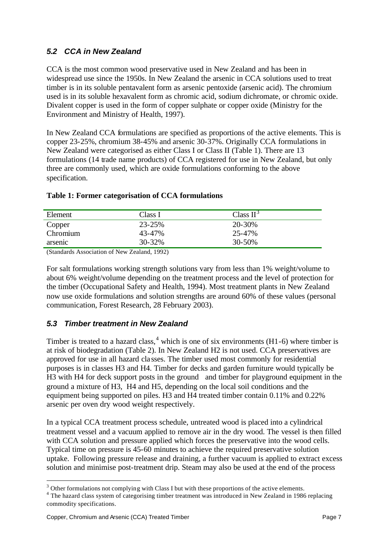## *5.2 CCA in New Zealand*

CCA is the most common wood preservative used in New Zealand and has been in widespread use since the 1950s. In New Zealand the arsenic in CCA solutions used to treat timber is in its soluble pentavalent form as arsenic pentoxide (arsenic acid). The chromium used is in its soluble hexavalent form as chromic acid, sodium dichromate, or chromic oxide. Divalent copper is used in the form of copper sulphate or copper oxide (Ministry for the Environment and Ministry of Health, 1997).

In New Zealand CCA formulations are specified as proportions of the active elements. This is copper 23-25%, chromium 38-45% and arsenic 30-37%. Originally CCA formulations in New Zealand were categorised as either Class I or Class II (Table 1). There are 13 formulations (14 trade name products) of CCA registered for use in New Zealand, but only three are commonly used, which are oxide formulations conforming to the above specification.

| Element  | Class I     | Class $II^3$ |
|----------|-------------|--------------|
| Copper   | 23-25%      | 20-30%       |
| Chromium | 43-47%      | 25-47%       |
| arsenic  | $30 - 32\%$ | $30 - 50\%$  |

#### **Table 1: Former categorisation of CCA formulations**

(Standards Association of New Zealand, 1992)

For salt formulations working strength solutions vary from less than 1% weight/volume to about 6% weight/volume depending on the treatment process and the level of protection for the timber (Occupational Safety and Health, 1994). Most treatment plants in New Zealand now use oxide formulations and solution strengths are around 60% of these values (personal communication, Forest Research, 28 February 2003).

#### *5.3 Timber treatment in New Zealand*

Timber is treated to a hazard class,  $4$  which is one of six environments (H1-6) where timber is at risk of biodegradation (Table 2). In New Zealand H2 is not used. CCA preservatives are approved for use in all hazard cla sses. The timber used most commonly for residential purposes is in classes H3 and H4. Timber for decks and garden furniture would typically be H3 with H4 for deck support posts in the ground and timber for playground equipment in the ground a mixture of H3, H4 and H5, depending on the local soil conditions and the equipment being supported on piles. H3 and H4 treated timber contain 0.11% and 0.22% arsenic per oven dry wood weight respectively.

In a typical CCA treatment process schedule, untreated wood is placed into a cylindrical treatment vessel and a vacuum applied to remove air in the dry wood. The vessel is then filled with CCA solution and pressure applied which forces the preservative into the wood cells. Typical time on pressure is 45-60 minutes to achieve the required preservative solution uptake. Following pressure release and draining, a further vacuum is applied to extract excess solution and minimise post-treatment drip. Steam may also be used at the end of the process

 $3$  Other formulations not complying with Class I but with these proportions of the active elements.

<sup>&</sup>lt;sup>4</sup> The hazard class system of categorising timber treatment was introduced in New Zealand in 1986 replacing commodity specifications.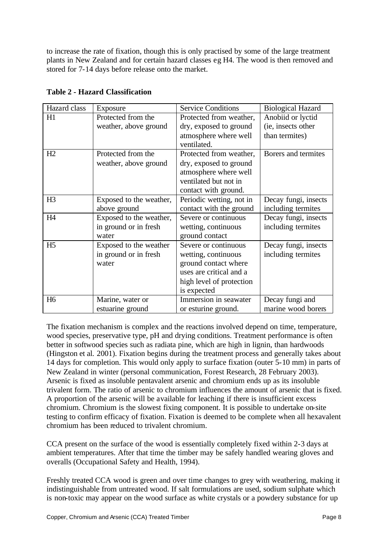to increase the rate of fixation, though this is only practised by some of the large treatment plants in New Zealand and for certain hazard classes eg H4. The wood is then removed and stored for 7-14 days before release onto the market.

| Hazard class   | Exposure                | <b>Service Conditions</b> | <b>Biological Hazard</b> |
|----------------|-------------------------|---------------------------|--------------------------|
| H1             | Protected from the      | Protected from weather,   | Anobiid or lyctid        |
|                | weather, above ground   | dry, exposed to ground    | (ie, insects other       |
|                |                         | atmosphere where well     | than termites)           |
|                |                         | ventilated.               |                          |
| H2             | Protected from the      | Protected from weather,   | Borers and termites      |
|                | weather, above ground   | dry, exposed to ground    |                          |
|                |                         | atmosphere where well     |                          |
|                |                         | ventilated but not in     |                          |
|                |                         | contact with ground.      |                          |
| H <sub>3</sub> | Exposed to the weather, | Periodic wetting, not in  | Decay fungi, insects     |
|                | above ground            | contact with the ground   | including termites       |
| H4             | Exposed to the weather, | Severe or continuous      | Decay fungi, insects     |
|                | in ground or in fresh   | wetting, continuous       | including termites       |
|                | water                   | ground contact            |                          |
| H <sub>5</sub> | Exposed to the weather  | Severe or continuous      | Decay fungi, insects     |
|                | in ground or in fresh   | wetting, continuous       | including termites       |
|                | water                   | ground contact where      |                          |
|                |                         | uses are critical and a   |                          |
|                |                         | high level of protection  |                          |
|                |                         | is expected               |                          |
| H <sub>6</sub> | Marine, water or        | Immersion in seawater     | Decay fungi and          |
|                | estuarine ground        | or esturine ground.       | marine wood borers       |

#### **Table 2 - Hazard Classification**

The fixation mechanism is complex and the reactions involved depend on time, temperature, wood species, preservative type, pH and drying conditions. Treatment performance is often better in softwood species such as radiata pine, which are high in lignin, than hardwoods (Hingston et al. 2001). Fixation begins during the treatment process and generally takes about 14 days for completion. This would only apply to surface fixation (outer 5-10 mm) in parts of New Zealand in winter (personal communication, Forest Research, 28 February 2003). Arsenic is fixed as insoluble pentavalent arsenic and chromium ends up as its insoluble trivalent form. The ratio of arsenic to chromium influences the amount of arsenic that is fixed. A proportion of the arsenic will be available for leaching if there is insufficient excess chromium. Chromium is the slowest fixing component. It is possible to undertake on-site testing to confirm efficacy of fixation. Fixation is deemed to be complete when all hexavalent chromium has been reduced to trivalent chromium.

CCA present on the surface of the wood is essentially completely fixed within 2-3 days at ambient temperatures. After that time the timber may be safely handled wearing gloves and overalls (Occupational Safety and Health, 1994).

Freshly treated CCA wood is green and over time changes to grey with weathering, making it indistinguishable from untreated wood. If salt formulations are used, sodium sulphate which is non-toxic may appear on the wood surface as white crystals or a powdery substance for up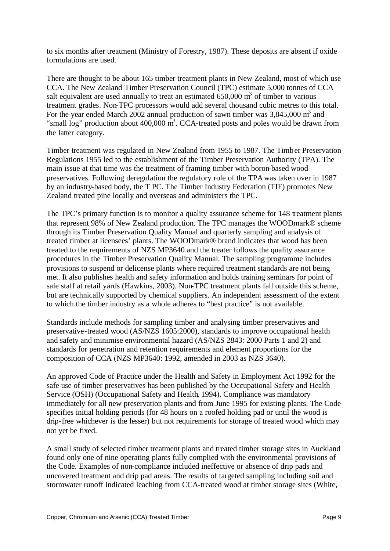to six months after treatment (Ministry of Forestry, 1987). These deposits are absent if oxide formulations are used.

There are thought to be about 165 timber treatment plants in New Zealand, most of which use CCA. The New Zealand Timber Preservation Council (TPC) estimate 5,000 tonnes of CCA salt equivalent are used annually to treat an estimated  $650,000$  m<sup>3</sup> of timber to various treatment grades. Non-TPC processors would add several thousand cubic metres to this total. For the year ended March 2002 annual production of sawn timber was  $3,845,000$  m<sup>3</sup> and "small log" production about  $400,000 \text{ m}^3$ . CCA-treated posts and poles would be drawn from the latter category.

Timber treatment was regulated in New Zealand from 1955 to 1987. The Timber Preservation Regulations 1955 led to the establishment of the Timber Preservation Authority (TPA). The main issue at that time was the treatment of framing timber with boron-based wood preservatives. Following deregulation the regulatory role of the TPA was taken over in 1987 by an industry-based body, the T PC. The Timber Industry Federation (TIF) promotes New Zealand treated pine locally and overseas and administers the TPC.

The TPC's primary function is to monitor a quality assurance scheme for 148 treatment plants that represent 98% of New Zealand production. The TPC manages the WOODmark® scheme through its Timber Preservation Quality Manual and quarterly sampling and analysis of treated timber at licensees' plants. The WOODmark® brand indicates that wood has been treated to the requirements of NZS MP3640 and the treater follows the quality assurance procedures in the Timber Preservation Quality Manual. The sampling programme includes provisions to suspend or delicense plants where required treatment standards are not being met. It also publishes health and safety information and holds training seminars for point of sale staff at retail yards (Hawkins, 2003). Non-TPC treatment plants fall outside this scheme, but are technically supported by chemical suppliers. An independent assessment of the extent to which the timber industry as a whole adheres to "best practice" is not available.

Standards include methods for sampling timber and analysing timber preservatives and preservative-treated wood (AS/NZS 1605:2000), standards to improve occupational health and safety and minimise environmental hazard (AS/NZS 2843: 2000 Parts 1 and 2) and standards for penetration and retention requirements and element proportions for the composition of CCA (NZS MP3640: 1992, amended in 2003 as NZS 3640).

An approved Code of Practice under the Health and Safety in Employment Act 1992 for the safe use of timber preservatives has been published by the Occupational Safety and Health Service (OSH) (Occupational Safety and Health, 1994). Compliance was mandatory immediately for all new preservation plants and from June 1995 for existing plants. The Code specifies initial holding periods (for 48 hours on a roofed holding pad or until the wood is drip-free whichever is the lesser) but not requirements for storage of treated wood which may not yet be fixed.

A small study of selected timber treatment plants and treated timber storage sites in Auckland found only one of nine operating plants fully complied with the environmental provisions of the Code. Examples of non-compliance included ineffective or absence of drip pads and uncovered treatment and drip pad areas. The results of targeted sampling including soil and stormwater runoff indicated leaching from CCA-treated wood at timber storage sites (White,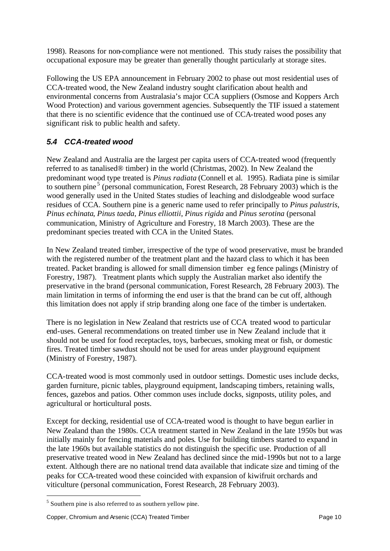1998). Reasons for non-compliance were not mentioned. This study raises the possibility that occupational exposure may be greater than generally thought particularly at storage sites.

Following the US EPA announcement in February 2002 to phase out most residential uses of CCA-treated wood, the New Zealand industry sought clarification about health and environmental concerns from Australasia's major CCA suppliers (Osmose and Koppers Arch Wood Protection) and various government agencies. Subsequently the TIF issued a statement that there is no scientific evidence that the continued use of CCA-treated wood poses any significant risk to public health and safety.

## *5.4 CCA-treated wood*

New Zealand and Australia are the largest per capita users of CCA-treated wood (frequently referred to as tanalised® timber) in the world (Christmas, 2002). In New Zealand the predominant wood type treated is *Pinus radiata* (Connell et al. 1995). Radiata pine is similar to southern pine<sup>5</sup> (personal communication, Forest Research, 28 February 2003) which is the wood generally used in the United States studies of leaching and dislodgeable wood surface residues of CCA. Southern pine is a generic name used to refer principally to *Pinus palustris*, *Pinus echinata*, *Pinus taeda*, *Pinus elliottii*, *Pinus rigida* and *Pinus serotina* (personal communication, Ministry of Agriculture and Forestry, 18 March 2003). These are the predominant species treated with CCA in the United States.

In New Zealand treated timber, irrespective of the type of wood preservative, must be branded with the registered number of the treatment plant and the hazard class to which it has been treated. Packet branding is allowed for small dimension timber eg fence palings (Ministry of Forestry, 1987). Treatment plants which supply the Australian market also identify the preservative in the brand (personal communication, Forest Research, 28 February 2003). The main limitation in terms of informing the end user is that the brand can be cut off, although this limitation does not apply if strip branding along one face of the timber is undertaken.

There is no legislation in New Zealand that restricts use of CCA treated wood to particular end-uses. General recommendations on treated timber use in New Zealand include that it should not be used for food receptacles, toys, barbecues, smoking meat or fish, or domestic fires. Treated timber sawdust should not be used for areas under playground equipment (Ministry of Forestry, 1987).

CCA-treated wood is most commonly used in outdoor settings. Domestic uses include decks, garden furniture, picnic tables, playground equipment, landscaping timbers, retaining walls, fences, gazebos and patios. Other common uses include docks, signposts, utility poles, and agricultural or horticultural posts.

Except for decking, residential use of CCA-treated wood is thought to have begun earlier in New Zealand than the 1980s. CCA treatment started in New Zealand in the late 1950s but was initially mainly for fencing materials and poles. Use for building timbers started to expand in the late 1960s but available statistics do not distinguish the specific use. Production of all preservative treated wood in New Zealand has declined since the mid-1990s but not to a large extent. Although there are no national trend data available that indicate size and timing of the peaks for CCA-treated wood these coincided with expansion of kiwifruit orchards and viticulture (personal communication, Forest Research, 28 February 2003).

 $<sup>5</sup>$  Southern pine is also referred to as southern yellow pine.</sup>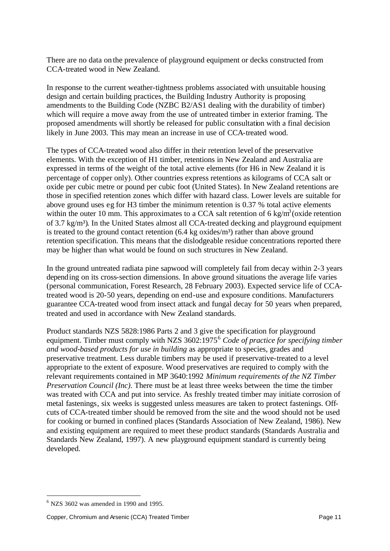There are no data on the prevalence of playground equipment or decks constructed from CCA-treated wood in New Zealand.

In response to the current weather-tightness problems associated with unsuitable housing design and certain building practices, the Building Industry Authority is proposing amendments to the Building Code (NZBC B2/AS1 dealing with the durability of timber) which will require a move away from the use of untreated timber in exterior framing. The proposed amendments will shortly be released for public consultation with a final decision likely in June 2003. This may mean an increase in use of CCA-treated wood.

The types of CCA-treated wood also differ in their retention level of the preservative elements. With the exception of H1 timber, retentions in New Zealand and Australia are expressed in terms of the weight of the total active elements (for H6 in New Zealand it is percentage of copper only). Other countries express retentions as kilograms of CCA salt or oxide per cubic metre or pound per cubic foot (United States). In New Zealand retentions are those in specified retention zones which differ with hazard class. Lower levels are suitable for above ground uses eg for H3 timber the minimum retention is 0.37 % total active elements within the outer 10 mm. This approximates to a CCA salt retention of 6 kg/m<sup>3</sup> (oxide retention of 3.7 kg/m<sup>3</sup>). In the United States almost all CCA-treated decking and playground equipment is treated to the ground contact retention  $(6.4 \text{ kg oxides/m}^3)$  rather than above ground retention specification. This means that the dislodgeable residue concentrations reported there may be higher than what would be found on such structures in New Zealand.

In the ground untreated radiata pine sapwood will completely fail from decay within 2-3 years depending on its cross-section dimensions. In above ground situations the average life varies (personal communication, Forest Research, 28 February 2003). Expected service life of CCAtreated wood is 20-50 years, depending on end-use and exposure conditions. Manufacturers guarantee CCA-treated wood from insect attack and fungal decay for 50 years when prepared, treated and used in accordance with New Zealand standards.

Product standards NZS 5828:1986 Parts 2 and 3 give the specification for playground equipment. Timber must comply with NZS 3602:1975<sup>6</sup> *Code of practice for specifying timber and wood-based products for use in building* as appropriate to species, grades and preservative treatment. Less durable timbers may be used if preservative-treated to a level appropriate to the extent of exposure. Wood preservatives are required to comply with the relevant requirements contained in MP 3640:1992 *Minimum requirements of the NZ Timber Preservation Council (Inc)*. There must be at least three weeks between the time the timber was treated with CCA and put into service. As freshly treated timber may initiate corrosion of metal fastenings, six weeks is suggested unless measures are taken to protect fastenings. Offcuts of CCA-treated timber should be removed from the site and the wood should not be used for cooking or burned in confined places (Standards Association of New Zealand, 1986). New and existing equipment are required to meet these product standards (Standards Australia and Standards New Zealand, 1997). A new playground equipment standard is currently being developed.

 $<sup>6</sup>$  NZS 3602 was amended in 1990 and 1995.</sup>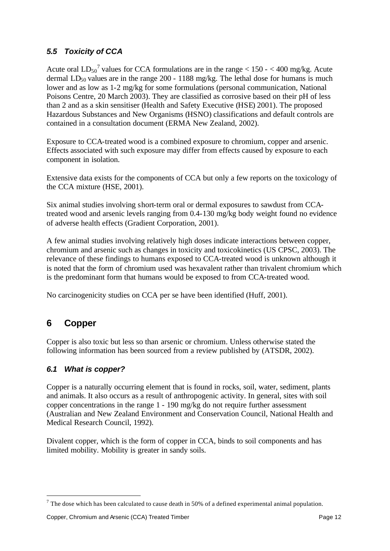## *5.5 Toxicity of CCA*

Acute oral  $LD_{50}^7$  values for CCA formulations are in the range  $< 150 - < 400$  mg/kg. Acute dermal  $LD_{50}$  values are in the range 200 - 1188 mg/kg. The lethal dose for humans is much lower and as low as 1-2 mg/kg for some formulations (personal communication, National Poisons Centre, 20 March 2003). They are classified as corrosive based on their pH of less than 2 and as a skin sensitiser (Health and Safety Executive (HSE) 2001). The proposed Hazardous Substances and New Organisms (HSNO) classifications and default controls are contained in a consultation document (ERMA New Zealand, 2002).

Exposure to CCA-treated wood is a combined exposure to chromium, copper and arsenic. Effects associated with such exposure may differ from effects caused by exposure to each component in isolation.

Extensive data exists for the components of CCA but only a few reports on the toxicology of the CCA mixture (HSE, 2001).

Six animal studies involving short-term oral or dermal exposures to sawdust from CCAtreated wood and arsenic levels ranging from 0.4-130 mg/kg body weight found no evidence of adverse health effects (Gradient Corporation, 2001).

A few animal studies involving relatively high doses indicate interactions between copper, chromium and arsenic such as changes in toxicity and toxicokinetics (US CPSC, 2003). The relevance of these findings to humans exposed to CCA-treated wood is unknown although it is noted that the form of chromium used was hexavalent rather than trivalent chromium which is the predominant form that humans would be exposed to from CCA-treated wood.

No carcinogenicity studies on CCA per se have been identified (Huff, 2001).

## **6 Copper**

l

Copper is also toxic but less so than arsenic or chromium. Unless otherwise stated the following information has been sourced from a review published by (ATSDR, 2002).

#### *6.1 What is copper?*

Copper is a naturally occurring element that is found in rocks, soil, water, sediment, plants and animals. It also occurs as a result of anthropogenic activity. In general, sites with soil copper concentrations in the range 1 - 190 mg/kg do not require further assessment (Australian and New Zealand Environment and Conservation Council, National Health and Medical Research Council, 1992).

Divalent copper, which is the form of copper in CCA, binds to soil components and has limited mobility. Mobility is greater in sandy soils.

<sup>&</sup>lt;sup>7</sup> The dose which has been calculated to cause death in 50% of a defined experimental animal population.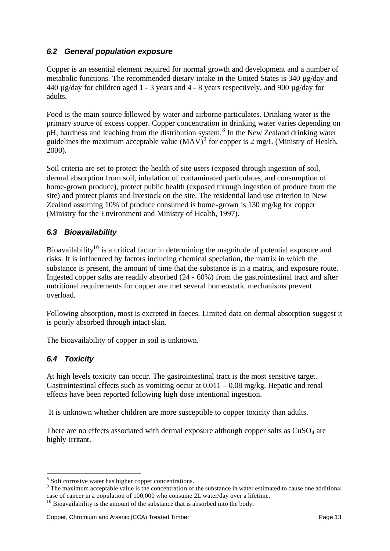#### *6.2 General population exposure*

Copper is an essential element required for normal growth and development and a number of metabolic functions. The recommended dietary intake in the United States is  $340 \mu g/day$  and 440 µg/day for children aged 1 - 3 years and 4 - 8 years respectively, and 900 µg/day for adults.

Food is the main source followed by water and airborne particulates. Drinking water is the primary source of excess copper. Copper concentration in drinking water varies depending on pH, hardness and leaching from the distribution system.<sup>8</sup> In the New Zealand drinking water guidelines the maximum acceptable value  $(MAV)^9$  for copper is 2 mg/L (Ministry of Health, 2000).

Soil criteria are set to protect the health of site users (exposed through ingestion of soil, dermal absorption from soil, inhalation of contaminated particulates, and consumption of home-grown produce), protect public health (exposed through ingestion of produce from the site) and protect plants and livestock on the site. The residential land use criterion in New Zealand assuming 10% of produce consumed is home-grown is 130 mg/kg for copper (Ministry for the Environment and Ministry of Health, 1997).

#### *6.3 Bioavailability*

Bioavailability<sup>10</sup> is a critical factor in determining the magnitude of potential exposure and risks. It is influenced by factors including chemical speciation, the matrix in which the substance is present, the amount of time that the substance is in a matrix, and exposure route. Ingested copper salts are readily absorbed (24 - 60%) from the gastrointestinal tract and after nutritional requirements for copper are met several homeostatic mechanisms prevent overload.

Following absorption, most is excreted in faeces. Limited data on dermal absorption suggest it is poorly absorbed through intact skin.

The bioavailability of copper in soil is unknown.

#### *6.4 Toxicity*

l

At high levels toxicity can occur. The gastrointestinal tract is the most sensitive target. Gastrointestinal effects such as vomiting occur at  $0.011 - 0.08$  mg/kg. Hepatic and renal effects have been reported following high dose intentional ingestion.

It is unknown whether children are more susceptible to copper toxicity than adults.

There are no effects associated with dermal exposure although copper salts as  $CuSO<sub>4</sub>$  are highly irritant.

 $8$  Soft corrosive water has higher copper concentrations.

<sup>&</sup>lt;sup>9</sup> The maximum acceptable value is the concentration of the substance in water estimated to cause one additional case of cancer in a population of 100,000 who consume 2L water/day over a lifetime.

 $10$  Bioavailability is the amount of the substance that is absorbed into the body.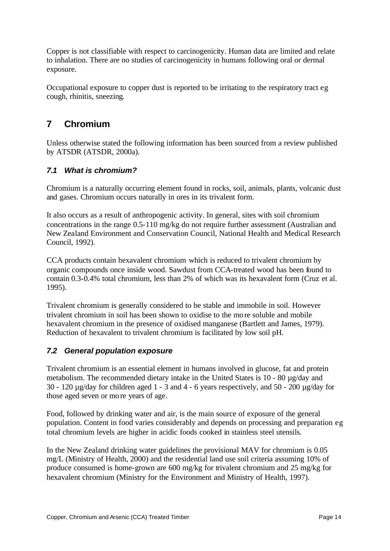Copper is not classifiable with respect to carcinogenicity. Human data are limited and relate to inhalation. There are no studies of carcinogenicity in humans following oral or dermal exposure.

Occupational exposure to copper dust is reported to be irritating to the respiratory tract eg cough, rhinitis, sneezing.

# **7 Chromium**

Unless otherwise stated the following information has been sourced from a review published by ATSDR (ATSDR, 2000a).

#### *7.1 What is chromium?*

Chromium is a naturally occurring element found in rocks, soil, animals, plants, volcanic dust and gases. Chromium occurs naturally in ores in its trivalent form.

It also occurs as a result of anthropogenic activity. In general, sites with soil chromium concentrations in the range 0.5-110 mg/kg do not require further assessment (Australian and New Zealand Environment and Conservation Council, National Health and Medical Research Council, 1992).

CCA products contain hexavalent chromium which is reduced to trivalent chromium by organic compounds once inside wood. Sawdust from CCA-treated wood has been found to contain 0.3-0.4% total chromium, less than 2% of which was its hexavalent form (Cruz et al. 1995).

Trivalent chromium is generally considered to be stable and immobile in soil. However trivalent chromium in soil has been shown to oxidise to the more soluble and mobile hexavalent chromium in the presence of oxidised manganese (Bartlett and James, 1979). Reduction of hexavalent to trivalent chromium is facilitated by low soil pH.

#### *7.2 General population exposure*

Trivalent chromium is an essential element in humans involved in glucose, fat and protein metabolism. The recommended dietary intake in the United States is 10 - 80 µg/day and 30 - 120 µg/day for children aged 1 - 3 and 4 - 6 years respectively, and 50 - 200 µg/day for those aged seven or more years of age.

Food, followed by drinking water and air, is the main source of exposure of the general population. Content in food varies considerably and depends on processing and preparation eg total chromium levels are higher in acidic foods cooked in stainless steel utensils.

In the New Zealand drinking water guidelines the provisional MAV for chromium is 0.05 mg/L (Ministry of Health, 2000) and the residential land use soil criteria assuming 10% of produce consumed is home-grown are 600 mg/kg for trivalent chromium and 25 mg/kg for hexavalent chromium (Ministry for the Environment and Ministry of Health, 1997).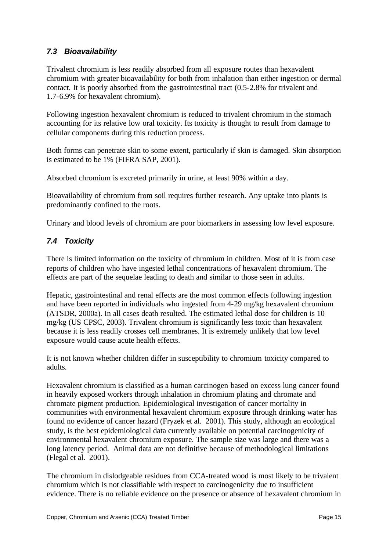#### *7.3 Bioavailability*

Trivalent chromium is less readily absorbed from all exposure routes than hexavalent chromium with greater bioavailability for both from inhalation than either ingestion or dermal contact. It is poorly absorbed from the gastrointestinal tract (0.5-2.8% for trivalent and 1.7-6.9% for hexavalent chromium).

Following ingestion hexavalent chromium is reduced to trivalent chromium in the stomach accounting for its relative low oral toxicity. Its toxicity is thought to result from damage to cellular components during this reduction process.

Both forms can penetrate skin to some extent, particularly if skin is damaged. Skin absorption is estimated to be 1% (FIFRA SAP, 2001).

Absorbed chromium is excreted primarily in urine, at least 90% within a day.

Bioavailability of chromium from soil requires further research. Any uptake into plants is predominantly confined to the roots.

Urinary and blood levels of chromium are poor biomarkers in assessing low level exposure.

## *7.4 Toxicity*

There is limited information on the toxicity of chromium in children. Most of it is from case reports of children who have ingested lethal concentrations of hexavalent chromium. The effects are part of the sequelae leading to death and similar to those seen in adults.

Hepatic, gastrointestinal and renal effects are the most common effects following ingestion and have been reported in individuals who ingested from 4-29 mg/kg hexavalent chromium (ATSDR, 2000a). In all cases death resulted. The estimated lethal dose for children is 10 mg/kg (US CPSC, 2003). Trivalent chromium is significantly less toxic than hexavalent because it is less readily crosses cell membranes. It is extremely unlikely that low level exposure would cause acute health effects.

It is not known whether children differ in susceptibility to chromium toxicity compared to adults.

Hexavalent chromium is classified as a human carcinogen based on excess lung cancer found in heavily exposed workers through inhalation in chromium plating and chromate and chromate pigment production. Epidemiological investigation of cancer mortality in communities with environmental hexavalent chromium exposure through drinking water has found no evidence of cancer hazard (Fryzek et al. 2001). This study, although an ecological study, is the best epidemiological data currently available on potential carcinogenicity of environmental hexavalent chromium exposure. The sample size was large and there was a long latency period. Animal data are not definitive because of methodological limitations (Flegal et al. 2001).

The chromium in dislodgeable residues from CCA-treated wood is most likely to be trivalent chromium which is not classifiable with respect to carcinogenicity due to insufficient evidence. There is no reliable evidence on the presence or absence of hexavalent chromium in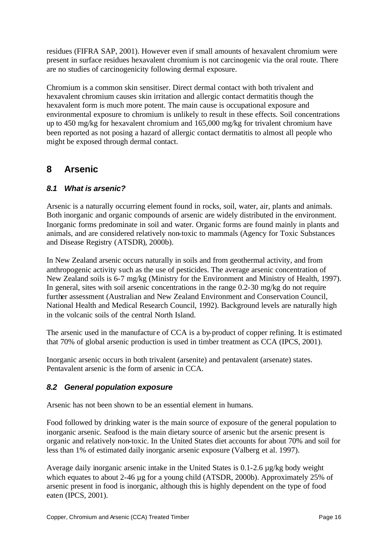residues (FIFRA SAP, 2001). However even if small amounts of hexavalent chromium were present in surface residues hexavalent chromium is not carcinogenic via the oral route. There are no studies of carcinogenicity following dermal exposure.

Chromium is a common skin sensitiser. Direct dermal contact with both trivalent and hexavalent chromium causes skin irritation and allergic contact dermatitis though the hexavalent form is much more potent. The main cause is occupational exposure and environmental exposure to chromium is unlikely to result in these effects. Soil concentrations up to 450 mg/kg for hexavalent chromium and 165,000 mg/kg for trivalent chromium have been reported as not posing a hazard of allergic contact dermatitis to almost all people who might be exposed through dermal contact.

# **8 Arsenic**

## *8.1 What is arsenic?*

Arsenic is a naturally occurring element found in rocks, soil, water, air, plants and animals. Both inorganic and organic compounds of arsenic are widely distributed in the environment. Inorganic forms predominate in soil and water. Organic forms are found mainly in plants and animals, and are considered relatively non-toxic to mammals (Agency for Toxic Substances and Disease Registry (ATSDR), 2000b).

In New Zealand arsenic occurs naturally in soils and from geothermal activity, and from anthropogenic activity such as the use of pesticides. The average arsenic concentration of New Zealand soils is 6-7 mg/kg (Ministry for the Environment and Ministry of Health, 1997). In general, sites with soil arsenic concentrations in the range 0.2-30 mg/kg do not require further assessment (Australian and New Zealand Environment and Conservation Council, National Health and Medical Research Council, 1992). Background levels are naturally high in the volcanic soils of the central North Island.

The arsenic used in the manufacture of CCA is a by-product of copper refining. It is estimated that 70% of global arsenic production is used in timber treatment as CCA (IPCS, 2001).

Inorganic arsenic occurs in both trivalent (arsenite) and pentavalent (arsenate) states. Pentavalent arsenic is the form of arsenic in CCA.

#### *8.2 General population exposure*

Arsenic has not been shown to be an essential element in humans.

Food followed by drinking water is the main source of exposure of the general population to inorganic arsenic. Seafood is the main dietary source of arsenic but the arsenic present is organic and relatively non-toxic. In the United States diet accounts for about 70% and soil for less than 1% of estimated daily inorganic arsenic exposure (Valberg et al. 1997).

Average daily inorganic arsenic intake in the United States is 0.1-2.6 µg/kg body weight which equates to about 2-46 µg for a young child (ATSDR, 2000b). Approximately 25% of arsenic present in food is inorganic, although this is highly dependent on the type of food eaten (IPCS, 2001).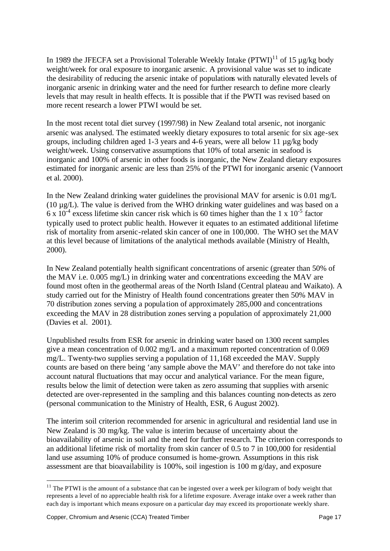In 1989 the JFECFA set a Provisional Tolerable Weekly Intake  $(PTWI)^{11}$  of 15 µg/kg body weight/week for oral exposure to inorganic arsenic. A provisional value was set to indicate the desirability of reducing the arsenic intake of populations with naturally elevated levels of inorganic arsenic in drinking water and the need for further research to define more clearly levels that may result in health effects. It is possible that if the PWTI was revised based on more recent research a lower PTWI would be set.

In the most recent total diet survey (1997/98) in New Zealand total arsenic, not inorganic arsenic was analysed. The estimated weekly dietary exposures to total arsenic for six age-sex groups, including children aged 1-3 years and 4-6 years, were all below 11 µg/kg body weight/week. Using conservative assumptions that 10% of total arsenic in seafood is inorganic and 100% of arsenic in other foods is inorganic, the New Zealand dietary exposures estimated for inorganic arsenic are less than 25% of the PTWI for inorganic arsenic (Vannoort et al. 2000).

In the New Zealand drinking water guidelines the provisional MAV for arsenic is 0.01 mg/L (10 µg/L). The value is derived from the WHO drinking water guidelines and was based on a  $6 \times 10^{-4}$  excess lifetime skin cancer risk which is 60 times higher than the 1 x 10<sup>-5</sup> factor typically used to protect public health. However it equates to an estimated additional lifetime risk of mortality from arsenic-related skin cancer of one in 100,000. The WHO set the MAV at this level because of limitations of the analytical methods available (Ministry of Health, 2000).

In New Zealand potentially health significant concentrations of arsenic (greater than 50% of the MAV i.e. 0.005 mg/L) in drinking water and concentrations exceeding the MAV are found most often in the geothermal areas of the North Island (Central plateau and Waikato). A study carried out for the Ministry of Health found concentrations greater then 50% MAV in 70 distribution zones serving a popula tion of approximately 285,000 and concentrations exceeding the MAV in 28 distribution zones serving a population of approximately 21,000 (Davies et al. 2001).

Unpublished results from ESR for arsenic in drinking water based on 1300 recent samples give a mean concentration of 0.002 mg/L and a maximum reported concentration of 0.069 mg/L. Twenty-two supplies serving a population of 11,168 exceeded the MAV. Supply counts are based on there being 'any sample above the MAV' and therefore do not take into account natural fluctuations that may occur and analytical variance. For the mean figure, results below the limit of detection were taken as zero assuming that supplies with arsenic detected are over-represented in the sampling and this balances counting non-detects as zero (personal communication to the Ministry of Health, ESR, 6 August 2002).

The interim soil criterion recommended for arsenic in agricultural and residential land use in New Zealand is 30 mg/kg. The value is interim because of uncertainty about the bioavailability of arsenic in soil and the need for further research. The criterion corresponds to an additional lifetime risk of mortality from skin cancer of 0.5 to 7 in 100,000 for residential land use assuming 10% of produce consumed is home-grown. Assumptions in this risk assessment are that bioavailability is 100%, soil ingestion is 100 m g/day, and exposure

 $11$  The PTWI is the amount of a substance that can be ingested over a week per kilogram of body weight that represents a level of no appreciable health risk for a lifetime exposure. Average intake over a week rather than each day is important which means exposure on a particular day may exceed its proportionate weekly share.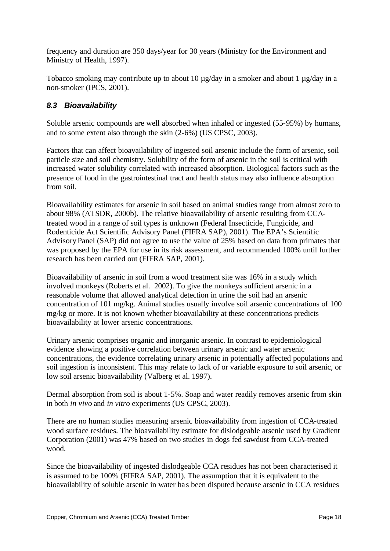frequency and duration are 350 days/year for 30 years (Ministry for the Environment and Ministry of Health, 1997).

Tobacco smoking may contribute up to about 10  $\mu$ g/day in a smoker and about 1  $\mu$ g/day in a non-smoker (IPCS, 2001).

## *8.3 Bioavailability*

Soluble arsenic compounds are well absorbed when inhaled or ingested (55-95%) by humans, and to some extent also through the skin (2-6%) (US CPSC, 2003).

Factors that can affect bioavailability of ingested soil arsenic include the form of arsenic, soil particle size and soil chemistry. Solubility of the form of arsenic in the soil is critical with increased water solubility correlated with increased absorption. Biological factors such as the presence of food in the gastrointestinal tract and health status may also influence absorption from soil.

Bioavailability estimates for arsenic in soil based on animal studies range from almost zero to about 98% (ATSDR, 2000b). The relative bioavailability of arsenic resulting from CCAtreated wood in a range of soil types is unknown (Federal Insecticide, Fungicide, and Rodenticide Act Scientific Advisory Panel (FIFRA SAP), 2001). The EPA's Scientific Advisory Panel (SAP) did not agree to use the value of 25% based on data from primates that was proposed by the EPA for use in its risk assessment, and recommended 100% until further research has been carried out (FIFRA SAP, 2001).

Bioavailability of arsenic in soil from a wood treatment site was 16% in a study which involved monkeys (Roberts et al. 2002). To give the monkeys sufficient arsenic in a reasonable volume that allowed analytical detection in urine the soil had an arsenic concentration of 101 mg/kg. Animal studies usually involve soil arsenic concentrations of 100 mg/kg or more. It is not known whether bioavailability at these concentrations predicts bioavailability at lower arsenic concentrations.

Urinary arsenic comprises organic and inorganic arsenic. In contrast to epidemiological evidence showing a positive correlation between urinary arsenic and water arsenic concentrations, the evidence correlating urinary arsenic in potentially affected populations and soil ingestion is inconsistent. This may relate to lack of or variable exposure to soil arsenic, or low soil arsenic bioavailability (Valberg et al. 1997).

Dermal absorption from soil is about 1-5%. Soap and water readily removes arsenic from skin in both *in vivo* and *in vitro* experiments (US CPSC, 2003).

There are no human studies measuring arsenic bioavailability from ingestion of CCA-treated wood surface residues. The bioavailability estimate for dislodgeable arsenic used by Gradient Corporation (2001) was 47% based on two studies in dogs fed sawdust from CCA-treated wood.

Since the bioavailability of ingested dislodgeable CCA residues has not been characterised it is assumed to be 100% (FIFRA SAP, 2001). The assumption that it is equivalent to the bioavailability of soluble arsenic in water ha s been disputed because arsenic in CCA residues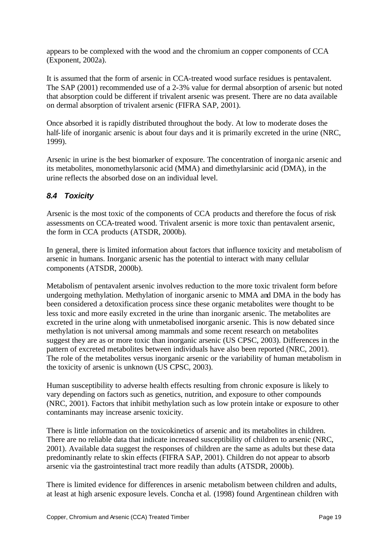appears to be complexed with the wood and the chromium an copper components of CCA (Exponent, 2002a).

It is assumed that the form of arsenic in CCA-treated wood surface residues is pentavalent. The SAP (2001) recommended use of a 2-3% value for dermal absorption of arsenic but noted that absorption could be different if trivalent arsenic was present. There are no data available on dermal absorption of trivalent arsenic (FIFRA SAP, 2001).

Once absorbed it is rapidly distributed throughout the body. At low to moderate doses the half-life of inorganic arsenic is about four days and it is primarily excreted in the urine (NRC, 1999).

Arsenic in urine is the best biomarker of exposure. The concentration of inorganic arsenic and its metabolites, monomethylarsonic acid (MMA) and dimethylarsinic acid (DMA), in the urine reflects the absorbed dose on an individual level.

#### *8.4 Toxicity*

Arsenic is the most toxic of the components of CCA products and therefore the focus of risk assessments on CCA-treated wood. Trivalent arsenic is more toxic than pentavalent arsenic, the form in CCA products (ATSDR, 2000b).

In general, there is limited information about factors that influence toxicity and metabolism of arsenic in humans. Inorganic arsenic has the potential to interact with many cellular components (ATSDR, 2000b).

Metabolism of pentavalent arsenic involves reduction to the more toxic trivalent form before undergoing methylation. Methylation of inorganic arsenic to MMA and DMA in the body has been considered a detoxification process since these organic metabolites were thought to be less toxic and more easily excreted in the urine than inorganic arsenic. The metabolites are excreted in the urine along with unmetabolised inorganic arsenic. This is now debated since methylation is not universal among mammals and some recent research on metabolites suggest they are as or more toxic than inorganic arsenic (US CPSC, 2003). Differences in the pattern of excreted metabolites between individuals have also been reported (NRC, 2001). The role of the metabolites versus inorganic arsenic or the variability of human metabolism in the toxicity of arsenic is unknown (US CPSC, 2003).

Human susceptibility to adverse health effects resulting from chronic exposure is likely to vary depending on factors such as genetics, nutrition, and exposure to other compounds (NRC, 2001). Factors that inhibit methylation such as low protein intake or exposure to other contaminants may increase arsenic toxicity.

There is little information on the toxicokinetics of arsenic and its metabolites in children. There are no reliable data that indicate increased susceptibility of children to arsenic (NRC, 2001). Available data suggest the responses of children are the same as adults but these data predominantly relate to skin effects (FIFRA SAP, 2001). Children do not appear to absorb arsenic via the gastrointestinal tract more readily than adults (ATSDR, 2000b).

There is limited evidence for differences in arsenic metabolism between children and adults, at least at high arsenic exposure levels. Concha et al. (1998) found Argentinean children with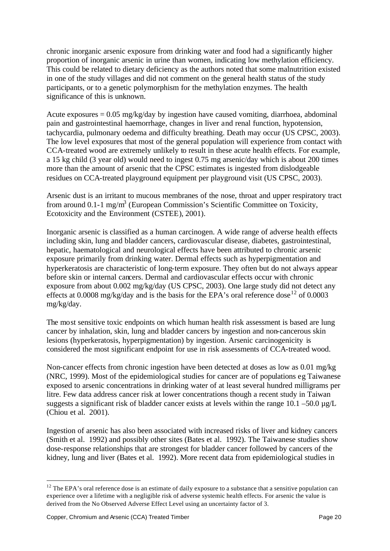chronic inorganic arsenic exposure from drinking water and food had a significantly higher proportion of inorganic arsenic in urine than women, indicating low methylation efficiency. This could be related to dietary deficiency as the authors noted that some malnutrition existed in one of the study villages and did not comment on the general health status of the study participants, or to a genetic polymorphism for the methylation enzymes. The health significance of this is unknown.

Acute exposures  $= 0.05$  mg/kg/day by ingestion have caused vomiting, diarrhoea, abdominal pain and gastrointestinal haemorrhage, changes in liver and renal function, hypotension, tachycardia, pulmonary oedema and difficulty breathing. Death may occur (US CPSC, 2003). The low level exposures that most of the general population will experience from contact with CCA-treated wood are extremely unlikely to result in these acute health effects. For example, a 15 kg child (3 year old) would need to ingest 0.75 mg arsenic/day which is about 200 times more than the amount of arsenic that the CPSC estimates is ingested from dislodgeable residues on CCA-treated playground equipment per playground visit (US CPSC, 2003).

Arsenic dust is an irritant to mucous membranes of the nose, throat and upper respiratory tract from around 0.1-1 mg/m<sup>3</sup> (European Commission's Scientific Committee on Toxicity, Ecotoxicity and the Environment (CSTEE), 2001).

Inorganic arsenic is classified as a human carcinogen. A wide range of adverse health effects including skin, lung and bladder cancers, cardiovascular disease, diabetes, gastrointestinal, hepatic, haematological and neurological effects have been attributed to chronic arsenic exposure primarily from drinking water. Dermal effects such as hyperpigmentation and hyperkeratosis are characteristic of long-term exposure. They often but do not always appear before skin or internal cancers. Dermal and cardiovascular effects occur with chronic exposure from about 0.002 mg/kg/day (US CPSC, 2003). One large study did not detect any effects at 0.0008 mg/kg/day and is the basis for the EPA's oral reference dose<sup>12</sup> of 0.0003 mg/kg/day.

The most sensitive toxic endpoints on which human health risk assessment is based are lung cancer by inhalation, skin, lung and bladder cancers by ingestion and non-cancerous skin lesions (hyperkeratosis, hyperpigmentation) by ingestion. Arsenic carcinogenicity is considered the most significant endpoint for use in risk assessments of CCA-treated wood.

Non-cancer effects from chronic ingestion have been detected at doses as low as 0.01 mg/kg (NRC, 1999). Most of the epidemiological studies for cancer are of populations eg Taiwanese exposed to arsenic concentrations in drinking water of at least several hundred milligrams per litre. Few data address cancer risk at lower concentrations though a recent study in Taiwan suggests a significant risk of bladder cancer exists at levels within the range  $10.1 - 50.0 \mu g/L$ (Chiou et al. 2001).

Ingestion of arsenic has also been associated with increased risks of liver and kidney cancers (Smith et al. 1992) and possibly other sites (Bates et al. 1992). The Taiwanese studies show dose-response relationships that are strongest for bladder cancer followed by cancers of the kidney, lung and liver (Bates et al. 1992). More recent data from epidemiological studies in

 $12$  The EPA's oral reference dose is an estimate of daily exposure to a substance that a sensitive population can experience over a lifetime with a negligible risk of adverse systemic health effects. For arsenic the value is derived from the No Observed Adverse Effect Level using an uncertainty factor of 3.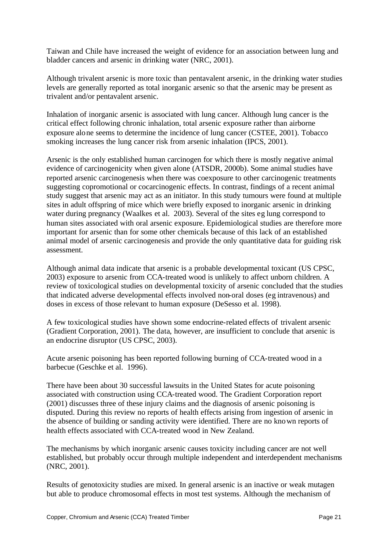Taiwan and Chile have increased the weight of evidence for an association between lung and bladder cancers and arsenic in drinking water (NRC, 2001).

Although trivalent arsenic is more toxic than pentavalent arsenic, in the drinking water studies levels are generally reported as total inorganic arsenic so that the arsenic may be present as trivalent and/or pentavalent arsenic.

Inhalation of inorganic arsenic is associated with lung cancer. Although lung cancer is the critical effect following chronic inhalation, total arsenic exposure rather than airborne exposure alone seems to determine the incidence of lung cancer (CSTEE, 2001). Tobacco smoking increases the lung cancer risk from arsenic inhalation (IPCS, 2001).

Arsenic is the only established human carcinogen for which there is mostly negative animal evidence of carcinogenicity when given alone (ATSDR, 2000b). Some animal studies have reported arsenic carcinogenesis when there was coexposure to other carcinogenic treatments suggesting copromotional or cocarcinogenic effects. In contrast, findings of a recent animal study suggest that arsenic may act as an initiator. In this study tumours were found at multiple sites in adult offspring of mice which were briefly exposed to inorganic arsenic in drinking water during pregnancy (Waalkes et al. 2003). Several of the sites eg lung correspond to human sites associated with oral arsenic exposure. Epidemiological studies are therefore more important for arsenic than for some other chemicals because of this lack of an established animal model of arsenic carcinogenesis and provide the only quantitative data for guiding risk assessment.

Although animal data indicate that arsenic is a probable developmental toxicant (US CPSC, 2003) exposure to arsenic from CCA-treated wood is unlikely to affect unborn children. A review of toxicological studies on developmental toxicity of arsenic concluded that the studies that indicated adverse developmental effects involved non-oral doses (eg intravenous) and doses in excess of those relevant to human exposure (DeSesso et al. 1998).

A few toxicological studies have shown some endocrine-related effects of trivalent arsenic (Gradient Corporation, 2001). The data, however, are insufficient to conclude that arsenic is an endocrine disruptor (US CPSC, 2003).

Acute arsenic poisoning has been reported following burning of CCA-treated wood in a barbecue (Geschke et al. 1996).

There have been about 30 successful lawsuits in the United States for acute poisoning associated with construction using CCA-treated wood. The Gradient Corporation report (2001) discusses three of these injury claims and the diagnosis of arsenic poisoning is disputed. During this review no reports of health effects arising from ingestion of arsenic in the absence of building or sanding activity were identified. There are no known reports of health effects associated with CCA-treated wood in New Zealand.

The mechanisms by which inorganic arsenic causes toxicity including cancer are not well established, but probably occur through multiple independent and interdependent mechanisms (NRC, 2001).

Results of genotoxicity studies are mixed. In general arsenic is an inactive or weak mutagen but able to produce chromosomal effects in most test systems. Although the mechanism of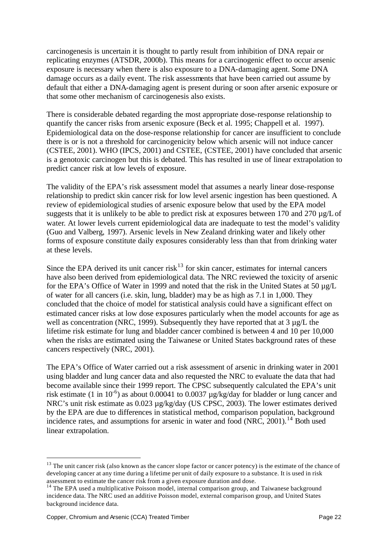carcinogenesis is uncertain it is thought to partly result from inhibition of DNA repair or replicating enzymes (ATSDR, 2000b). This means for a carcinogenic effect to occur arsenic exposure is necessary when there is also exposure to a DNA-damaging agent. Some DNA damage occurs as a daily event. The risk assessments that have been carried out assume by default that either a DNA-damaging agent is present during or soon after arsenic exposure or that some other mechanism of carcinogenesis also exists.

There is considerable debated regarding the most appropriate dose-response relationship to quantify the cancer risks from arsenic exposure (Beck et al. 1995; Chappell et al. 1997). Epidemiological data on the dose-response relationship for cancer are insufficient to conclude there is or is not a threshold for carcinogenicity below which arsenic will not induce cancer (CSTEE, 2001). WHO (IPCS, 2001) and CSTEE, (CSTEE, 2001) have concluded that arsenic is a genotoxic carcinogen but this is debated. This has resulted in use of linear extrapolation to predict cancer risk at low levels of exposure.

The validity of the EPA's risk assessment model that assumes a nearly linear dose-response relationship to predict skin cancer risk for low level arsenic ingestion has been questioned. A review of epidemiological studies of arsenic exposure below that used by the EPA model suggests that it is unlikely to be able to predict risk at exposures between 170 and 270 µg/L of water. At lower levels current epidemiological data are inadequate to test the model's validity (Guo and Valberg, 1997). Arsenic levels in New Zealand drinking water and likely other forms of exposure constitute daily exposures considerably less than that from drinking water at these levels.

Since the EPA derived its unit cancer risk<sup>13</sup> for skin cancer, estimates for internal cancers have also been derived from epidemiological data. The NRC reviewed the toxicity of arsenic for the EPA's Office of Water in 1999 and noted that the risk in the United States at 50  $\mu$ g/L of water for all cancers (i.e. skin, lung, bladder) may be as high as 7.1 in 1,000. They concluded that the choice of model for statistical analysis could have a significant effect on estimated cancer risks at low dose exposures particularly when the model accounts for age as well as concentration (NRC, 1999). Subsequently they have reported that at 3 µg/L the lifetime risk estimate for lung and bladder cancer combined is between 4 and 10 per 10,000 when the risks are estimated using the Taiwanese or United States background rates of these cancers respectively (NRC, 2001).

The EPA's Office of Water carried out a risk assessment of arsenic in drinking water in 2001 using bladder and lung cancer data and also requested the NRC to evaluate the data that had become available since their 1999 report. The CPSC subsequently calculated the EPA's unit risk estimate (1 in  $10^{-6}$ ) as about 0.00041 to 0.0037  $\mu$ g/kg/day for bladder or lung cancer and NRC's unit risk estimate as 0.023 µg/kg/day (US CPSC, 2003). The lower estimates derived by the EPA are due to differences in statistical method, comparison population, background incidence rates, and assumptions for arsenic in water and food (NRC,  $2001$ ).<sup>14</sup> Both used linear extrapolation.

<sup>&</sup>lt;sup>13</sup> The unit cancer risk (also known as the cancer slope factor or cancer potency) is the estimate of the chance of developing cancer at any time during a lifetime per unit of daily exposure to a substance. It is used in risk assessment to estimate the cancer risk from a given exposure duration and dose.

<sup>&</sup>lt;sup>14</sup> The EPA used a multiplicative Poisson model, internal comparison group, and Taiwanese background incidence data. The NRC used an additive Poisson model, external comparison group, and United States background incidence data.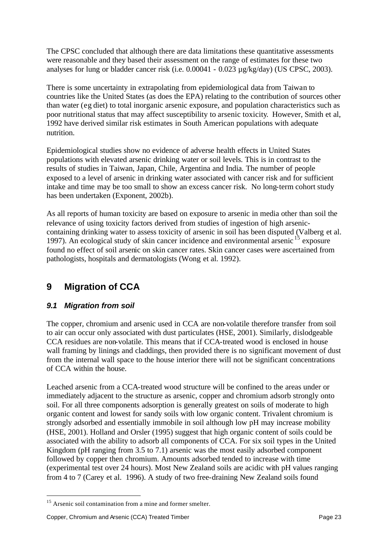The CPSC concluded that although there are data limitations these quantitative assessments were reasonable and they based their assessment on the range of estimates for these two analyses for lung or bladder cancer risk (i.e. 0.00041 - 0.023 µg/kg/day) (US CPSC, 2003).

There is some uncertainty in extrapolating from epidemiological data from Taiwan to countries like the United States (as does the EPA) relating to the contribution of sources other than water (eg diet) to total inorganic arsenic exposure, and population characteristics such as poor nutritional status that may affect susceptibility to arsenic toxicity. However, Smith et al, 1992 have derived similar risk estimates in South American populations with adequate nutrition.

Epidemiological studies show no evidence of adverse health effects in United States populations with elevated arsenic drinking water or soil levels. This is in contrast to the results of studies in Taiwan, Japan, Chile, Argentina and India. The number of people exposed to a level of arsenic in drinking water associated with cancer risk and for sufficient intake and time may be too small to show an excess cancer risk. No long-term cohort study has been undertaken (Exponent, 2002b).

As all reports of human toxicity are based on exposure to arsenic in media other than soil the relevance of using toxicity factors derived from studies of ingestion of high arseniccontaining drinking water to assess toxicity of arsenic in soil has been disputed (Valberg et al. 1997). An ecological study of skin cancer incidence and environmental arsenic <sup>15</sup> exposure found no effect of soil arsenic on skin cancer rates. Skin cancer cases were ascertained from pathologists, hospitals and dermatologists (Wong et al. 1992).

# **9 Migration of CCA**

#### *9.1 Migration from soil*

The copper, chromium and arsenic used in CCA are non-volatile therefore transfer from soil to air can occur only associated with dust particulates (HSE, 2001). Similarly, dislodgeable CCA residues are non-volatile. This means that if CCA-treated wood is enclosed in house wall framing by linings and claddings, then provided there is no significant movement of dust from the internal wall space to the house interior there will not be significant concentrations of CCA within the house.

Leached arsenic from a CCA-treated wood structure will be confined to the areas under or immediately adjacent to the structure as arsenic, copper and chromium adsorb strongly onto soil. For all three components adsorption is generally greatest on soils of moderate to high organic content and lowest for sandy soils with low organic content. Trivalent chromium is strongly adsorbed and essentially immobile in soil although low pH may increase mobility (HSE, 2001). Holland and Orsler (1995) suggest that high organic content of soils could be associated with the ability to adsorb all components of CCA. For six soil types in the United Kingdom (pH ranging from 3.5 to 7.1) arsenic was the most easily adsorbed component followed by copper then chromium. Amounts adsorbed tended to increase with time (experimental test over 24 hours). Most New Zealand soils are acidic with pH values ranging from 4 to 7 (Carey et al. 1996). A study of two free-draining New Zealand soils found

<sup>&</sup>lt;sup>15</sup> Arsenic soil contamination from a mine and former smelter.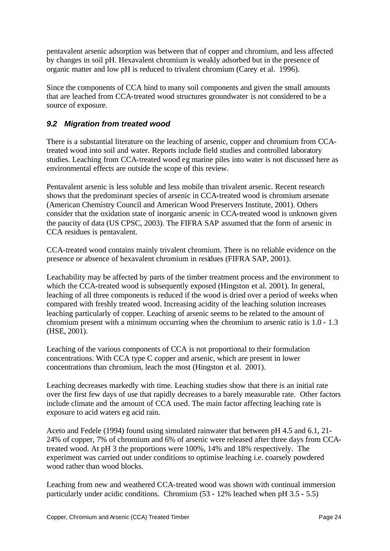pentavalent arsenic adsorption was between that of copper and chromium, and less affected by changes in soil pH. Hexavalent chromium is weakly adsorbed but in the presence of organic matter and low pH is reduced to trivalent chromium (Carey et al. 1996).

Since the components of CCA bind to many soil components and given the small amounts that are leached from CCA-treated wood structures groundwater is not considered to be a source of exposure.

#### *9.2 Migration from treated wood*

There is a substantial literature on the leaching of arsenic, copper and chromium from CCAtreated wood into soil and water. Reports include field studies and controlled laboratory studies. Leaching from CCA-treated wood eg marine piles into water is not discussed here as environmental effects are outside the scope of this review.

Pentavalent arsenic is less soluble and less mobile than trivalent arsenic. Recent research shows that the predominant species of arsenic in CCA-treated wood is chromium arsenate (American Chemistry Council and American Wood Preservers Institute, 2001). Others consider that the oxidation state of inorganic arsenic in CCA-treated wood is unknown given the paucity of data (US CPSC, 2003). The FIFRA SAP assumed that the form of arsenic in CCA residues is pentavalent.

CCA-treated wood contains mainly trivalent chromium. There is no reliable evidence on the presence or absence of hexavalent chromium in residues (FIFRA SAP, 2001).

Leachability may be affected by parts of the timber treatment process and the environment to which the CCA-treated wood is subsequently exposed (Hingston et al. 2001). In general, leaching of all three components is reduced if the wood is dried over a period of weeks when compared with freshly treated wood. Increasing acidity of the leaching solution increases leaching particularly of copper. Leaching of arsenic seems to be related to the amount of chromium present with a minimum occurring when the chromium to arsenic ratio is 1.0 - 1.3 (HSE, 2001).

Leaching of the various components of CCA is not proportional to their formulation concentrations. With CCA type C copper and arsenic, which are present in lower concentrations than chromium, leach the most (Hingston et al. 2001).

Leaching decreases markedly with time. Leaching studies show that there is an initial rate over the first few days of use that rapidly decreases to a barely measurable rate. Other factors include climate and the amount of CCA used. The main factor affecting leaching rate is exposure to acid waters eg acid rain.

Aceto and Fedele (1994) found using simulated rainwater that between pH 4.5 and 6.1, 21- 24% of copper, 7% of chromium and 6% of arsenic were released after three days from CCAtreated wood. At pH 3 the proportions were 100%, 14% and 18% respectively. The experiment was carried out under conditions to optimise leaching i.e. coarsely powdered wood rather than wood blocks.

Leaching from new and weathered CCA-treated wood was shown with continual immersion particularly under acidic conditions. Chromium (53 - 12% leached when pH 3.5 - 5.5)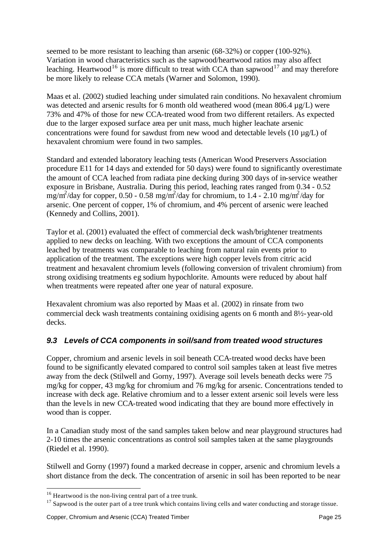seemed to be more resistant to leaching than arsenic (68-32%) or copper (100-92%). Variation in wood characteristics such as the sapwood/heartwood ratios may also affect leaching. Heartwood<sup>16</sup> is more difficult to treat with CCA than sapwood<sup>17</sup> and may therefore be more likely to release CCA metals (Warner and Solomon, 1990).

Maas et al. (2002) studied leaching under simulated rain conditions. No hexavalent chromium was detected and arsenic results for 6 month old weathered wood (mean 806.4 µg/L) were 73% and 47% of those for new CCA-treated wood from two different retailers. As expected due to the larger exposed surface area per unit mass, much higher leachate arsenic concentrations were found for sawdust from new wood and detectable levels  $(10 \mu g/L)$  of hexavalent chromium were found in two samples.

Standard and extended laboratory leaching tests (American Wood Preservers Association procedure E11 for 14 days and extended for 50 days) were found to significantly overestimate the amount of CCA leached from radiata pine decking during 300 days of in-service weather exposure in Brisbane, Australia. During this period, leaching rates ranged from 0.34 - 0.52  $mg/m^2$ /day for copper, 0.50 - 0.58 mg/m<sup>2</sup>/day for chromium, to 1.4 - 2.10 mg/m<sup>2</sup>/day for arsenic. One percent of copper, 1% of chromium, and 4% percent of arsenic were leached (Kennedy and Collins, 2001).

Taylor et al. (2001) evaluated the effect of commercial deck wash/brightener treatments applied to new decks on leaching. With two exceptions the amount of CCA components leached by treatments was comparable to leaching from natural rain events prior to application of the treatment. The exceptions were high copper levels from citric acid treatment and hexavalent chromium levels (following conversion of trivalent chromium) from strong oxidising treatments eg sodium hypochlorite. Amounts were reduced by about half when treatments were repeated after one year of natural exposure.

Hexavalent chromium was also reported by Maas et al. (2002) in rinsate from two commercial deck wash treatments containing oxidising agents on 6 month and 8½-year-old decks.

## *9.3 Levels of CCA components in soil/sand from treated wood structures*

Copper, chromium and arsenic levels in soil beneath CCA-treated wood decks have been found to be significantly elevated compared to control soil samples taken at least five metres away from the deck (Stilwell and Gorny, 1997). Average soil levels beneath decks were 75 mg/kg for copper, 43 mg/kg for chromium and 76 mg/kg for arsenic. Concentrations tended to increase with deck age. Relative chromium and to a lesser extent arsenic soil levels were less than the levels in new CCA-treated wood indicating that they are bound more effectively in wood than is copper.

In a Canadian study most of the sand samples taken below and near playground structures had 2-10 times the arsenic concentrations as control soil samples taken at the same playgrounds (Riedel et al. 1990).

Stilwell and Gorny (1997) found a marked decrease in copper, arsenic and chromium levels a short distance from the deck. The concentration of arsenic in soil has been reported to be near

<sup>&</sup>lt;sup>16</sup> Heartwood is the non-living central part of a tree trunk.

 $17$  Sapwood is the outer part of a tree trunk which contains living cells and water conducting and storage tissue.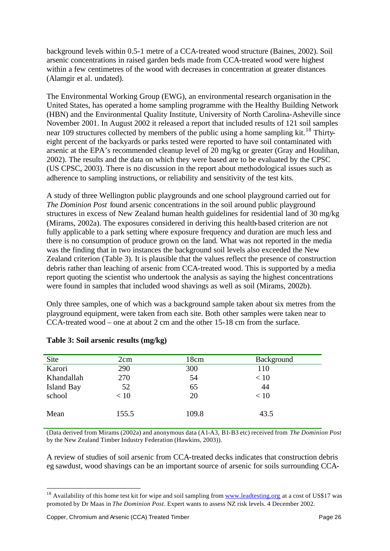background levels within 0.5-1 metre of a CCA-treated wood structure (Baines, 2002). Soil arsenic concentrations in raised garden beds made from CCA-treated wood were highest within a few centimetres of the wood with decreases in concentration at greater distances (Alamgir et al. undated).

The Environmental Working Group (EWG), an environmental research organisation in the United States, has operated a home sampling programme with the Healthy Building Network (HBN) and the Environmental Quality Institute, University of North Carolina-Asheville since November 2001. In August 2002 it released a report that included results of 121 soil samples near 109 structures collected by members of the public using a home sampling kit.<sup>18</sup> Thirtyeight percent of the backyards or parks tested were reported to have soil contaminated with arsenic at the EPA's recommended cleanup level of 20 mg/kg or greater (Gray and Houlihan, 2002). The results and the data on which they were based are to be evaluated by the CPSC (US CPSC, 2003). There is no discussion in the report about methodological issues such as adherence to sampling instructions, or reliability and sensitivity of the test kits.

A study of three Wellington public playgrounds and one school playground carried out for *The Dominion Post* found arsenic concentrations in the soil around public playground structures in excess of New Zealand human health guidelines for residential land of 30 mg/kg (Mirams, 2002a). The exposures considered in deriving this health-based criterion are not fully applicable to a park setting where exposure frequency and duration are much less and there is no consumption of produce grown on the land. What was not reported in the media was the finding that in two instances the background soil levels also exceeded the New Zealand criterion (Table 3). It is plausible that the values reflect the presence of construction debris rather than leaching of arsenic from CCA-treated wood. This is supported by a media report quoting the scientist who undertook the analysis as saying the highest concentrations were found in samples that included wood shavings as well as soil (Mirams, 2002b).

Only three samples, one of which was a background sample taken about six metres from the playground equipment, were taken from each site. Both other samples were taken near to CCA-treated wood – one at about 2 cm and the other 15-18 cm from the surface.

| Site       | 2cm   | 18cm  | Background |  |
|------------|-------|-------|------------|--|
| Karori     | 290   | 300   | 110        |  |
| Khandallah | 270   | 54    | < 10       |  |
| Island Bay | 52    | 65    | 44         |  |
| school     | < 10  | 20    | < 10       |  |
|            |       |       |            |  |
| Mean       | 155.5 | 109.8 | 43.5       |  |
|            |       |       |            |  |

#### **Table 3: Soil arsenic results (mg/kg)**

(Data derived from Mirams (2002a) and anonymous data (A1-A3, B1-B3 etc) received from *The Dominion Post* by the New Zealand Timber Industry Federation (Hawkins, 2003)).

A review of studies of soil arsenic from CCA-treated decks indicates that construction debris eg sawdust, wood shavings can be an important source of arsenic for soils surrounding CCA-

<sup>&</sup>lt;sup>18</sup> Availability of this home test kit for wipe and soil sampling from www.leadtesting.org at a cost of US\$17 was promoted by Dr Maas in *The Dominion Post*. Expert wants to assess NZ risk levels. 4 December 2002.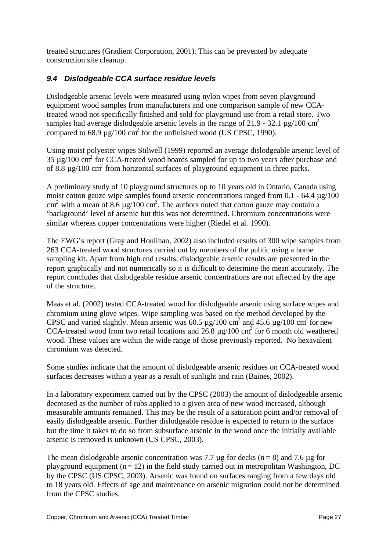treated structures (Gradient Corporation, 2001). This can be prevented by adequate construction site cleanup.

## *9.4 Dislodgeable CCA surface residue levels*

Dislodgeable arsenic levels were measured using nylon wipes from seven playground equipment wood samples from manufacturers and one comparison sample of new CCAtreated wood not specifically finished and sold for playground use from a retail store. Two samples had average dislodgeable arsenic levels in the range of 21.9 - 32.1  $\mu$ g/100 cm<sup>2</sup> compared to 68.9  $\mu$ g/100 cm<sup>2</sup> for the unfinished wood (US CPSC, 1990).

Using moist polyester wipes Stilwell (1999) reported an average dislodgeable arsenic level of  $35 \mu$ g/100 cm<sup>2</sup> for CCA-treated wood boards sampled for up to two years after purchase and of 8.8  $\mu$ g/100 cm<sup>2</sup> from horizontal surfaces of playground equipment in three parks.

A preliminary study of 10 playground structures up to 10 years old in Ontario, Canada using moist cotton gauze wipe samples found arsenic concentrations ranged from 0.1 - 64.4  $\mu$ g/100  $\text{cm}^2$  with a mean of 8.6 µg/100 cm<sup>2</sup>. The authors noted that cotton gauze may contain a 'background' level of arsenic but this was not determined. Chromium concentrations were similar whereas copper concentrations were higher (Riedel et al. 1990).

The EWG's report (Gray and Houlihan, 2002) also included results of 300 wipe samples from 263 CCA-treated wood structures carried out by members of the public using a home sampling kit. Apart from high end results, dislodgeable arsenic results are presented in the report graphically and not numerically so it is difficult to determine the mean accurately. The report concludes that dislodgeable residue arsenic concentrations are not affected by the age of the structure.

Maas et al. (2002) tested CCA-treated wood for dislodgeable arsenic using surface wipes and chromium using glove wipes. Wipe sampling was based on the method developed by the CPSC and varied slightly. Mean arsenic was  $60.5 \mu g/100 \text{ cm}^2$  and  $45.6 \mu g/100 \text{ cm}^2$  for new CCA-treated wood from two retail locations and  $26.8 \mu g/100 \text{ cm}^2$  for 6 month old weathered wood. These values are within the wide range of those previously reported. No hexavalent chromium was detected.

Some studies indicate that the amount of dislodgeable arsenic residues on CCA-treated wood surfaces decreases within a year as a result of sunlight and rain (Baines, 2002).

In a laboratory experiment carried out by the CPSC (2003) the amount of dislodgeable arsenic decreased as the number of rubs applied to a given area of new wood increased, although measurable amounts remained. This may be the result of a saturation point and/or removal of easily dislodgeable arsenic. Further dislodgeable residue is expected to return to the surface but the time it takes to do so from subsurface arsenic in the wood once the initially available arsenic is removed is unknown (US CPSC, 2003).

The mean dislodgeable arsenic concentration was 7.7  $\mu$ g for decks (n = 8) and 7.6  $\mu$ g for playground equipment  $(n = 12)$  in the field study carried out in metropolitan Washington, DC by the CPSC (US CPSC, 2003). Arsenic was found on surfaces ranging from a few days old to 18 years old. Effects of age and maintenance on arsenic migration could not be determined from the CPSC studies.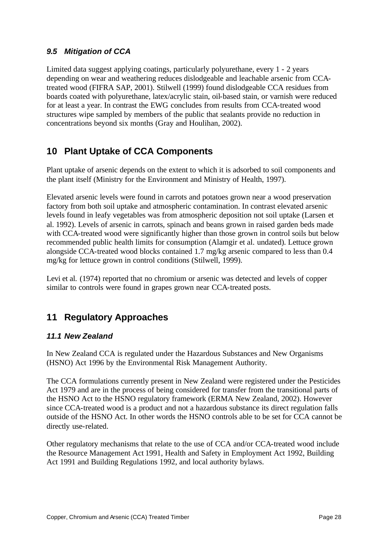## *9.5 Mitigation of CCA*

Limited data suggest applying coatings, particularly polyurethane, every 1 - 2 years depending on wear and weathering reduces dislodgeable and leachable arsenic from CCAtreated wood (FIFRA SAP, 2001). Stilwell (1999) found dislodgeable CCA residues from boards coated with polyurethane, latex/acrylic stain, oil-based stain, or varnish were reduced for at least a year. In contrast the EWG concludes from results from CCA-treated wood structures wipe sampled by members of the public that sealants provide no reduction in concentrations beyond six months (Gray and Houlihan, 2002).

# **10 Plant Uptake of CCA Components**

Plant uptake of arsenic depends on the extent to which it is adsorbed to soil components and the plant itself (Ministry for the Environment and Ministry of Health, 1997).

Elevated arsenic levels were found in carrots and potatoes grown near a wood preservation factory from both soil uptake and atmospheric contamination. In contrast elevated arsenic levels found in leafy vegetables was from atmospheric deposition not soil uptake (Larsen et al. 1992). Levels of arsenic in carrots, spinach and beans grown in raised garden beds made with CCA-treated wood were significantly higher than those grown in control soils but below recommended public health limits for consumption (Alamgir et al. undated). Lettuce grown alongside CCA-treated wood blocks contained 1.7 mg/kg arsenic compared to less than 0.4 mg/kg for lettuce grown in control conditions (Stilwell, 1999).

Levi et al. (1974) reported that no chromium or arsenic was detected and levels of copper similar to controls were found in grapes grown near CCA-treated posts.

# **11 Regulatory Approaches**

#### *11.1 New Zealand*

In New Zealand CCA is regulated under the Hazardous Substances and New Organisms (HSNO) Act 1996 by the Environmental Risk Management Authority.

The CCA formulations currently present in New Zealand were registered under the Pesticides Act 1979 and are in the process of being considered for transfer from the transitional parts of the HSNO Act to the HSNO regulatory framework (ERMA New Zealand, 2002). However since CCA-treated wood is a product and not a hazardous substance its direct regulation falls outside of the HSNO Act. In other words the HSNO controls able to be set for CCA cannot be directly use-related.

Other regulatory mechanisms that relate to the use of CCA and/or CCA-treated wood include the Resource Management Act 1991, Health and Safety in Employment Act 1992, Building Act 1991 and Building Regulations 1992, and local authority bylaws.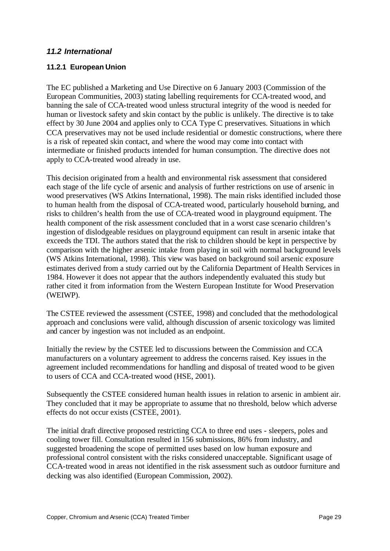#### *11.2 International*

#### **11.2.1 European Union**

The EC published a Marketing and Use Directive on 6 January 2003 (Commission of the European Communities, 2003) stating labelling requirements for CCA-treated wood, and banning the sale of CCA-treated wood unless structural integrity of the wood is needed for human or livestock safety and skin contact by the public is unlikely. The directive is to take effect by 30 June 2004 and applies only to CCA Type C preservatives. Situations in which CCA preservatives may not be used include residential or domestic constructions, where there is a risk of repeated skin contact, and where the wood may come into contact with intermediate or finished products intended for human consumption. The directive does not apply to CCA-treated wood already in use.

This decision originated from a health and environmental risk assessment that considered each stage of the life cycle of arsenic and analysis of further restrictions on use of arsenic in wood preservatives (WS Atkins International, 1998). The main risks identified included those to human health from the disposal of CCA-treated wood, particularly household burning, and risks to children's health from the use of CCA-treated wood in playground equipment. The health component of the risk assessment concluded that in a worst case scenario children's ingestion of dislodgeable residues on playground equipment can result in arsenic intake that exceeds the TDI. The authors stated that the risk to children should be kept in perspective by comparison with the higher arsenic intake from playing in soil with normal background levels (WS Atkins International, 1998). This view was based on background soil arsenic exposure estimates derived from a study carried out by the California Department of Health Services in 1984. However it does not appear that the authors independently evaluated this study but rather cited it from information from the Western European Institute for Wood Preservation (WEIWP).

The CSTEE reviewed the assessment (CSTEE, 1998) and concluded that the methodological approach and conclusions were valid, although discussion of arsenic toxicology was limited and cancer by ingestion was not included as an endpoint.

Initially the review by the CSTEE led to discussions between the Commission and CCA manufacturers on a voluntary agreement to address the concerns raised. Key issues in the agreement included recommendations for handling and disposal of treated wood to be given to users of CCA and CCA-treated wood (HSE, 2001).

Subsequently the CSTEE considered human health issues in relation to arsenic in ambient air. They concluded that it may be appropriate to assume that no threshold, below which adverse effects do not occur exists (CSTEE, 2001).

The initial draft directive proposed restricting CCA to three end uses - sleepers, poles and cooling tower fill. Consultation resulted in 156 submissions, 86% from industry, and suggested broadening the scope of permitted uses based on low human exposure and professional control consistent with the risks considered unacceptable. Significant usage of CCA-treated wood in areas not identified in the risk assessment such as outdoor furniture and decking was also identified (European Commission, 2002).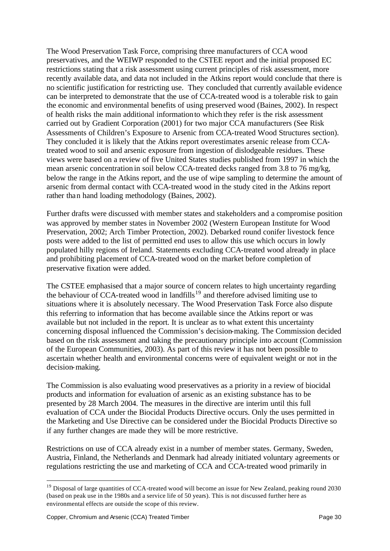The Wood Preservation Task Force, comprising three manufacturers of CCA wood preservatives, and the WEIWP responded to the CSTEE report and the initial proposed EC restrictions stating that a risk assessment using current principles of risk assessment, more recently available data, and data not included in the Atkins report would conclude that there is no scientific justification for restricting use. They concluded that currently available evidence can be interpreted to demonstrate that the use of CCA-treated wood is a tolerable risk to gain the economic and environmental benefits of using preserved wood (Baines, 2002). In respect of health risks the main additional information to which they refer is the risk assessment carried out by Gradient Corporation (2001) for two major CCA manufacturers (See Risk Assessments of Children's Exposure to Arsenic from CCA-treated Wood Structures section). They concluded it is likely that the Atkins report overestimates arsenic release from CCAtreated wood to soil and arsenic exposure from ingestion of dislodgeable residues. These views were based on a review of five United States studies published from 1997 in which the mean arsenic concentration in soil below CCA-treated decks ranged from 3.8 to 76 mg/kg, below the range in the Atkins report, and the use of wipe sampling to determine the amount of arsenic from dermal contact with CCA-treated wood in the study cited in the Atkins report rather than hand loading methodology (Baines, 2002).

Further drafts were discussed with member states and stakeholders and a compromise position was approved by member states in November 2002 (Western European Institute for Wood Preservation, 2002; Arch Timber Protection, 2002). Debarked round conifer livestock fence posts were added to the list of permitted end uses to allow this use which occurs in lowly populated hilly regions of Ireland. Statements excluding CCA-treated wood already in place and prohibiting placement of CCA-treated wood on the market before completion of preservative fixation were added.

The CSTEE emphasised that a major source of concern relates to high uncertainty regarding the behaviour of CCA-treated wood in landfills<sup>19</sup> and therefore advised limiting use to situations where it is absolutely necessary. The Wood Preservation Task Force also dispute this referring to information that has become available since the Atkins report or was available but not included in the report. It is unclear as to what extent this uncertainty concerning disposal influenced the Commission's decision-making. The Commission decided based on the risk assessment and taking the precautionary principle into account (Commission of the European Communities, 2003). As part of this review it has not been possible to ascertain whether health and environmental concerns were of equivalent weight or not in the decision-making.

The Commission is also evaluating wood preservatives as a priority in a review of biocidal products and information for evaluation of arsenic as an existing substance has to be presented by 28 March 2004. The measures in the directive are interim until this full evaluation of CCA under the Biocidal Products Directive occurs. Only the uses permitted in the Marketing and Use Directive can be considered under the Biocidal Products Directive so if any further changes are made they will be more restrictive.

Restrictions on use of CCA already exist in a number of member states. Germany, Sweden, Austria, Finland, the Netherlands and Denmark had already initiated voluntary agreements or regulations restricting the use and marketing of CCA and CCA-treated wood primarily in

<sup>&</sup>lt;sup>19</sup> Disposal of large quantities of CCA-treated wood will become an issue for New Zealand, peaking round 2030 (based on peak use in the 1980s and a service life of 50 years). This is not discussed further here as environmental effects are outside the scope of this review.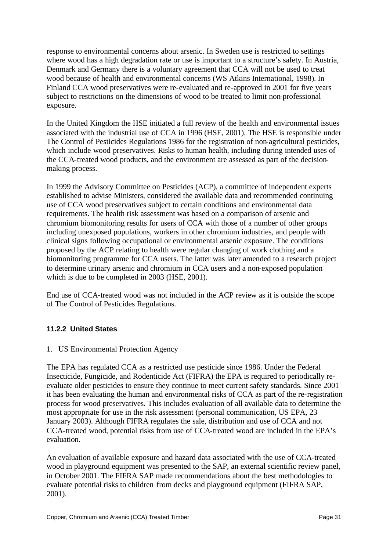response to environmental concerns about arsenic. In Sweden use is restricted to settings where wood has a high degradation rate or use is important to a structure's safety. In Austria, Denmark and Germany there is a voluntary agreement that CCA will not be used to treat wood because of health and environmental concerns (WS Atkins International, 1998). In Finland CCA wood preservatives were re-evaluated and re-approved in 2001 for five years subject to restrictions on the dimensions of wood to be treated to limit non-professional exposure.

In the United Kingdom the HSE initiated a full review of the health and environmental issues associated with the industrial use of CCA in 1996 (HSE, 2001). The HSE is responsible under The Control of Pesticides Regulations 1986 for the registration of non-agricultural pesticides, which include wood preservatives. Risks to human health, including during intended uses of the CCA-treated wood products, and the environment are assessed as part of the decisionmaking process.

In 1999 the Advisory Committee on Pesticides (ACP), a committee of independent experts established to advise Ministers, considered the available data and recommended continuing use of CCA wood preservatives subject to certain conditions and environmental data requirements. The health risk assessment was based on a comparison of arsenic and chromium biomonitoring results for users of CCA with those of a number of other groups including unexposed populations, workers in other chromium industries, and people with clinical signs following occupational or environmental arsenic exposure. The conditions proposed by the ACP relating to health were regular changing of work clothing and a biomonitoring programme for CCA users. The latter was later amended to a research project to determine urinary arsenic and chromium in CCA users and a non-exposed population which is due to be completed in 2003 (HSE, 2001).

End use of CCA-treated wood was not included in the ACP review as it is outside the scope of The Control of Pesticides Regulations.

#### **11.2.2 United States**

#### 1. US Environmental Protection Agency

The EPA has regulated CCA as a restricted use pesticide since 1986. Under the Federal Insecticide, Fungicide, and Rodenticide Act (FIFRA) the EPA is required to periodically reevaluate older pesticides to ensure they continue to meet current safety standards. Since 2001 it has been evaluating the human and environmental risks of CCA as part of the re-registration process for wood preservatives. This includes evaluation of all available data to determine the most appropriate for use in the risk assessment (personal communication, US EPA, 23 January 2003). Although FIFRA regulates the sale, distribution and use of CCA and not CCA-treated wood, potential risks from use of CCA-treated wood are included in the EPA's evaluation.

An evaluation of available exposure and hazard data associated with the use of CCA-treated wood in playground equipment was presented to the SAP, an external scientific review panel, in October 2001. The FIFRA SAP made recommendations about the best methodologies to evaluate potential risks to children from decks and playground equipment (FIFRA SAP, 2001).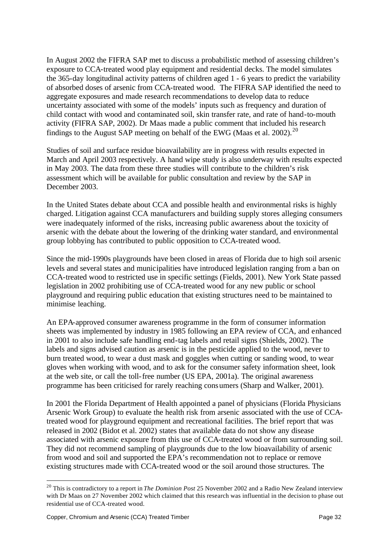In August 2002 the FIFRA SAP met to discuss a probabilistic method of assessing children's exposure to CCA-treated wood play equipment and residential decks. The model simulates the 365-day longitudinal activity patterns of children aged 1 - 6 years to predict the variability of absorbed doses of arsenic from CCA-treated wood. The FIFRA SAP identified the need to aggregate exposures and made research recommendations to develop data to reduce uncertainty associated with some of the models' inputs such as frequency and duration of child contact with wood and contaminated soil, skin transfer rate, and rate of hand-to-mouth activity (FIFRA SAP, 2002). Dr Maas made a public comment that included his research findings to the August SAP meeting on behalf of the EWG (Maas et al. 2002).<sup>20</sup>

Studies of soil and surface residue bioavailability are in progress with results expected in March and April 2003 respectively. A hand wipe study is also underway with results expected in May 2003. The data from these three studies will contribute to the children's risk assessment which will be available for public consultation and review by the SAP in December 2003.

In the United States debate about CCA and possible health and environmental risks is highly charged. Litigation against CCA manufacturers and building supply stores alleging consumers were inadequately informed of the risks, increasing public awareness about the toxicity of arsenic with the debate about the lowering of the drinking water standard, and environmental group lobbying has contributed to public opposition to CCA-treated wood.

Since the mid-1990s playgrounds have been closed in areas of Florida due to high soil arsenic levels and several states and municipalities have introduced legislation ranging from a ban on CCA-treated wood to restricted use in specific settings (Fields, 2001). New York State passed legislation in 2002 prohibiting use of CCA-treated wood for any new public or school playground and requiring public education that existing structures need to be maintained to minimise leaching.

An EPA-approved consumer awareness programme in the form of consumer information sheets was implemented by industry in 1985 following an EPA review of CCA, and enhanced in 2001 to also include safe handling end-tag labels and retail signs (Shields, 2002). The labels and signs advised caution as arsenic is in the pesticide applied to the wood, never to burn treated wood, to wear a dust mask and goggles when cutting or sanding wood, to wear gloves when working with wood, and to ask for the consumer safety information sheet, look at the web site, or call the toll-free number (US EPA, 2001a). The original awareness programme has been criticised for rarely reaching consumers (Sharp and Walker, 2001).

In 2001 the Florida Department of Health appointed a panel of physicians (Florida Physicians Arsenic Work Group) to evaluate the health risk from arsenic associated with the use of CCAtreated wood for playground equipment and recreational facilities. The brief report that was released in 2002 (Bidot et al. 2002) states that available data do not show any disease associated with arsenic exposure from this use of CCA-treated wood or from surrounding soil. They did not recommend sampling of playgrounds due to the low bioavailability of arsenic from wood and soil and supported the EPA's recommendation not to replace or remove existing structures made with CCA-treated wood or the soil around those structures. The

<sup>20</sup> This is contradictory to a report in *The Dominion Post* 25 November 2002 and a Radio New Zealand interview with Dr Maas on 27 November 2002 which claimed that this research was influential in the decision to phase out residential use of CCA-treated wood.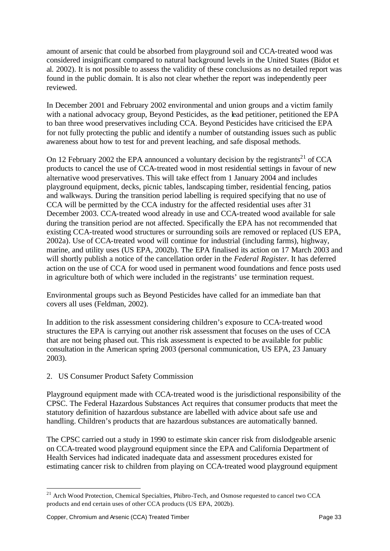amount of arsenic that could be absorbed from playground soil and CCA-treated wood was considered insignificant compared to natural background levels in the United States (Bidot et al. 2002). It is not possible to assess the validity of these conclusions as no detailed report was found in the public domain. It is also not clear whether the report was independently peer reviewed.

In December 2001 and February 2002 environmental and union groups and a victim family with a national advocacy group, Beyond Pesticides, as the lead petitioner, petitioned the EPA to ban three wood preservatives including CCA. Beyond Pesticides have criticised the EPA for not fully protecting the public and identify a number of outstanding issues such as public awareness about how to test for and prevent leaching, and safe disposal methods.

On 12 February 2002 the EPA announced a voluntary decision by the registrants<sup>21</sup> of CCA products to cancel the use of CCA-treated wood in most residential settings in favour of new alternative wood preservatives. This will take effect from 1 January 2004 and includes playground equipment, decks, picnic tables, landscaping timber, residential fencing, patios and walkways. During the transition period labelling is required specifying that no use of CCA will be permitted by the CCA industry for the affected residential uses after 31 December 2003. CCA-treated wood already in use and CCA-treated wood available for sale during the transition period are not affected. Specifically the EPA has not recommended that existing CCA-treated wood structures or surrounding soils are removed or replaced (US EPA, 2002a). Use of CCA-treated wood will continue for industrial (including farms), highway, marine, and utility uses (US EPA, 2002b). The EPA finalised its action on 17 March 2003 and will shortly publish a notice of the cancellation order in the *Federal Register*. It has deferred action on the use of CCA for wood used in permanent wood foundations and fence posts used in agriculture both of which were included in the registrants' use termination request.

Environmental groups such as Beyond Pesticides have called for an immediate ban that covers all uses (Feldman, 2002).

In addition to the risk assessment considering children's exposure to CCA-treated wood structures the EPA is carrying out another risk assessment that focuses on the uses of CCA that are not being phased out. This risk assessment is expected to be available for public consultation in the American spring 2003 (personal communication, US EPA, 23 January 2003).

#### 2. US Consumer Product Safety Commission

Playground equipment made with CCA-treated wood is the jurisdictional responsibility of the CPSC. The Federal Hazardous Substances Act requires that consumer products that meet the statutory definition of hazardous substance are labelled with advice about safe use and handling. Children's products that are hazardous substances are automatically banned.

The CPSC carried out a study in 1990 to estimate skin cancer risk from dislodgeable arsenic on CCA-treated wood playground equipment since the EPA and California Department of Health Services had indicated inadequate data and assessment procedures existed for estimating cancer risk to children from playing on CCA-treated wood playground equipment

<sup>&</sup>lt;sup>21</sup> Arch Wood Protection, Chemical Specialties, Phibro-Tech, and Osmose requested to cancel two CCA products and end certain uses of other CCA products (US EPA, 2002b).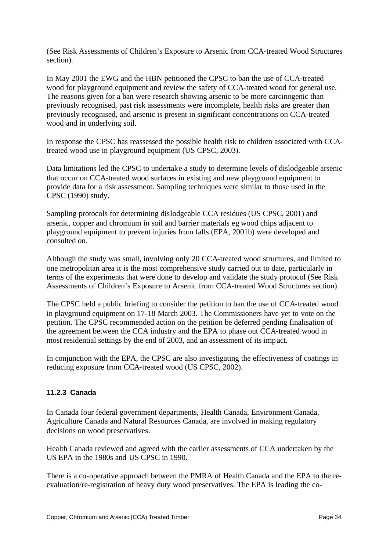(See Risk Assessments of Children's Exposure to Arsenic from CCA-treated Wood Structures section).

In May 2001 the EWG and the HBN petitioned the CPSC to ban the use of CCA-treated wood for playground equipment and review the safety of CCA-treated wood for general use. The reasons given for a ban were research showing arsenic to be more carcinogenic than previously recognised, past risk assessments were incomplete, health risks are greater than previously recognised, and arsenic is present in significant concentrations on CCA-treated wood and in underlying soil.

In response the CPSC has reassessed the possible health risk to children associated with CCAtreated wood use in playground equipment (US CPSC, 2003).

Data limitations led the CPSC to undertake a study to determine levels of dislodgeable arsenic that occur on CCA-treated wood surfaces in existing and new playground equipment to provide data for a risk assessment. Sampling techniques were similar to those used in the CPSC (1990) study.

Sampling protocols for determining dislodgeable CCA residues (US CPSC, 2001) and arsenic, copper and chromium in soil and barrier materials eg wood chips adjacent to playground equipment to prevent injuries from falls (EPA, 2001b) were developed and consulted on.

Although the study was small, involving only 20 CCA-treated wood structures, and limited to one metropolitan area it is the most comprehensive study carried out to date, particularly in terms of the experiments that were done to develop and validate the study protocol (See Risk Assessments of Children's Exposure to Arsenic from CCA-treated Wood Structures section).

The CPSC held a public briefing to consider the petition to ban the use of CCA-treated wood in playground equipment on 17-18 March 2003. The Commissioners have yet to vote on the petition. The CPSC recommended action on the petition be deferred pending finalisation of the agreement between the CCA industry and the EPA to phase out CCA-treated wood in most residential settings by the end of 2003, and an assessment of its impact.

In conjunction with the EPA, the CPSC are also investigating the effectiveness of coatings in reducing exposure from CCA-treated wood (US CPSC, 2002).

#### **11.2.3 Canada**

In Canada four federal government departments, Health Canada, Environment Canada, Agriculture Canada and Natural Resources Canada, are involved in making regulatory decisions on wood preservatives.

Health Canada reviewed and agreed with the earlier assessments of CCA undertaken by the US EPA in the 1980s and US CPSC in 1990.

There is a co-operative approach between the PMRA of Health Canada and the EPA to the reevaluation/re-registration of heavy duty wood preservatives. The EPA is leading the co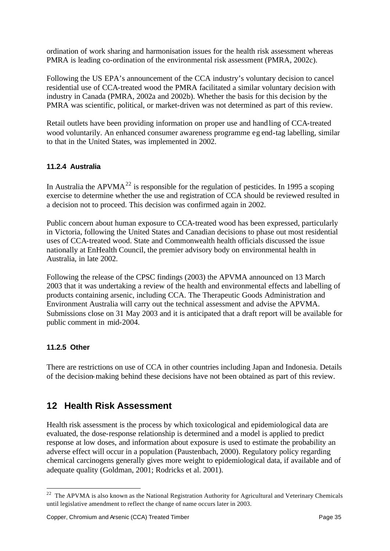ordination of work sharing and harmonisation issues for the health risk assessment whereas PMRA is leading co-ordination of the environmental risk assessment (PMRA, 2002c).

Following the US EPA's announcement of the CCA industry's voluntary decision to cancel residential use of CCA-treated wood the PMRA facilitated a similar voluntary decision with industry in Canada (PMRA, 2002a and 2002b). Whether the basis for this decision by the PMRA was scientific, political, or market-driven was not determined as part of this review.

Retail outlets have been providing information on proper use and handling of CCA-treated wood voluntarily. An enhanced consumer awareness programme eg end-tag labelling, similar to that in the United States, was implemented in 2002.

## **11.2.4 Australia**

In Australia the APVMA<sup>22</sup> is responsible for the regulation of pesticides. In 1995 a scoping exercise to determine whether the use and registration of CCA should be reviewed resulted in a decision not to proceed. This decision was confirmed again in 2002.

Public concern about human exposure to CCA-treated wood has been expressed, particularly in Victoria, following the United States and Canadian decisions to phase out most residential uses of CCA-treated wood. State and Commonwealth health officials discussed the issue nationally at EnHealth Council, the premier advisory body on environmental health in Australia, in late 2002.

Following the release of the CPSC findings (2003) the APVMA announced on 13 March 2003 that it was undertaking a review of the health and environmental effects and labelling of products containing arsenic, including CCA. The Therapeutic Goods Administration and Environment Australia will carry out the technical assessment and advise the APVMA. Submissions close on 31 May 2003 and it is anticipated that a draft report will be available for public comment in mid-2004.

#### **11.2.5 Other**

l

There are restrictions on use of CCA in other countries including Japan and Indonesia. Details of the decision-making behind these decisions have not been obtained as part of this review.

# **12 Health Risk Assessment**

Health risk assessment is the process by which toxicological and epidemiological data are evaluated, the dose-response relationship is determined and a model is applied to predict response at low doses, and information about exposure is used to estimate the probability an adverse effect will occur in a population (Paustenbach, 2000). Regulatory policy regarding chemical carcinogens generally gives more weight to epidemiological data, if available and of adequate quality (Goldman, 2001; Rodricks et al. 2001).

 $22$  The APVMA is also known as the National Registration Authority for Agricultural and Veterinary Chemicals until legislative amendment to reflect the change of name occurs later in 2003.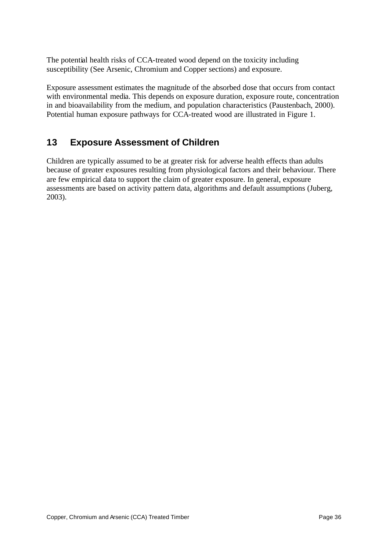The potential health risks of CCA-treated wood depend on the toxicity including susceptibility (See Arsenic, Chromium and Copper sections) and exposure.

Exposure assessment estimates the magnitude of the absorbed dose that occurs from contact with environmental media. This depends on exposure duration, exposure route, concentration in and bioavailability from the medium, and population characteristics (Paustenbach, 2000). Potential human exposure pathways for CCA-treated wood are illustrated in Figure 1.

# **13 Exposure Assessment of Children**

Children are typically assumed to be at greater risk for adverse health effects than adults because of greater exposures resulting from physiological factors and their behaviour. There are few empirical data to support the claim of greater exposure. In general, exposure assessments are based on activity pattern data, algorithms and default assumptions (Juberg, 2003).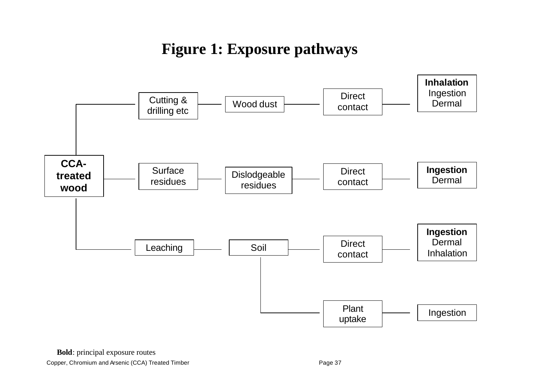# **Figure 1: Exposure pathways**

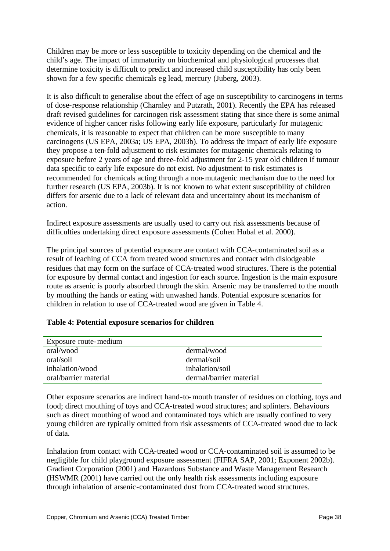Children may be more or less susceptible to toxicity depending on the chemical and the child's age. The impact of immaturity on biochemical and physiological processes that determine toxicity is difficult to predict and increased child susceptibility has only been shown for a few specific chemicals eg lead, mercury (Juberg, 2003).

It is also difficult to generalise about the effect of age on susceptibility to carcinogens in terms of dose-response relationship (Charnley and Putzrath, 2001). Recently the EPA has released draft revised guidelines for carcinogen risk assessment stating that since there is some animal evidence of higher cancer risks following early life exposure, particularly for mutagenic chemicals, it is reasonable to expect that children can be more susceptible to many carcinogens (US EPA, 2003a; US EPA, 2003b). To address the impact of early life exposure they propose a ten-fold adjustment to risk estimates for mutagenic chemicals relating to exposure before 2 years of age and three-fold adjustment for 2-15 year old children if tumour data specific to early life exposure do not exist. No adjustment to risk estimates is recommended for chemicals acting through a non-mutagenic mechanism due to the need for further research (US EPA, 2003b). It is not known to what extent susceptibility of children differs for arsenic due to a lack of relevant data and uncertainty about its mechanism of action.

Indirect exposure assessments are usually used to carry out risk assessments because of difficulties undertaking direct exposure assessments (Cohen Hubal et al. 2000).

The principal sources of potential exposure are contact with CCA-contaminated soil as a result of leaching of CCA from treated wood structures and contact with dislodgeable residues that may form on the surface of CCA-treated wood structures. There is the potential for exposure by dermal contact and ingestion for each source. Ingestion is the main exposure route as arsenic is poorly absorbed through the skin. Arsenic may be transferred to the mouth by mouthing the hands or eating with unwashed hands. Potential exposure scenarios for children in relation to use of CCA-treated wood are given in Table 4.

| Exposure route-medium |                         |
|-----------------------|-------------------------|
| oral/wood             | dermal/wood             |
| oral/soil             | dermal/soil             |
| inhalation/wood       | inhalation/soil         |
| oral/barrier material | dermal/barrier material |

#### **Table 4: Potential exposure scenarios for children**

Other exposure scenarios are indirect hand-to-mouth transfer of residues on clothing, toys and food; direct mouthing of toys and CCA-treated wood structures; and splinters. Behaviours such as direct mouthing of wood and contaminated toys which are usually confined to very young children are typically omitted from risk assessments of CCA-treated wood due to lack of data.

Inhalation from contact with CCA-treated wood or CCA-contaminated soil is assumed to be negligible for child playground exposure assessment (FIFRA SAP, 2001; Exponent 2002b). Gradient Corporation (2001) and Hazardous Substance and Waste Management Research (HSWMR (2001) have carried out the only health risk assessments including exposure through inhalation of arsenic-contaminated dust from CCA-treated wood structures.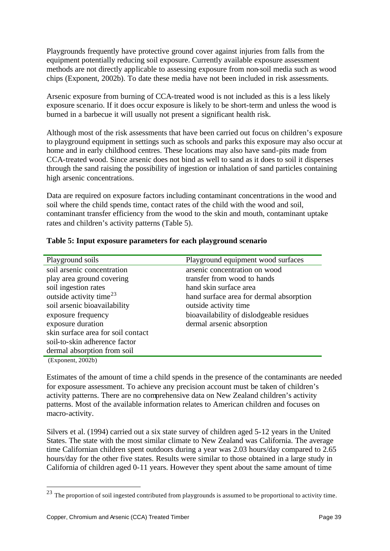Playgrounds frequently have protective ground cover against injuries from falls from the equipment potentially reducing soil exposure. Currently available exposure assessment methods are not directly applicable to assessing exposure from non-soil media such as wood chips (Exponent, 2002b). To date these media have not been included in risk assessments.

Arsenic exposure from burning of CCA-treated wood is not included as this is a less likely exposure scenario. If it does occur exposure is likely to be short-term and unless the wood is burned in a barbecue it will usually not present a significant health risk.

Although most of the risk assessments that have been carried out focus on children's exposure to playground equipment in settings such as schools and parks this exposure may also occur at home and in early childhood centres. These locations may also have sand-pits made from CCA-treated wood. Since arsenic does not bind as well to sand as it does to soil it disperses through the sand raising the possibility of ingestion or inhalation of sand particles containing high arsenic concentrations.

Data are required on exposure factors including contaminant concentrations in the wood and soil where the child spends time, contact rates of the child with the wood and soil, contaminant transfer efficiency from the wood to the skin and mouth, contaminant uptake rates and children's activity patterns (Table 5).

| Playground soils                    | Playground equipment wood surfaces       |
|-------------------------------------|------------------------------------------|
| soil arsenic concentration          | arsenic concentration on wood            |
| play area ground covering           | transfer from wood to hands              |
| soil ingestion rates                | hand skin surface area                   |
| outside activity time <sup>23</sup> | hand surface area for dermal absorption  |
| soil arsenic bioavailability        | outside activity time                    |
| exposure frequency                  | bioavailability of dislodgeable residues |
| exposure duration                   | dermal arsenic absorption                |
| skin surface area for soil contact  |                                          |
| soil-to-skin adherence factor       |                                          |
| dermal absorption from soil         |                                          |
|                                     |                                          |

#### **Table 5: Input exposure parameters for each playground scenario**

(Exponent, 2002b)

l

Estimates of the amount of time a child spends in the presence of the contaminants are needed for exposure assessment. To achieve any precision account must be taken of children's activity patterns. There are no comprehensive data on New Zealand children's activity patterns. Most of the available information relates to American children and focuses on macro-activity.

Silvers et al. (1994) carried out a six state survey of children aged 5-12 years in the United States. The state with the most similar climate to New Zealand was California. The average time Californian children spent outdoors during a year was 2.03 hours/day compared to 2.65 hours/day for the other five states. Results were similar to those obtained in a large study in California of children aged 0-11 years. However they spent about the same amount of time

 $^{23}$  The proportion of soil ingested contributed from playgrounds is assumed to be proportional to activity time.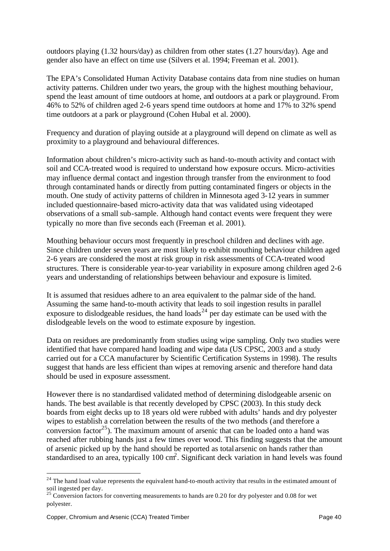outdoors playing (1.32 hours/day) as children from other states (1.27 hours/day). Age and gender also have an effect on time use (Silvers et al. 1994; Freeman et al. 2001).

The EPA's Consolidated Human Activity Database contains data from nine studies on human activity patterns. Children under two years, the group with the highest mouthing behaviour, spend the least amount of time outdoors at home, and outdoors at a park or playground. From 46% to 52% of children aged 2-6 years spend time outdoors at home and 17% to 32% spend time outdoors at a park or playground (Cohen Hubal et al. 2000).

Frequency and duration of playing outside at a playground will depend on climate as well as proximity to a playground and behavioural differences.

Information about children's micro-activity such as hand-to-mouth activity and contact with soil and CCA-treated wood is required to understand how exposure occurs. Micro-activities may influence dermal contact and ingestion through transfer from the environment to food through contaminated hands or directly from putting contaminated fingers or objects in the mouth. One study of activity patterns of children in Minnesota aged 3-12 years in summer included questionnaire-based micro-activity data that was validated using videotaped observations of a small sub-sample. Although hand contact events were frequent they were typically no more than five seconds each (Freeman et al. 2001).

Mouthing behaviour occurs most frequently in preschool children and declines with age. Since children under seven years are most likely to exhibit mouthing behaviour children aged 2-6 years are considered the most at risk group in risk assessments of CCA-treated wood structures. There is considerable year-to-year variability in exposure among children aged 2-6 years and understanding of relationships between behaviour and exposure is limited.

It is assumed that residues adhere to an area equivalent to the palmar side of the hand. Assuming the same hand-to-mouth activity that leads to soil ingestion results in parallel exposure to dislodgeable residues, the hand loads<sup>24</sup> per day estimate can be used with the dislodgeable levels on the wood to estimate exposure by ingestion.

Data on residues are predominantly from studies using wipe sampling. Only two studies were identified that have compared hand loading and wipe data (US CPSC, 2003 and a study carried out for a CCA manufacturer by Scientific Certification Systems in 1998). The results suggest that hands are less efficient than wipes at removing arsenic and therefore hand data should be used in exposure assessment.

However there is no standardised validated method of determining dislodgeable arsenic on hands. The best available is that recently developed by CPSC (2003). In this study deck boards from eight decks up to 18 years old were rubbed with adults' hands and dry polyester wipes to establish a correlation between the results of the two methods (and therefore a conversion factor<sup>25</sup>). The maximum amount of arsenic that can be loaded onto a hand was reached after rubbing hands just a few times over wood. This finding suggests that the amount of arsenic picked up by the hand should be reported as total arsenic on hands rather than standardised to an area, typically 100 cm<sup>2</sup>. Significant deck variation in hand levels was found

 $24$  The hand load value represents the equivalent hand-to-mouth activity that results in the estimated amount of soil ingested per day.

 $^{25}$  Conversion factors for converting measurements to hands are 0.20 for dry polyester and 0.08 for wet polyester.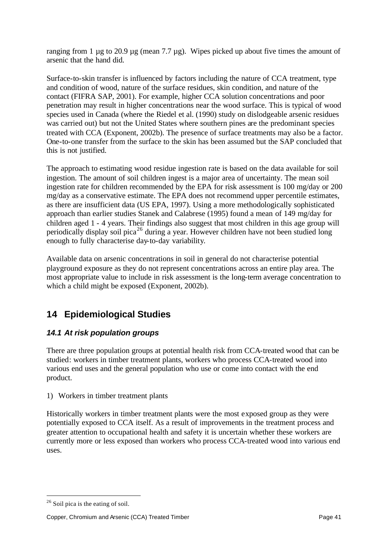ranging from 1 µg to 20.9 µg (mean 7.7 µg). Wipes picked up about five times the amount of arsenic that the hand did.

Surface-to-skin transfer is influenced by factors including the nature of CCA treatment, type and condition of wood, nature of the surface residues, skin condition, and nature of the contact (FIFRA SAP, 2001). For example, higher CCA solution concentrations and poor penetration may result in higher concentrations near the wood surface. This is typical of wood species used in Canada (where the Riedel et al. (1990) study on dislodgeable arsenic residues was carried out) but not the United States where southern pines are the predominant species treated with CCA (Exponent, 2002b). The presence of surface treatments may also be a factor. One-to-one transfer from the surface to the skin has been assumed but the SAP concluded that this is not justified.

The approach to estimating wood residue ingestion rate is based on the data available for soil ingestion. The amount of soil children ingest is a major area of uncertainty. The mean soil ingestion rate for children recommended by the EPA for risk assessment is 100 mg/day or 200 mg/day as a conservative estimate. The EPA does not recommend upper percentile estimates, as there are insufficient data (US EPA, 1997). Using a more methodologically sophisticated approach than earlier studies Stanek and Calabrese (1995) found a mean of 149 mg/day for children aged 1 - 4 years. Their findings also suggest that most children in this age group will periodically display soil pica<sup>26</sup> during a year. However children have not been studied long enough to fully characterise day-to-day variability.

Available data on arsenic concentrations in soil in general do not characterise potential playground exposure as they do not represent concentrations across an entire play area. The most appropriate value to include in risk assessment is the long-term average concentration to which a child might be exposed (Exponent, 2002b).

# **14 Epidemiological Studies**

## *14.1 At risk population groups*

There are three population groups at potential health risk from CCA-treated wood that can be studied: workers in timber treatment plants, workers who process CCA-treated wood into various end uses and the general population who use or come into contact with the end product.

#### 1) Workers in timber treatment plants

Historically workers in timber treatment plants were the most exposed group as they were potentially exposed to CCA itself. As a result of improvements in the treatment process and greater attention to occupational health and safety it is uncertain whether these workers are currently more or less exposed than workers who process CCA-treated wood into various end uses.

 $26$  Soil pica is the eating of soil.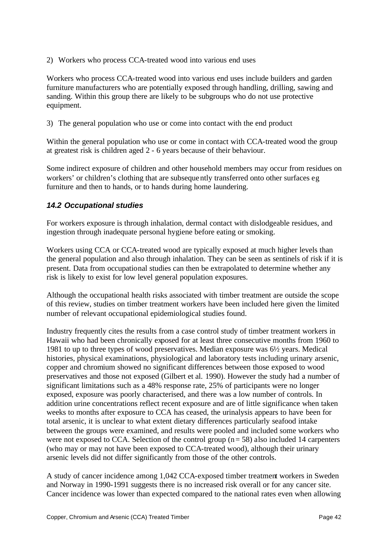2) Workers who process CCA-treated wood into various end uses

Workers who process CCA-treated wood into various end uses include builders and garden furniture manufacturers who are potentially exposed through handling, drilling, sawing and sanding. Within this group there are likely to be subgroups who do not use protective equipment.

3) The general population who use or come into contact with the end product

Within the general population who use or come in contact with CCA-treated wood the group at greatest risk is children aged 2 - 6 years because of their behaviour.

Some indirect exposure of children and other household members may occur from residues on workers' or children's clothing that are subsequently transferred onto other surfaces eg furniture and then to hands, or to hands during home laundering.

#### *14.2 Occupational studies*

For workers exposure is through inhalation, dermal contact with dislodgeable residues, and ingestion through inadequate personal hygiene before eating or smoking.

Workers using CCA or CCA-treated wood are typically exposed at much higher levels than the general population and also through inhalation. They can be seen as sentinels of risk if it is present. Data from occupational studies can then be extrapolated to determine whether any risk is likely to exist for low level general population exposures.

Although the occupational health risks associated with timber treatment are outside the scope of this review, studies on timber treatment workers have been included here given the limited number of relevant occupational epidemiological studies found.

Industry frequently cites the results from a case control study of timber treatment workers in Hawaii who had been chronically exposed for at least three consecutive months from 1960 to 1981 to up to three types of wood preservatives. Median exposure was 6½ years. Medical histories, physical examinations, physiological and laboratory tests including urinary arsenic, copper and chromium showed no significant differences between those exposed to wood preservatives and those not exposed (Gilbert et al. 1990). However the study had a number of significant limitations such as a 48% response rate, 25% of participants were no longer exposed, exposure was poorly characterised, and there was a low number of controls. In addition urine concentrations reflect recent exposure and are of little significance when taken weeks to months after exposure to CCA has ceased, the urinalysis appears to have been for total arsenic, it is unclear to what extent dietary differences particularly seafood intake between the groups were examined, and results were pooled and included some workers who were not exposed to CCA. Selection of the control group  $(n=58)$  also included 14 carpenters (who may or may not have been exposed to CCA-treated wood), although their urinary arsenic levels did not differ significantly from those of the other controls.

A study of cancer incidence among 1,042 CCA-exposed timber treatment workers in Sweden and Norway in 1990-1991 suggests there is no increased risk overall or for any cancer site. Cancer incidence was lower than expected compared to the national rates even when allowing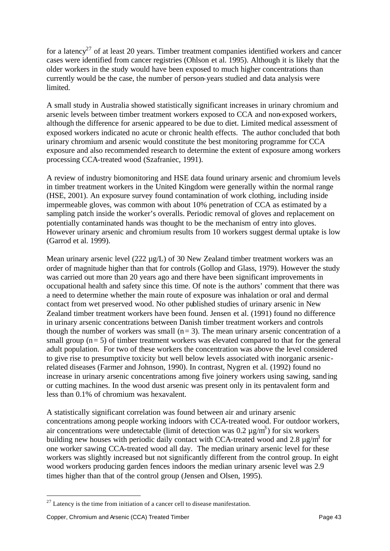for a latency<sup>27</sup> of at least 20 years. Timber treatment companies identified workers and cancer cases were identified from cancer registries (Ohlson et al. 1995). Although it is likely that the older workers in the study would have been exposed to much higher concentrations than currently would be the case, the number of person-years studied and data analysis were limited.

A small study in Australia showed statistically significant increases in urinary chromium and arsenic levels between timber treatment workers exposed to CCA and non-exposed workers, although the difference for arsenic appeared to be due to diet. Limited medical assessment of exposed workers indicated no acute or chronic health effects. The author concluded that both urinary chromium and arsenic would constitute the best monitoring programme for CCA exposure and also recommended research to determine the extent of exposure among workers processing CCA-treated wood (Szafraniec, 1991).

A review of industry biomonitoring and HSE data found urinary arsenic and chromium levels in timber treatment workers in the United Kingdom were generally within the normal range (HSE, 2001). An exposure survey found contamination of work clothing, including inside impermeable gloves, was common with about 10% penetration of CCA as estimated by a sampling patch inside the worker's overalls. Periodic removal of gloves and replacement on potentially contaminated hands was thought to be the mechanism of entry into gloves. However urinary arsenic and chromium results from 10 workers suggest dermal uptake is low (Garrod et al. 1999).

Mean urinary arsenic level (222  $\mu$ g/L) of 30 New Zealand timber treatment workers was an order of magnitude higher than that for controls (Gollop and Glass, 1979). However the study was carried out more than 20 years ago and there have been significant improvements in occupational health and safety since this time. Of note is the authors' comment that there was a need to determine whether the main route of exposure was inhalation or oral and dermal contact from wet preserved wood. No other published studies of urinary arsenic in New Zealand timber treatment workers have been found. Jensen et al. (1991) found no difference in urinary arsenic concentrations between Danish timber treatment workers and controls though the number of workers was small  $(n= 3)$ . The mean urinary arsenic concentration of a small group  $(n= 5)$  of timber treatment workers was elevated compared to that for the general adult population. For two of these workers the concentration was above the level considered to give rise to presumptive toxicity but well below levels associated with inorganic arsenicrelated diseases (Farmer and Johnson, 1990). In contrast, Nygren et al. (1992) found no increase in urinary arsenic concentrations among five joinery workers using sawing, sanding or cutting machines. In the wood dust arsenic was present only in its pentavalent form and less than 0.1% of chromium was hexavalent.

A statistically significant correlation was found between air and urinary arsenic concentrations among people working indoors with CCA-treated wood. For outdoor workers, air concentrations were undetectable (limit of detection was  $0.2 \mu g/m^3$ ) for six workers building new houses with periodic daily contact with CCA-treated wood and 2.8  $\mu$ g/m<sup>3</sup> for one worker sawing CCA-treated wood all day. The median urinary arsenic level for these workers was slightly increased but not significantly different from the control group. In eight wood workers producing garden fences indoors the median urinary arsenic level was 2.9 times higher than that of the control group (Jensen and Olsen, 1995).

 $27$  Latency is the time from initiation of a cancer cell to disease manifestation.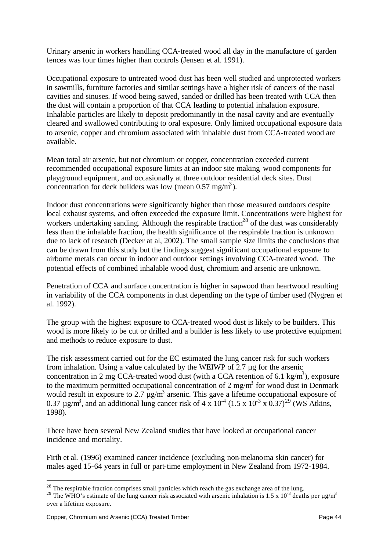Urinary arsenic in workers handling CCA-treated wood all day in the manufacture of garden fences was four times higher than controls (Jensen et al. 1991).

Occupational exposure to untreated wood dust has been well studied and unprotected workers in sawmills, furniture factories and similar settings have a higher risk of cancers of the nasal cavities and sinuses. If wood being sawed, sanded or drilled has been treated with CCA then the dust will contain a proportion of that CCA leading to potential inhalation exposure. Inhalable particles are likely to deposit predominantly in the nasal cavity and are eventually cleared and swallowed contributing to oral exposure. Only limited occupational exposure data to arsenic, copper and chromium associated with inhalable dust from CCA-treated wood are available.

Mean total air arsenic, but not chromium or copper, concentration exceeded current recommended occupational exposure limits at an indoor site making wood components for playground equipment, and occasionally at three outdoor residential deck sites. Dust concentration for deck builders was low (mean  $0.57 \text{ mg/m}^3$ ).

Indoor dust concentrations were significantly higher than those measured outdoors despite local exhaust systems, and often exceeded the exposure limit. Concentrations were highest for workers undertaking sanding. Although the respirable fraction<sup>28</sup> of the dust was considerably less than the inhalable fraction, the health significance of the respirable fraction is unknown due to lack of research (Decker at al, 2002). The small sample size limits the conclusions that can be drawn from this study but the findings suggest significant occupational exposure to airborne metals can occur in indoor and outdoor settings involving CCA-treated wood. The potential effects of combined inhalable wood dust, chromium and arsenic are unknown.

Penetration of CCA and surface concentration is higher in sapwood than heartwood resulting in variability of the CCA components in dust depending on the type of timber used (Nygren et al. 1992).

The group with the highest exposure to CCA-treated wood dust is likely to be builders. This wood is more likely to be cut or drilled and a builder is less likely to use protective equipment and methods to reduce exposure to dust.

The risk assessment carried out for the EC estimated the lung cancer risk for such workers from inhalation. Using a value calculated by the WEIWP of  $2.7 \mu$ g for the arsenic concentration in 2 mg CCA-treated wood dust (with a CCA retention of 6.1 kg/m<sup>3</sup>), exposure to the maximum permitted occupational concentration of 2 mg/m<sup>3</sup> for wood dust in Denmark would result in exposure to 2.7  $\mu$ g/m<sup>3</sup> arsenic. This gave a lifetime occupational exposure of 0.37  $\mu$ g/m<sup>3</sup>, and an additional lung cancer risk of 4 x 10<sup>-4</sup> (1.5 x 10<sup>-3</sup> x 0.37)<sup>29</sup> (WS Atkins, 1998).

There have been several New Zealand studies that have looked at occupational cancer incidence and mortality.

Firth et al. (1996) examined cancer incidence (excluding non-melanoma skin cancer) for males aged 15-64 years in full or part-time employment in New Zealand from 1972-1984.

<sup>&</sup>lt;sup>28</sup> The respirable fraction comprises small particles which reach the gas exchange area of the lung.

<sup>&</sup>lt;sup>29</sup> The WHO's estimate of the lung cancer risk associated with arsenic inhalation is 1.5 x 10<sup>-3</sup> deaths per  $\mu$ g/m<sup>3</sup> over a lifetime exposure.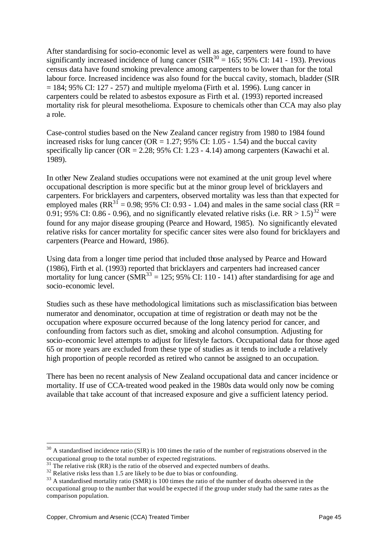After standardising for socio-economic level as well as age, carpenters were found to have significantly increased incidence of lung cancer ( $\text{SIR}^{30} = 165$ ; 95% CI: 141 - 193). Previous census data have found smoking prevalence among carpenters to be lower than for the total labour force. Increased incidence was also found for the buccal cavity, stomach, bladder (SIR  $= 184$ ; 95% CI: 127 - 257) and multiple myeloma (Firth et al. 1996). Lung cancer in carpenters could be related to asbestos exposure as Firth et al. (1993) reported increased mortality risk for pleural mesothelioma. Exposure to chemicals other than CCA may also play a role.

Case-control studies based on the New Zealand cancer registry from 1980 to 1984 found increased risks for lung cancer ( $OR = 1.27$ ; 95% CI: 1.05 - 1.54) and the buccal cavity specifically lip cancer ( $OR = 2.28$ ; 95% CI: 1.23 - 4.14) among carpenters (Kawachi et al. 1989).

In other New Zealand studies occupations were not examined at the unit group level where occupational description is more specific but at the minor group level of bricklayers and carpenters. For bricklayers and carpenters, observed mortality was less than that expected for employed males ( $RR^{31} = 0.98$ ; 95% CI: 0.93 - 1.04) and males in the same social class ( $RR =$ 0.91; 95% CI: 0.86 - 0.96), and no significantly elevated relative risks (i.e. RR  $> 1.5$ )<sup>32</sup> were found for any major disease grouping (Pearce and Howard, 1985). No significantly elevated relative risks for cancer mortality for specific cancer sites were also found for bricklayers and carpenters (Pearce and Howard, 1986).

Using data from a longer time period that included those analysed by Pearce and Howard (1986), Firth et al. (1993) reported that bricklayers and carpenters had increased cancer mortality for lung cancer (SMR<sup>33</sup> = 125; 95% CI: 110 - 141) after standardising for age and socio-economic level.

Studies such as these have methodological limitations such as misclassification bias between numerator and denominator, occupation at time of registration or death may not be the occupation where exposure occurred because of the long latency period for cancer, and confounding from factors such as diet, smoking and alcohol consumption. Adjusting for socio-economic level attempts to adjust for lifestyle factors. Occupational data for those aged 65 or more years are excluded from these type of studies as it tends to include a relatively high proportion of people recorded as retired who cannot be assigned to an occupation.

There has been no recent analysis of New Zealand occupational data and cancer incidence or mortality. If use of CCA-treated wood peaked in the 1980s data would only now be coming available that take account of that increased exposure and give a sufficient latency period.

 $30$  A standardised incidence ratio (SIR) is 100 times the ratio of the number of registrations observed in the occupational group to the total number of expected registrations.

 $31$  The relative risk (RR) is the ratio of the observed and expected numbers of deaths.

<sup>&</sup>lt;sup>32</sup> Relative risks less than 1.5 are likely to be due to bias or confounding.

 $33$  A standardised mortality ratio (SMR) is 100 times the ratio of the number of deaths observed in the occupational group to the number that would be expected if the group under study had the same rates as the comparison population.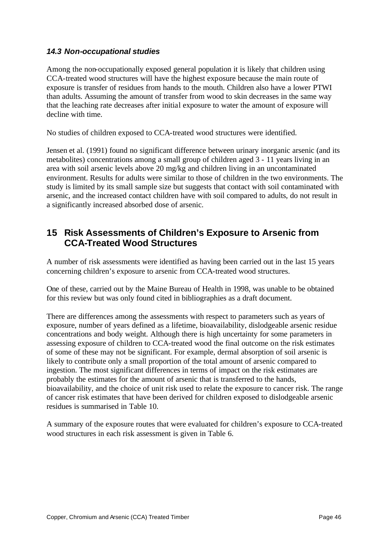#### *14.3 Non-occupational studies*

Among the non-occupationally exposed general population it is likely that children using CCA-treated wood structures will have the highest exposure because the main route of exposure is transfer of residues from hands to the mouth. Children also have a lower PTWI than adults. Assuming the amount of transfer from wood to skin decreases in the same way that the leaching rate decreases after initial exposure to water the amount of exposure will decline with time.

No studies of children exposed to CCA-treated wood structures were identified.

Jensen et al. (1991) found no significant difference between urinary inorganic arsenic (and its metabolites) concentrations among a small group of children aged 3 - 11 years living in an area with soil arsenic levels above 20 mg/kg and children living in an uncontaminated environment. Results for adults were similar to those of children in the two environments. The study is limited by its small sample size but suggests that contact with soil contaminated with arsenic, and the increased contact children have with soil compared to adults, do not result in a significantly increased absorbed dose of arsenic.

# **15 Risk Assessments of Children's Exposure to Arsenic from CCA-Treated Wood Structures**

A number of risk assessments were identified as having been carried out in the last 15 years concerning children's exposure to arsenic from CCA-treated wood structures.

One of these, carried out by the Maine Bureau of Health in 1998, was unable to be obtained for this review but was only found cited in bibliographies as a draft document.

There are differences among the assessments with respect to parameters such as years of exposure, number of years defined as a lifetime, bioavailability, dislodgeable arsenic residue concentrations and body weight. Although there is high uncertainty for some parameters in assessing exposure of children to CCA-treated wood the final outcome on the risk estimates of some of these may not be significant. For example, dermal absorption of soil arsenic is likely to contribute only a small proportion of the total amount of arsenic compared to ingestion. The most significant differences in terms of impact on the risk estimates are probably the estimates for the amount of arsenic that is transferred to the hands, bioavailability, and the choice of unit risk used to relate the exposure to cancer risk. The range of cancer risk estimates that have been derived for children exposed to dislodgeable arsenic residues is summarised in Table 10.

A summary of the exposure routes that were evaluated for children's exposure to CCA-treated wood structures in each risk assessment is given in Table 6.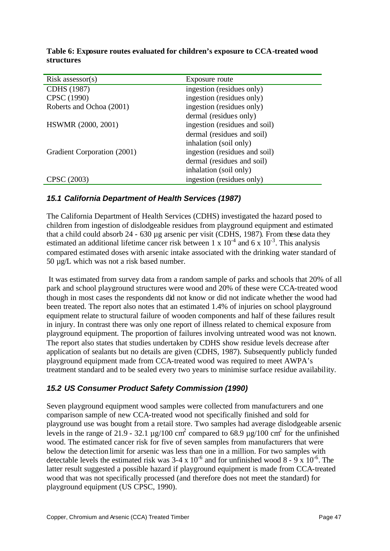| $Risk$ assessor(s)          | Exposure route                |
|-----------------------------|-------------------------------|
| CDHS (1987)                 | ingestion (residues only)     |
| CPSC (1990)                 | ingestion (residues only)     |
| Roberts and Ochoa (2001)    | ingestion (residues only)     |
|                             | dermal (residues only)        |
| HSWMR (2000, 2001)          | ingestion (residues and soil) |
|                             | dermal (residues and soil)    |
|                             | inhalation (soil only)        |
| Gradient Corporation (2001) | ingestion (residues and soil) |
|                             | dermal (residues and soil)    |
|                             | inhalation (soil only)        |
| <b>CPSC</b><br>(2003)       | ingestion (residues only)     |

**Table 6: Exposure routes evaluated for children's exposure to CCA-treated wood structures**

## *15.1 California Department of Health Services (1987)*

The California Department of Health Services (CDHS) investigated the hazard posed to children from ingestion of dislodgeable residues from playground equipment and estimated that a child could absorb 24 - 630 µg arsenic per visit (CDHS, 1987). From these data they estimated an additional lifetime cancer risk between  $1 \times 10^{-4}$  and  $6 \times 10^{-3}$ . This analysis compared estimated doses with arsenic intake associated with the drinking water standard of 50 µg/L which was not a risk based number.

 It was estimated from survey data from a random sample of parks and schools that 20% of all park and school playground structures were wood and 20% of these were CCA-treated wood though in most cases the respondents did not know or did not indicate whether the wood had been treated. The report also notes that an estimated 1.4% of injuries on school playground equipment relate to structural failure of wooden components and half of these failures result in injury. In contrast there was only one report of illness related to chemical exposure from playground equipment. The proportion of failures involving untreated wood was not known. The report also states that studies undertaken by CDHS show residue levels decrease after application of sealants but no details are given (CDHS, 1987). Subsequently publicly funded playground equipment made from CCA-treated wood was required to meet AWPA's treatment standard and to be sealed every two years to minimise surface residue availability.

## *15.2 US Consumer Product Safety Commission (1990)*

Seven playground equipment wood samples were collected from manufacturers and one comparison sample of new CCA-treated wood not specifically finished and sold for playground use was bought from a retail store. Two samples had average dislodgeable arsenic levels in the range of 21.9 - 32.1  $\mu$ g/100 cm<sup>2</sup> compared to 68.9  $\mu$ g/100 cm<sup>2</sup> for the unfinished wood. The estimated cancer risk for five of seven samples from manufacturers that were below the detection limit for arsenic was less than one in a million. For two samples with detectable levels the estimated risk was  $3-4 \times 10^{-6}$  and for unfinished wood  $8 - 9 \times 10^{-6}$ . The latter result suggested a possible hazard if playground equipment is made from CCA-treated wood that was not specifically processed (and therefore does not meet the standard) for playground equipment (US CPSC, 1990).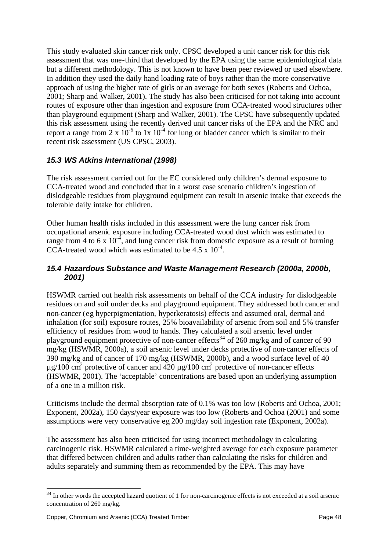This study evaluated skin cancer risk only. CPSC developed a unit cancer risk for this risk assessment that was one-third that developed by the EPA using the same epidemiological data but a different methodology. This is not known to have been peer reviewed or used elsewhere. In addition they used the daily hand loading rate of boys rather than the more conservative approach of using the higher rate of girls or an average for both sexes (Roberts and Ochoa, 2001; Sharp and Walker, 2001). The study has also been criticised for not taking into account routes of exposure other than ingestion and exposure from CCA-treated wood structures other than playground equipment (Sharp and Walker, 2001). The CPSC have subsequently updated this risk assessment using the recently derived unit cancer risks of the EPA and the NRC and report a range from 2 x  $10^{-6}$  to 1x  $10^{-4}$  for lung or bladder cancer which is similar to their recent risk assessment (US CPSC, 2003).

## *15.3 WS Atkins International (1998)*

The risk assessment carried out for the EC considered only children's dermal exposure to CCA-treated wood and concluded that in a worst case scenario children's ingestion of dislodgeable residues from playground equipment can result in arsenic intake that exceeds the tolerable daily intake for children.

Other human health risks included in this assessment were the lung cancer risk from occupational arsenic exposure including CCA-treated wood dust which was estimated to range from 4 to 6 x  $10^{-4}$ , and lung cancer risk from domestic exposure as a result of burning CCA-treated wood which was estimated to be  $4.5 \times 10^{-4}$ .

#### *15.4 Hazardous Substance and Waste Management Research (2000a, 2000b, 2001)*

HSWMR carried out health risk assessments on behalf of the CCA industry for dislodgeable residues on and soil under decks and playground equipment. They addressed both cancer and non-cancer (eg hyperpigmentation, hyperkeratosis) effects and assumed oral, dermal and inhalation (for soil) exposure routes, 25% bioavailability of arsenic from soil and 5% transfer efficiency of residues from wood to hands. They calculated a soil arsenic level under playground equipment protective of non-cancer effects<sup>34</sup> of 260 mg/kg and of cancer of 90 mg/kg (HSWMR, 2000a), a soil arsenic level under decks protective of non-cancer effects of 390 mg/kg and of cancer of 170 mg/kg (HSWMR, 2000b), and a wood surface level of 40  $\mu$ g/100 cm<sup>2</sup> protective of cancer and 420  $\mu$ g/100 cm<sup>2</sup> protective of non-cancer effects (HSWMR, 2001). The 'acceptable' concentrations are based upon an underlying assumption of a one in a million risk.

Criticisms include the dermal absorption rate of 0.1% was too low (Roberts and Ochoa, 2001; Exponent, 2002a), 150 days/year exposure was too low (Roberts and Ochoa (2001) and some assumptions were very conservative eg 200 mg/day soil ingestion rate (Exponent, 2002a).

The assessment has also been criticised for using incorrect methodology in calculating carcinogenic risk. HSWMR calculated a time-weighted average for each exposure parameter that differed between children and adults rather than calculating the risks for children and adults separately and summing them as recommended by the EPA. This may have

 $34$  In other words the accepted hazard quotient of 1 for non-carcinogenic effects is not exceeded at a soil arsenic concentration of 260 mg/kg.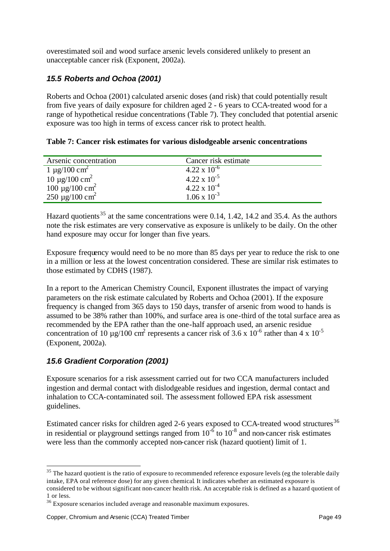overestimated soil and wood surface arsenic levels considered unlikely to present an unacceptable cancer risk (Exponent, 2002a).

## *15.5 Roberts and Ochoa (2001)*

Roberts and Ochoa (2001) calculated arsenic doses (and risk) that could potentially result from five years of daily exposure for children aged 2 - 6 years to CCA-treated wood for a range of hypothetical residue concentrations (Table 7). They concluded that potential arsenic exposure was too high in terms of excess cancer risk to protect health.

|  |  |  |  | Table 7: Cancer risk estimates for various dislodgeable arsenic concentrations |
|--|--|--|--|--------------------------------------------------------------------------------|
|  |  |  |  |                                                                                |
|  |  |  |  |                                                                                |

| Arsenic concentration                                        | Cancer risk estimate  |  |
|--------------------------------------------------------------|-----------------------|--|
| $1 \mu$ g/100 cm <sup>2</sup>                                | $4.22 \times 10^{-6}$ |  |
| $10 \mu g / 100 \text{ cm}^2$                                | $4.22 \times 10^{-5}$ |  |
| $100 \mu g/100 \text{ cm}^2$<br>250 $\mu g/100 \text{ cm}^2$ | $4.22 \times 10^{-4}$ |  |
|                                                              | $1.06 \times 10^{-3}$ |  |

Hazard quotients<sup>35</sup> at the same concentrations were 0.14, 1.42, 14.2 and 35.4. As the authors note the risk estimates are very conservative as exposure is unlikely to be daily. On the other hand exposure may occur for longer than five years.

Exposure frequency would need to be no more than 85 days per year to reduce the risk to one in a million or less at the lowest concentration considered. These are similar risk estimates to those estimated by CDHS (1987).

In a report to the American Chemistry Council, Exponent illustrates the impact of varying parameters on the risk estimate calculated by Roberts and Ochoa (2001). If the exposure frequency is changed from 365 days to 150 days, transfer of arsenic from wood to hands is assumed to be 38% rather than 100%, and surface area is one-third of the total surface area as recommended by the EPA rather than the one-half approach used, an arsenic residue concentration of 10  $\mu$ g/100 cm<sup>2</sup> represents a cancer risk of 3.6 x 10<sup>-6</sup> rather than 4 x 10<sup>-5</sup> (Exponent, 2002a).

## *15.6 Gradient Corporation (2001)*

Exposure scenarios for a risk assessment carried out for two CCA manufacturers included ingestion and dermal contact with dislodgeable residues and ingestion, dermal contact and inhalation to CCA-contaminated soil. The assessment followed EPA risk assessment guidelines.

Estimated cancer risks for children aged 2-6 years exposed to CCA-treated wood structures<sup>36</sup> in residential or playground settings ranged from  $10^{-6}$  to  $10^{-8}$  and non-cancer risk estimates were less than the commonly accepted non-cancer risk (hazard quotient) limit of 1.

 $35$  The hazard quotient is the ratio of exposure to recommended reference exposure levels (eg the tolerable daily intake, EPA oral reference dose) for any given chemical. It indicates whether an estimated exposure is considered to be without significant non-cancer health risk. An acceptable risk is defined as a hazard quotient of 1 or less.

<sup>&</sup>lt;sup>36</sup> Exposure scenarios included average and reasonable maximum exposures.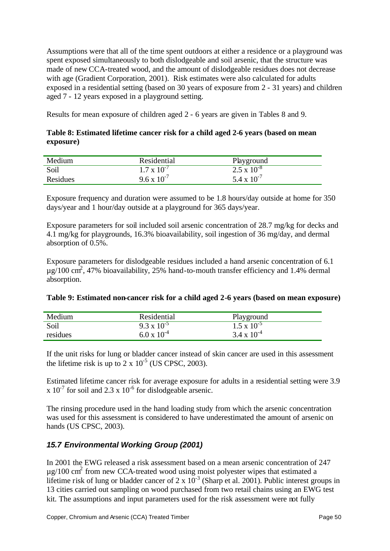Assumptions were that all of the time spent outdoors at either a residence or a playground was spent exposed simultaneously to both dislodgeable and soil arsenic, that the structure was made of new CCA-treated wood, and the amount of dislodgeable residues does not decrease with age (Gradient Corporation, 2001). Risk estimates were also calculated for adults exposed in a residential setting (based on 30 years of exposure from 2 - 31 years) and children aged 7 - 12 years exposed in a playground setting.

Results for mean exposure of children aged 2 - 6 years are given in Tables 8 and 9.

#### **Table 8: Estimated lifetime cancer risk for a child aged 2-6 years (based on mean exposure)**

| Medium   | Residential          | Playground                  |
|----------|----------------------|-----------------------------|
| Soil     | $1.7 \times 10^{-7}$ | $\sqrt{2.5 \times 10^{-8}}$ |
| Residues | $9.6 \times 10^{-7}$ | $5.4 \times 10^{-7}$        |

Exposure frequency and duration were assumed to be 1.8 hours/day outside at home for 350 days/year and 1 hour/day outside at a playground for 365 days/year.

Exposure parameters for soil included soil arsenic concentration of 28.7 mg/kg for decks and 4.1 mg/kg for playgrounds, 16.3% bioavailability, soil ingestion of 36 mg/day, and dermal absorption of 0.5%.

Exposure parameters for dislodgeable residues included a hand arsenic concentration of 6.1  $\mu$ g/100 cm<sup>2</sup>, 47% bioavailability, 25% hand-to-mouth transfer efficiency and 1.4% dermal absorption.

| Table 9: Estimated non-cancer risk for a child aged 2-6 years (based on mean exposure) |  |  |
|----------------------------------------------------------------------------------------|--|--|
|                                                                                        |  |  |

| Medium   | Residential          | Playground                     |
|----------|----------------------|--------------------------------|
| Soil     | $9.3 \times 10^{-5}$ | $\frac{1.5 \times 10^{-5}}{2}$ |
| residues | $6.0 \times 10^{-4}$ | $3.4 \times 10^{-4}$           |

If the unit risks for lung or bladder cancer instead of skin cancer are used in this assessment the lifetime risk is up to  $2 \times 10^{-5}$  (US CPSC, 2003).

Estimated lifetime cancer risk for average exposure for adults in a residential setting were 3.9 x  $10^{-7}$  for soil and 2.3 x  $10^{-6}$  for dislodgeable arsenic.

The rinsing procedure used in the hand loading study from which the arsenic concentration was used for this assessment is considered to have underestimated the amount of arsenic on hands (US CPSC, 2003).

## *15.7 Environmental Working Group (2001)*

In 2001 the EWG released a risk assessment based on a mean arsenic concentration of 247  $\mu$ g/100 cm<sup>2</sup> from new CCA-treated wood using moist polyester wipes that estimated a lifetime risk of lung or bladder cancer of  $2 \times 10^{-3}$  (Sharp et al. 2001). Public interest groups in 13 cities carried out sampling on wood purchased from two retail chains using an EWG test kit. The assumptions and input parameters used for the risk assessment were not fully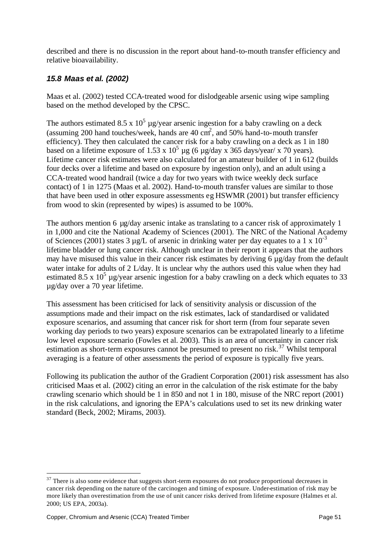described and there is no discussion in the report about hand-to-mouth transfer efficiency and relative bioavailability.

## *15.8 Maas et al. (2002)*

Maas et al. (2002) tested CCA-treated wood for dislodgeable arsenic using wipe sampling based on the method developed by the CPSC.

The authors estimated 8.5 x  $10^5$  µg/year arsenic ingestion for a baby crawling on a deck (assuming 200 hand touches/week, hands are  $40 \text{ cm}^2$ , and  $50\%$  hand-to-mouth transfer efficiency). They then calculated the cancer risk for a baby crawling on a deck as 1 in 180 based on a lifetime exposure of 1.53 x  $10^5$  µg (6 µg/day x 365 days/year/ x 70 years). Lifetime cancer risk estimates were also calculated for an amateur builder of 1 in 612 (builds four decks over a lifetime and based on exposure by ingestion only), and an adult using a CCA-treated wood handrail (twice a day for two years with twice weekly deck surface contact) of 1 in 1275 (Maas et al. 2002). Hand-to-mouth transfer values are similar to those that have been used in other exposure assessments eg HSWMR (2001) but transfer efficiency from wood to skin (represented by wipes) is assumed to be 100%.

The authors mention 6 µg/day arsenic intake as translating to a cancer risk of approximately 1 in 1,000 and cite the National Academy of Sciences (2001). The NRC of the National Academy of Sciences (2001) states 3  $\mu$ g/L of arsenic in drinking water per day equates to a 1 x 10<sup>-3</sup> lifetime bladder or lung cancer risk. Although unclear in their report it appears that the authors may have misused this value in their cancer risk estimates by deriving 6 µg/day from the default water intake for adults of 2 L/day. It is unclear why the authors used this value when they had estimated 8.5 x  $10^5$  µg/year arsenic ingestion for a baby crawling on a deck which equates to 33 µg/day over a 70 year lifetime.

This assessment has been criticised for lack of sensitivity analysis or discussion of the assumptions made and their impact on the risk estimates, lack of standardised or validated exposure scenarios, and assuming that cancer risk for short term (from four separate seven working day periods to two years) exposure scenarios can be extrapolated linearly to a lifetime low level exposure scenario (Fowles et al. 2003). This is an area of uncertainty in cancer risk estimation as short-term exposures cannot be presumed to present no risk.<sup>37</sup> Whilst temporal averaging is a feature of other assessments the period of exposure is typically five years.

Following its publication the author of the Gradient Corporation (2001) risk assessment has also criticised Maas et al. (2002) citing an error in the calculation of the risk estimate for the baby crawling scenario which should be 1 in 850 and not 1 in 180, misuse of the NRC report (2001) in the risk calculations, and ignoring the EPA's calculations used to set its new drinking water standard (Beck, 2002; Mirams, 2003).

 $37$  There is also some evidence that suggests short-term exposures do not produce proportional decreases in cancer risk depending on the nature of the carcinogen and timing of exposure. Under-estimation of risk may be more likely than overestimation from the use of unit cancer risks derived from lifetime exposure (Halmes et al. 2000; US EPA, 2003a).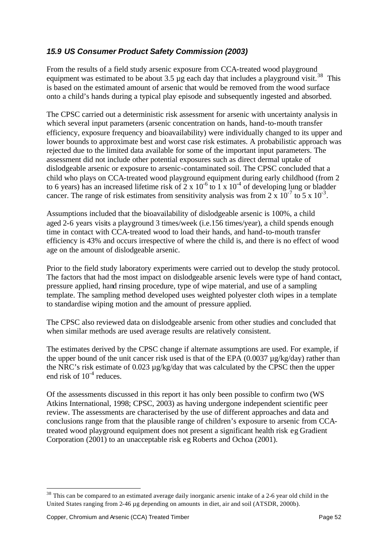## *15.9 US Consumer Product Safety Commission (2003)*

From the results of a field study arsenic exposure from CCA-treated wood playground equipment was estimated to be about 3.5  $\mu$ g each day that includes a playground visit.<sup>38</sup> This is based on the estimated amount of arsenic that would be removed from the wood surface onto a child's hands during a typical play episode and subsequently ingested and absorbed.

The CPSC carried out a deterministic risk assessment for arsenic with uncertainty analysis in which several input parameters (arsenic concentration on hands, hand-to-mouth transfer efficiency, exposure frequency and bioavailability) were individually changed to its upper and lower bounds to approximate best and worst case risk estimates. A probabilistic approach was rejected due to the limited data available for some of the important input parameters. The assessment did not include other potential exposures such as direct dermal uptake of dislodgeable arsenic or exposure to arsenic-contaminated soil. The CPSC concluded that a child who plays on CCA-treated wood playground equipment during early childhood (from 2 to 6 years) has an increased lifetime risk of  $2 \times 10^{-6}$  to  $1 \times 10^{-4}$  of developing lung or bladder cancer. The range of risk estimates from sensitivity analysis was from  $2 \times 10^{-7}$  to  $5 \times 10^{-3}$ .

Assumptions included that the bioavailability of dislodgeable arsenic is 100%, a child aged 2-6 years visits a playground 3 times/week (i.e.156 times/year), a child spends enough time in contact with CCA-treated wood to load their hands, and hand-to-mouth transfer efficiency is 43% and occurs irrespective of where the child is, and there is no effect of wood age on the amount of dislodgeable arsenic.

Prior to the field study laboratory experiments were carried out to develop the study protocol. The factors that had the most impact on dislodgeable arsenic levels were type of hand contact, pressure applied, hand rinsing procedure, type of wipe material, and use of a sampling template. The sampling method developed uses weighted polyester cloth wipes in a template to standardise wiping motion and the amount of pressure applied.

The CPSC also reviewed data on dislodgeable arsenic from other studies and concluded that when similar methods are used average results are relatively consistent.

The estimates derived by the CPSC change if alternate assumptions are used. For example, if the upper bound of the unit cancer risk used is that of the EPA  $(0.0037 \mu g/kg/day)$  rather than the NRC's risk estimate of 0.023 µg/kg/day that was calculated by the CPSC then the upper end risk of  $10^{-4}$  reduces.

Of the assessments discussed in this report it has only been possible to confirm two (WS Atkins International, 1998; CPSC, 2003) as having undergone independent scientific peer review. The assessments are characterised by the use of different approaches and data and conclusions range from that the plausible range of children's exposure to arsenic from CCAtreated wood playground equipment does not present a significant health risk eg Gradient Corporation (2001) to an unacceptable risk eg Roberts and Ochoa (2001).

<sup>&</sup>lt;sup>38</sup> This can be compared to an estimated average daily inorganic arsenic intake of a 2-6 year old child in the United States ranging from 2-46 µg depending on amounts in diet, air and soil (ATSDR, 2000b).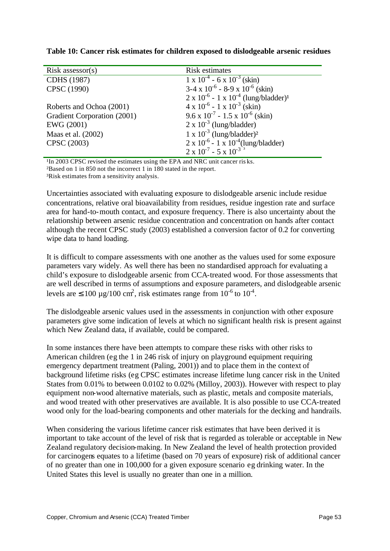| $Risk$ assessor(s)          | Risk estimates                                                        |
|-----------------------------|-----------------------------------------------------------------------|
| CDHS (1987)                 | $1 \times 10^{-4}$ - 6 x $10^{-3}$ (skin)                             |
| CPSC (1990)                 | $3-4 \times 10^{-6}$ - 8-9 x $10^{-6}$ (skin)                         |
|                             | $2 \times 10^{-6}$ - 1 x 10 <sup>-4</sup> (lung/bladder) <sup>1</sup> |
| Roberts and Ochoa (2001)    | $4 \times 10^{-6} - 1 \times 10^{-3}$ (skin)                          |
| Gradient Corporation (2001) | $9.6 \times 10^{-7}$ - 1.5 x 10 <sup>-6</sup> (skin)                  |
| EWG (2001)                  | $2 \times 10^{-3}$ (lung/bladder)                                     |
| Maas et al. (2002)          | $1 \times 10^{-3}$ (lung/bladder) <sup>2</sup>                        |
| CPSC (2003)                 | $2 \times 10^{-6}$ - 1 x $10^{-4}$ (lung/bladder)                     |
|                             | $2 \times 10^{-7}$ - 5 x $10^{-3}$                                    |

**Table 10: Cancer risk estimates for children exposed to dislodgeable arsenic residues**

<sup>1</sup>In 2003 CPSC revised the estimates using the EPA and NRC unit cancer ris ks. ²Based on 1 in 850 not the incorrect 1 in 180 stated in the report.

³Risk estimates from a sensitivity analysis.

Uncertainties associated with evaluating exposure to dislodgeable arsenic include residue concentrations, relative oral bioavailability from residues, residue ingestion rate and surface area for hand-to-mouth contact, and exposure frequency. There is also uncertainty about the relationship between arsenic residue concentration and concentration on hands after contact although the recent CPSC study (2003) established a conversion factor of 0.2 for converting wipe data to hand loading.

It is difficult to compare assessments with one another as the values used for some exposure parameters vary widely. As well there has been no standardised approach for evaluating a child's exposure to dislodgeable arsenic from CCA-treated wood. For those assessments that are well described in terms of assumptions and exposure parameters, and dislodgeable arsenic levels are  $\leq 100 \mu g/100 \text{ cm}^2$ , risk estimates range from  $10^{-6}$  to  $10^{-4}$ .

The dislodgeable arsenic values used in the assessments in conjunction with other exposure parameters give some indication of levels at which no significant health risk is present against which New Zealand data, if available, could be compared.

In some instances there have been attempts to compare these risks with other risks to American children (eg the 1 in 246 risk of injury on playground equipment requiring emergency department treatment (Paling, 2001)) and to place them in the context of background lifetime risks (eg CPSC estimates increase lifetime lung cancer risk in the United States from 0.01% to between 0.0102 to 0.02% (Milloy, 2003)). However with respect to play equipment non-wood alternative materials, such as plastic, metals and composite materials, and wood treated with other preservatives are available. It is also possible to use CCA-treated wood only for the load-bearing components and other materials for the decking and handrails.

When considering the various lifetime cancer risk estimates that have been derived it is important to take account of the level of risk that is regarded as tolerable or acceptable in New Zealand regulatory decision-making. In New Zealand the level of health protection provided for carcinogens equates to a lifetime (based on 70 years of exposure) risk of additional cancer of no greater than one in 100,000 for a given exposure scenario eg drinking water. In the United States this level is usually no greater than one in a million.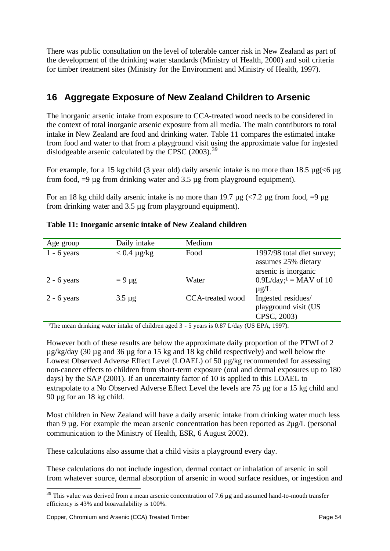There was public consultation on the level of tolerable cancer risk in New Zealand as part of the development of the drinking water standards (Ministry of Health, 2000) and soil criteria for timber treatment sites (Ministry for the Environment and Ministry of Health, 1997).

# **16 Aggregate Exposure of New Zealand Children to Arsenic**

The inorganic arsenic intake from exposure to CCA-treated wood needs to be considered in the context of total inorganic arsenic exposure from all media. The main contributors to total intake in New Zealand are food and drinking water. Table 11 compares the estimated intake from food and water to that from a playground visit using the approximate value for ingested dislodgeable arsenic calculated by the CPSC  $(2003)$ .<sup>39</sup>

For example, for a 15 kg child (3 year old) daily arsenic intake is no more than 18.5  $\mu$ g(<6  $\mu$ g from food,  $=9 \mu$ g from drinking water and 3.5  $\mu$ g from playground equipment).

For an 18 kg child daily arsenic intake is no more than 19.7  $\mu$ g (<7.2  $\mu$ g from food, =9  $\mu$ g from drinking water and 3.5 µg from playground equipment).

| Age group     | Daily intake     | Medium           |                                                                           |
|---------------|------------------|------------------|---------------------------------------------------------------------------|
| $1 - 6$ years | $< 0.4 \mu g/kg$ | Food             | 1997/98 total diet survey;<br>assumes 25% dietary<br>arsenic is inorganic |
| $2 - 6$ years | $= 9 \mu g$      | Water            | $0.9L/day; 1 = MAX of 10$<br>$\mu$ g/L                                    |
| $2 - 6$ years | $3.5 \mu g$      | CCA-treated wood | Ingested residues/<br>playground visit (US<br>CPSC, 2003)                 |

|  | Table 11: Inorganic arsenic intake of New Zealand children |  |  |  |
|--|------------------------------------------------------------|--|--|--|
|  |                                                            |  |  |  |

<sup>1</sup>The mean drinking water intake of children aged 3 - 5 years is 0.87 L/day (US EPA, 1997).

However both of these results are below the approximate daily proportion of the PTWI of 2 µg/kg/day (30 µg and 36 µg for a 15 kg and 18 kg child respectively) and well below the Lowest Observed Adverse Effect Level (LOAEL) of 50 µg/kg recommended for assessing non-cancer effects to children from short-term exposure (oral and dermal exposures up to 180 days) by the SAP (2001). If an uncertainty factor of 10 is applied to this LOAEL to extrapolate to a No Observed Adverse Effect Level the levels are 75 µg for a 15 kg child and 90 µg for an 18 kg child.

Most children in New Zealand will have a daily arsenic intake from drinking water much less than 9 µg. For example the mean arsenic concentration has been reported as 2µg/L (personal communication to the Ministry of Health, ESR, 6 August 2002).

These calculations also assume that a child visits a playground every day.

These calculations do not include ingestion, dermal contact or inhalation of arsenic in soil from whatever source, dermal absorption of arsenic in wood surface residues, or ingestion and

 $39$  This value was derived from a mean arsenic concentration of 7.6  $\mu$ g and assumed hand-to-mouth transfer efficiency is 43% and bioavailability is 100%.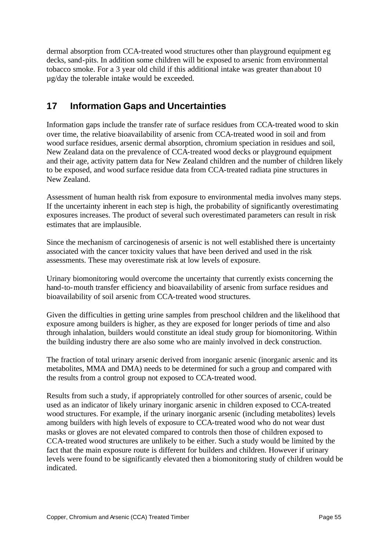dermal absorption from CCA-treated wood structures other than playground equipment eg decks, sand-pits. In addition some children will be exposed to arsenic from environmental tobacco smoke. For a 3 year old child if this additional intake was greater than about 10 µg/day the tolerable intake would be exceeded.

# **17 Information Gaps and Uncertainties**

Information gaps include the transfer rate of surface residues from CCA-treated wood to skin over time, the relative bioavailability of arsenic from CCA-treated wood in soil and from wood surface residues, arsenic dermal absorption, chromium speciation in residues and soil, New Zealand data on the prevalence of CCA-treated wood decks or playground equipment and their age, activity pattern data for New Zealand children and the number of children likely to be exposed, and wood surface residue data from CCA-treated radiata pine structures in New Zealand.

Assessment of human health risk from exposure to environmental media involves many steps. If the uncertainty inherent in each step is high, the probability of significantly overestimating exposures increases. The product of several such overestimated parameters can result in risk estimates that are implausible.

Since the mechanism of carcinogenesis of arsenic is not well established there is uncertainty associated with the cancer toxicity values that have been derived and used in the risk assessments. These may overestimate risk at low levels of exposure.

Urinary biomonitoring would overcome the uncertainty that currently exists concerning the hand-to-mouth transfer efficiency and bioavailability of arsenic from surface residues and bioavailability of soil arsenic from CCA-treated wood structures.

Given the difficulties in getting urine samples from preschool children and the likelihood that exposure among builders is higher, as they are exposed for longer periods of time and also through inhalation, builders would constitute an ideal study group for biomonitoring. Within the building industry there are also some who are mainly involved in deck construction.

The fraction of total urinary arsenic derived from inorganic arsenic (inorganic arsenic and its metabolites, MMA and DMA) needs to be determined for such a group and compared with the results from a control group not exposed to CCA-treated wood.

Results from such a study, if appropriately controlled for other sources of arsenic, could be used as an indicator of likely urinary inorganic arsenic in children exposed to CCA-treated wood structures. For example, if the urinary inorganic arsenic (including metabolites) levels among builders with high levels of exposure to CCA-treated wood who do not wear dust masks or gloves are not elevated compared to controls then those of children exposed to CCA-treated wood structures are unlikely to be either. Such a study would be limited by the fact that the main exposure route is different for builders and children. However if urinary levels were found to be significantly elevated then a biomonitoring study of children would be indicated.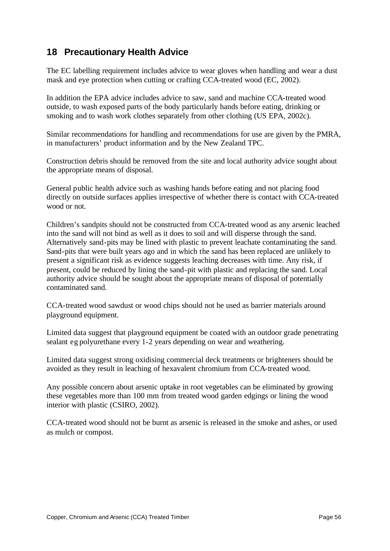# **18 Precautionary Health Advice**

The EC labelling requirement includes advice to wear gloves when handling and wear a dust mask and eye protection when cutting or crafting CCA-treated wood (EC, 2002).

In addition the EPA advice includes advice to saw, sand and machine CCA-treated wood outside, to wash exposed parts of the body particularly hands before eating, drinking or smoking and to wash work clothes separately from other clothing (US EPA, 2002c).

Similar recommendations for handling and recommendations for use are given by the PMRA, in manufacturers' product information and by the New Zealand TPC.

Construction debris should be removed from the site and local authority advice sought about the appropriate means of disposal.

General public health advice such as washing hands before eating and not placing food directly on outside surfaces applies irrespective of whether there is contact with CCA-treated wood or not.

Children's sandpits should not be constructed from CCA-treated wood as any arsenic leached into the sand will not bind as well as it does to soil and will disperse through the sand. Alternatively sand-pits may be lined with plastic to prevent leachate contaminating the sand. Sand-pits that were built years ago and in which the sand has been replaced are unlikely to present a significant risk as evidence suggests leaching decreases with time. Any risk, if present, could be reduced by lining the sand-pit with plastic and replacing the sand. Local authority advice should be sought about the appropriate means of disposal of potentially contaminated sand.

CCA-treated wood sawdust or wood chips should not be used as barrier materials around playground equipment.

Limited data suggest that playground equipment be coated with an outdoor grade penetrating sealant eg polyurethane every 1-2 years depending on wear and weathering.

Limited data suggest strong oxidising commercial deck treatments or brighteners should be avoided as they result in leaching of hexavalent chromium from CCA-treated wood.

Any possible concern about arsenic uptake in root vegetables can be eliminated by growing these vegetables more than 100 mm from treated wood garden edgings or lining the wood interior with plastic (CSIRO, 2002).

CCA-treated wood should not be burnt as arsenic is released in the smoke and ashes, or used as mulch or compost.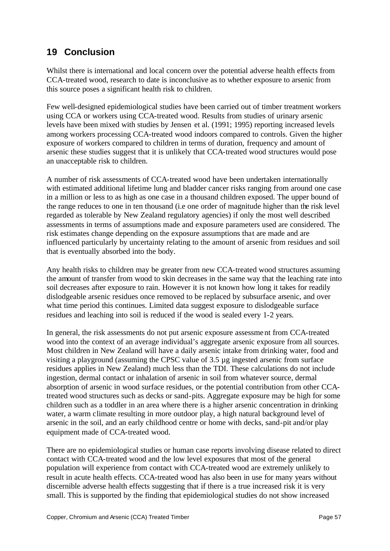# **19 Conclusion**

Whilst there is international and local concern over the potential adverse health effects from CCA-treated wood, research to date is inconclusive as to whether exposure to arsenic from this source poses a significant health risk to children.

Few well-designed epidemiological studies have been carried out of timber treatment workers using CCA or workers using CCA-treated wood. Results from studies of urinary arsenic levels have been mixed with studies by Jensen et al. (1991; 1995) reporting increased levels among workers processing CCA-treated wood indoors compared to controls. Given the higher exposure of workers compared to children in terms of duration, frequency and amount of arsenic these studies suggest that it is unlikely that CCA-treated wood structures would pose an unacceptable risk to children.

A number of risk assessments of CCA-treated wood have been undertaken internationally with estimated additional lifetime lung and bladder cancer risks ranging from around one case in a million or less to as high as one case in a thousand children exposed. The upper bound of the range reduces to one in ten thousand (i.e one order of magnitude higher than the risk level regarded as tolerable by New Zealand regulatory agencies) if only the most well described assessments in terms of assumptions made and exposure parameters used are considered. The risk estimates change depending on the exposure assumptions that are made and are influenced particularly by uncertainty relating to the amount of arsenic from residues and soil that is eventually absorbed into the body.

Any health risks to children may be greater from new CCA-treated wood structures assuming the amount of transfer from wood to skin decreases in the same way that the leaching rate into soil decreases after exposure to rain. However it is not known how long it takes for readily dislodgeable arsenic residues once removed to be replaced by subsurface arsenic, and over what time period this continues. Limited data suggest exposure to dislodgeable surface residues and leaching into soil is reduced if the wood is sealed every 1-2 years.

In general, the risk assessments do not put arsenic exposure assessment from CCA-treated wood into the context of an average individual's aggregate arsenic exposure from all sources. Most children in New Zealand will have a daily arsenic intake from drinking water, food and visiting a playground (assuming the CPSC value of 3.5 µg ingested arsenic from surface residues applies in New Zealand) much less than the TDI. These calculations do not include ingestion, dermal contact or inhalation of arsenic in soil from whatever source, dermal absorption of arsenic in wood surface residues, or the potential contribution from other CCAtreated wood structures such as decks or sand-pits. Aggregate exposure may be high for some children such as a toddler in an area where there is a higher arsenic concentration in drinking water, a warm climate resulting in more outdoor play, a high natural background level of arsenic in the soil, and an early childhood centre or home with decks, sand-pit and/or play equipment made of CCA-treated wood.

There are no epidemiological studies or human case reports involving disease related to direct contact with CCA-treated wood and the low level exposures that most of the general population will experience from contact with CCA-treated wood are extremely unlikely to result in acute health effects. CCA-treated wood has also been in use for many years without discernible adverse health effects suggesting that if there is a true increased risk it is very small. This is supported by the finding that epidemiological studies do not show increased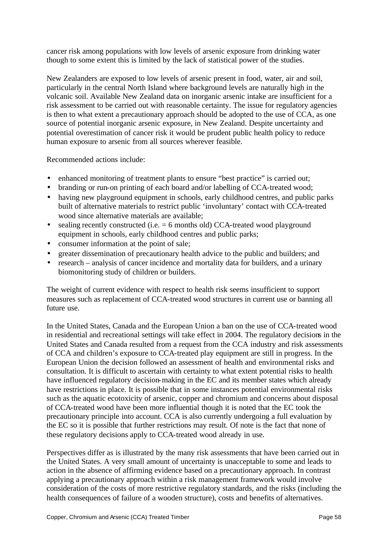cancer risk among populations with low levels of arsenic exposure from drinking water though to some extent this is limited by the lack of statistical power of the studies.

New Zealanders are exposed to low levels of arsenic present in food, water, air and soil, particularly in the central North Island where background levels are naturally high in the volcanic soil. Available New Zealand data on inorganic arsenic intake are insufficient for a risk assessment to be carried out with reasonable certainty. The issue for regulatory agencies is then to what extent a precautionary approach should be adopted to the use of CCA, as one source of potential inorganic arsenic exposure, in New Zealand. Despite uncertainty and potential overestimation of cancer risk it would be prudent public health policy to reduce human exposure to arsenic from all sources wherever feasible.

Recommended actions include:

- enhanced monitoring of treatment plants to ensure "best practice" is carried out;
- branding or run-on printing of each board and/or labelling of CCA-treated wood;
- having new playground equipment in schools, early childhood centres, and public parks built of alternative materials to restrict public 'involuntary' contact with CCA-treated wood since alternative materials are available;
- sealing recently constructed (i.e.  $= 6$  months old) CCA-treated wood playground equipment in schools, early childhood centres and public parks;
- consumer information at the point of sale;
- greater dissemination of precautionary health advice to the public and builders; and
- research analysis of cancer incidence and mortality data for builders, and a urinary biomonitoring study of children or builders.

The weight of current evidence with respect to health risk seems insufficient to support measures such as replacement of CCA-treated wood structures in current use or banning all future use.

In the United States, Canada and the European Union a ban on the use of CCA-treated wood in residential and recreational settings will take effect in 2004. The regulatory decisions in the United States and Canada resulted from a request from the CCA industry and risk assessments of CCA and children's exposure to CCA-treated play equipment are still in progress. In the European Union the decision followed an assessment of health and environmental risks and consultation. It is difficult to ascertain with certainty to what extent potential risks to health have influenced regulatory decision-making in the EC and its member states which already have restrictions in place. It is possible that in some instances potential environmental risks such as the aquatic ecotoxicity of arsenic, copper and chromium and concerns about disposal of CCA-treated wood have been more influential though it is noted that the EC took the precautionary principle into account. CCA is also currently undergoing a full evaluation by the EC so it is possible that further restrictions may result. Of note is the fact that none of these regulatory decisions apply to CCA-treated wood already in use.

Perspectives differ as is illustrated by the many risk assessments that have been carried out in the United States. A very small amount of uncertainty is unacceptable to some and leads to action in the absence of affirming evidence based on a precautionary approach. In contrast applying a precautionary approach within a risk management framework would involve consideration of the costs of more restrictive regulatory standards, and the risks (including the health consequences of failure of a wooden structure), costs and benefits of alternatives.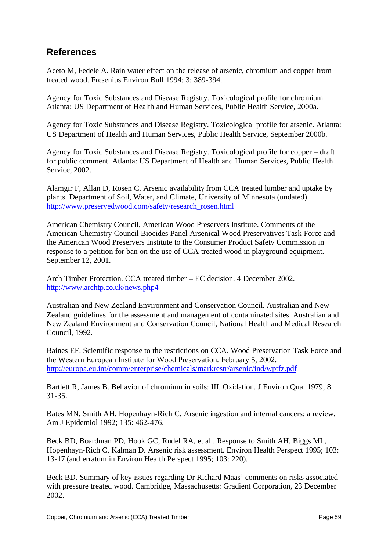# **References**

Aceto M, Fedele A. Rain water effect on the release of arsenic, chromium and copper from treated wood. Fresenius Environ Bull 1994; 3: 389-394.

Agency for Toxic Substances and Disease Registry. Toxicological profile for chromium. Atlanta: US Department of Health and Human Services, Public Health Service, 2000a.

Agency for Toxic Substances and Disease Registry. Toxicological profile for arsenic. Atlanta: US Department of Health and Human Services, Public Health Service, September 2000b.

Agency for Toxic Substances and Disease Registry. Toxicological profile for copper – draft for public comment. Atlanta: US Department of Health and Human Services, Public Health Service, 2002.

Alamgir F, Allan D, Rosen C. Arsenic availability from CCA treated lumber and uptake by plants. Department of Soil, Water, and Climate, University of Minnesota (undated). http://www.preservedwood.com/safety/research\_rosen.html

American Chemistry Council, American Wood Preservers Institute. Comments of the American Chemistry Council Biocides Panel Arsenical Wood Preservatives Task Force and the American Wood Preservers Institute to the Consumer Product Safety Commission in response to a petition for ban on the use of CCA-treated wood in playground equipment. September 12, 2001.

Arch Timber Protection. CCA treated timber – EC decision. 4 December 2002. http://www.archtp.co.uk/news.php4

Australian and New Zealand Environment and Conservation Council. Australian and New Zealand guidelines for the assessment and management of contaminated sites. Australian and New Zealand Environment and Conservation Council, National Health and Medical Research Council, 1992.

Baines EF. Scientific response to the restrictions on CCA. Wood Preservation Task Force and the Western European Institute for Wood Preservation. February 5, 2002. http://europa.eu.int/comm/enterprise/chemicals/markrestr/arsenic/ind/wptfz.pdf

Bartlett R, James B. Behavior of chromium in soils: III. Oxidation. J Environ Qual 1979; 8: 31-35.

Bates MN, Smith AH, Hopenhayn-Rich C. Arsenic ingestion and internal cancers: a review. Am J Epidemiol 1992; 135: 462-476.

Beck BD, Boardman PD, Hook GC, Rudel RA, et al.. Response to Smith AH, Biggs ML, Hopenhayn-Rich C, Kalman D. Arsenic risk assessment. Environ Health Perspect 1995; 103: 13-17 (and erratum in Environ Health Perspect 1995; 103: 220).

Beck BD. Summary of key issues regarding Dr Richard Maas' comments on risks associated with pressure treated wood. Cambridge, Massachusetts: Gradient Corporation, 23 December 2002.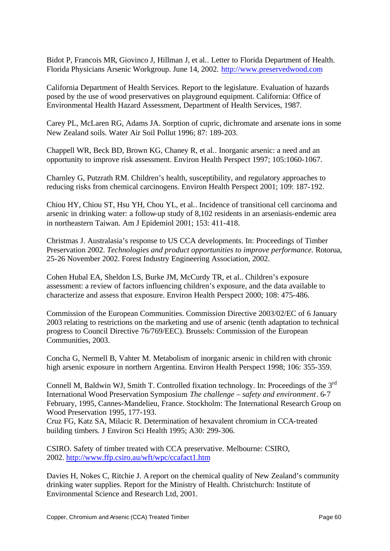Bidot P, Francois MR, Giovinco J, Hillman J, et al.. Letter to Florida Department of Health. Florida Physicians Arsenic Workgroup. June 14, 2002. http://www.preservedwood.com

California Department of Health Services. Report to the legislature. Evaluation of hazards posed by the use of wood preservatives on playground equipment. California: Office of Environmental Health Hazard Assessment, Department of Health Services, 1987.

Carey PL, McLaren RG, Adams JA. Sorption of cupric, dichromate and arsenate ions in some New Zealand soils. Water Air Soil Pollut 1996; 87: 189-203.

Chappell WR, Beck BD, Brown KG, Chaney R, et al.. Inorganic arsenic: a need and an opportunity to improve risk assessment. Environ Health Perspect 1997; 105:1060-1067.

Charnley G, Putzrath RM. Children's health, susceptibility, and regulatory approaches to reducing risks from chemical carcinogens. Environ Health Perspect 2001; 109: 187-192.

Chiou HY, Chiou ST, Hsu YH, Chou YL, et al.. Incidence of transitional cell carcinoma and arsenic in drinking water: a follow-up study of 8,102 residents in an arseniasis-endemic area in northeastern Taiwan. Am J Epidemiol 2001; 153: 411-418.

Christmas J. Australasia's response to US CCA developments. In: Proceedings of Timber Preservation 2002. *Technologies and product opportunities to improve performance.* Rotorua, 25-26 November 2002. Forest Industry Engineering Association, 2002.

Cohen Hubal EA, Sheldon LS, Burke JM, McCurdy TR, et al.. Children's exposure assessment: a review of factors influencing children's exposure, and the data available to characterize and assess that exposure. Environ Health Perspect 2000; 108: 475-486.

Commission of the European Communities. Commission Directive 2003/02/EC of 6 January 2003 relating to restrictions on the marketing and use of arsenic (tenth adaptation to technical progress to Council Directive 76/769/EEC). Brussels: Commission of the European Communities, 2003.

Concha G, Nermell B, Vahter M. Metabolism of inorganic arsenic in children with chronic high arsenic exposure in northern Argentina. Environ Health Perspect 1998; 106: 355-359.

Connell M, Baldwin WJ, Smith T. Controlled fixation technology. In: Proceedings of the  $3<sup>rd</sup>$ International Wood Preservation Symposium *The challenge – safety and environment*. 6-7 February, 1995, Cannes-Mandelieu, France. Stockholm: The International Research Group on Wood Preservation 1995, 177-193.

Cruz FG, Katz SA, Milacic R. Determination of hexavalent chromium in CCA-treated building timbers. J Environ Sci Health 1995; A30: 299-306.

CSIRO. Safety of timber treated with CCA preservative. Melbourne: CSIRO, 2002. http://www.ffp.csiro.au/wft/wpc/ccafact1.htm

Davies H, Nokes C, Ritchie J. A report on the chemical quality of New Zealand's community drinking water supplies. Report for the Ministry of Health. Christchurch: Institute of Environmental Science and Research Ltd, 2001.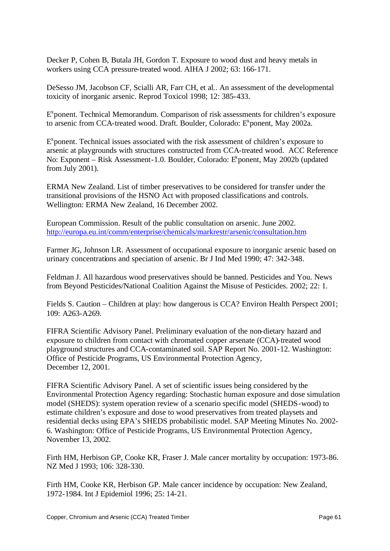Decker P, Cohen B, Butala JH, Gordon T. Exposure to wood dust and heavy metals in workers using CCA pressure-treated wood. AIHA J 2002; 63: 166-171.

DeSesso JM, Jacobson CF, Scialli AR, Farr CH, et al.. An assessment of the developmental toxicity of inorganic arsenic. Reprod Toxicol 1998; 12: 385-433.

E<sup>x</sup>ponent. Technical Memorandum. Comparison of risk assessments for children's exposure to arsenic from CCA-treated wood. Draft. Boulder, Colorado: E<sup>x</sup>ponent, May 2002a.

 $E^x$  ponent. Technical issues associated with the risk assessment of children's exposure to arsenic at playgrounds with structures constructed from CCA-treated wood. ACC Reference No: Exponent – Risk Assessment-1.0. Boulder, Colorado: E<sup>x</sup>ponent, May 2002b (updated from July 2001).

ERMA New Zealand. List of timber preservatives to be considered for transfer under the transitional provisions of the HSNO Act with proposed classifications and controls. Wellington: ERMA New Zealand, 16 December 2002.

European Commission. Result of the public consultation on arsenic. June 2002. http://europa.eu.int/comm/enterprise/chemicals/markrestr/arsenic/consultation.htm

Farmer JG, Johnson LR. Assessment of occupational exposure to inorganic arsenic based on urinary concentrations and speciation of arsenic. Br J Ind Med 1990; 47: 342-348.

Feldman J. All hazardous wood preservatives should be banned. Pesticides and You. News from Beyond Pesticides/National Coalition Against the Misuse of Pesticides. 2002; 22: 1.

Fields S. Caution – Children at play: how dangerous is CCA? Environ Health Perspect 2001; 109: A263-A269.

FIFRA Scientific Advisory Panel. Preliminary evaluation of the non-dietary hazard and exposure to children from contact with chromated copper arsenate (CCA)-treated wood playground structures and CCA-contaminated soil. SAP Report No. 2001-12. Washington: Office of Pesticide Programs, US Environmental Protection Agency, December 12, 2001.

FIFRA Scientific Advisory Panel. A set of scientific issues being considered by the Environmental Protection Agency regarding: Stochastic human exposure and dose simulation model (SHEDS): system operation review of a scenario specific model (SHEDS-wood) to estimate children's exposure and dose to wood preservatives from treated playsets and residential decks using EPA's SHEDS probabilistic model. SAP Meeting Minutes No. 2002- 6. Washington: Office of Pesticide Programs, US Environmental Protection Agency, November 13, 2002.

Firth HM, Herbison GP, Cooke KR, Fraser J. Male cancer mortality by occupation: 1973-86. NZ Med J 1993; 106: 328-330.

Firth HM, Cooke KR, Herbison GP. Male cancer incidence by occupation: New Zealand, 1972-1984. Int J Epidemiol 1996; 25: 14-21.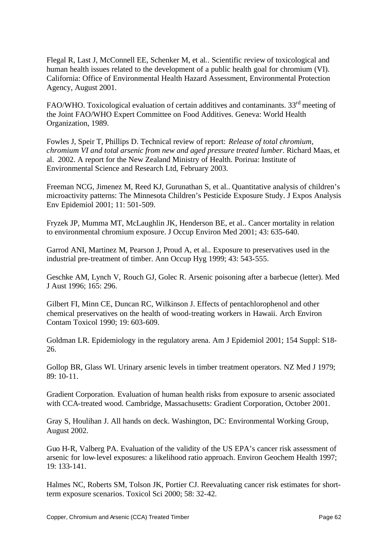Flegal R, Last J, McConnell EE, Schenker M, et al.. Scientific review of toxicological and human health issues related to the development of a public health goal for chromium (VI). California: Office of Environmental Health Hazard Assessment, Environmental Protection Agency, August 2001.

FAO/WHO. Toxicological evaluation of certain additives and contaminants.  $33<sup>rd</sup>$  meeting of the Joint FAO/WHO Expert Committee on Food Additives. Geneva: World Health Organization, 1989.

Fowles J, Speir T, Phillips D. Technical review of report: *Release of total chromium, chromium VI and total arsenic from new and aged pressure treated lumber*. Richard Maas, et al. 2002. A report for the New Zealand Ministry of Health. Porirua: Institute of Environmental Science and Research Ltd, February 2003.

Freeman NCG, Jimenez M, Reed KJ, Gurunathan S, et al.. Quantitative analysis of children's microactivity patterns: The Minnesota Children's Pesticide Exposure Study. J Expos Analysis Env Epidemiol 2001; 11: 501-509.

Fryzek JP, Mumma MT, McLaughlin JK, Henderson BE, et al.. Cancer mortality in relation to environmental chromium exposure. J Occup Environ Med 2001; 43: 635-640.

Garrod ANI, Martinez M, Pearson J, Proud A, et al.. Exposure to preservatives used in the industrial pre-treatment of timber. Ann Occup Hyg 1999; 43: 543-555.

Geschke AM, Lynch V, Rouch GJ, Golec R. Arsenic poisoning after a barbecue (letter). Med J Aust 1996; 165: 296.

Gilbert FI, Minn CE, Duncan RC, Wilkinson J. Effects of pentachlorophenol and other chemical preservatives on the health of wood-treating workers in Hawaii. Arch Environ Contam Toxicol 1990; 19: 603-609.

Goldman LR. Epidemiology in the regulatory arena. Am J Epidemiol 2001; 154 Suppl: S18- 26.

Gollop BR, Glass WI. Urinary arsenic levels in timber treatment operators. NZ Med J 1979; 89: 10-11.

Gradient Corporation. Evaluation of human health risks from exposure to arsenic associated with CCA-treated wood. Cambridge, Massachusetts: Gradient Corporation, October 2001.

Gray S, Houlihan J. All hands on deck. Washington, DC: Environmental Working Group, August 2002.

Guo H-R, Valberg PA. Evaluation of the validity of the US EPA's cancer risk assessment of arsenic for low-level exposures: a likelihood ratio approach. Environ Geochem Health 1997; 19: 133-141.

Halmes NC, Roberts SM, Tolson JK, Portier CJ. Reevaluating cancer risk estimates for shortterm exposure scenarios. Toxicol Sci 2000; 58: 32-42.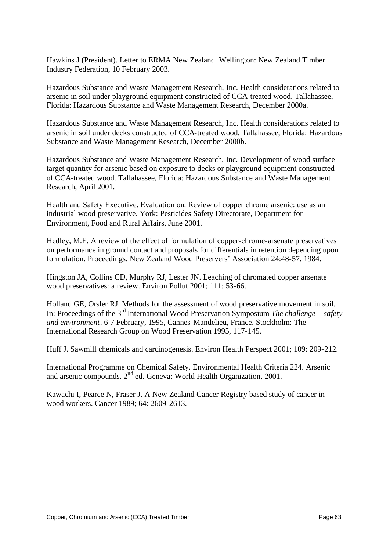Hawkins J (President). Letter to ERMA New Zealand. Wellington: New Zealand Timber Industry Federation, 10 February 2003.

Hazardous Substance and Waste Management Research, Inc. Health considerations related to arsenic in soil under playground equipment constructed of CCA-treated wood. Tallahassee, Florida: Hazardous Substance and Waste Management Research, December 2000a.

Hazardous Substance and Waste Management Research, Inc. Health considerations related to arsenic in soil under decks constructed of CCA-treated wood. Tallahassee, Florida: Hazardous Substance and Waste Management Research, December 2000b.

Hazardous Substance and Waste Management Research, Inc. Development of wood surface target quantity for arsenic based on exposure to decks or playground equipment constructed of CCA-treated wood. Tallahassee, Florida: Hazardous Substance and Waste Management Research, April 2001.

Health and Safety Executive. Evaluation on: Review of copper chrome arsenic: use as an industrial wood preservative. York: Pesticides Safety Directorate, Department for Environment, Food and Rural Affairs, June 2001.

Hedley, M.E. A review of the effect of formulation of copper-chrome-arsenate preservatives on performance in ground contact and proposals for differentials in retention depending upon formulation. Proceedings, New Zealand Wood Preservers' Association 24:48-57, 1984.

Hingston JA, Collins CD, Murphy RJ, Lester JN. Leaching of chromated copper arsenate wood preservatives: a review. Environ Pollut 2001; 111: 53-66.

Holland GE, Orsler RJ. Methods for the assessment of wood preservative movement in soil. In: Proceedings of the 3rd International Wood Preservation Symposium *The challenge – safety and environment*. 6-7 February, 1995, Cannes-Mandelieu, France. Stockholm: The International Research Group on Wood Preservation 1995, 117-145.

Huff J. Sawmill chemicals and carcinogenesis. Environ Health Perspect 2001; 109: 209-212.

International Programme on Chemical Safety. Environmental Health Criteria 224. Arsenic and arsenic compounds. 2<sup>nd</sup> ed. Geneva: World Health Organization, 2001.

Kawachi I, Pearce N, Fraser J. A New Zealand Cancer Registry-based study of cancer in wood workers. Cancer 1989; 64: 2609-2613.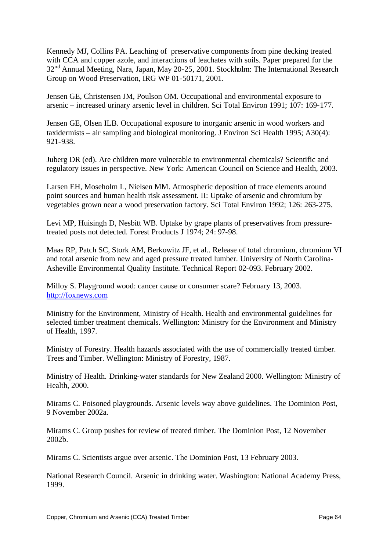Kennedy MJ, Collins PA. Leaching of preservative components from pine decking treated with CCA and copper azole, and interactions of leachates with soils. Paper prepared for the 32<sup>nd</sup> Annual Meeting, Nara, Japan, May 20-25, 2001. Stockholm: The International Research Group on Wood Preservation, IRG WP 01-50171, 2001.

Jensen GE, Christensen JM, Poulson OM. Occupational and environmental exposure to arsenic – increased urinary arsenic level in children. Sci Total Environ 1991; 107: 169-177.

Jensen GE, Olsen ILB. Occupational exposure to inorganic arsenic in wood workers and taxidermists – air sampling and biological monitoring. J Environ Sci Health 1995; A30(4): 921-938.

Juberg DR (ed). Are children more vulnerable to environmental chemicals? Scientific and regulatory issues in perspective. New York: American Council on Science and Health, 2003.

Larsen EH, Moseholm L, Nielsen MM. Atmospheric deposition of trace elements around point sources and human health risk assessment. II: Uptake of arsenic and chromium by vegetables grown near a wood preservation factory. Sci Total Environ 1992; 126: 263-275.

Levi MP, Huisingh D, Nesbitt WB. Uptake by grape plants of preservatives from pressuretreated posts not detected. Forest Products J 1974; 24: 97-98.

Maas RP, Patch SC, Stork AM, Berkowitz JF, et al.. Release of total chromium, chromium VI and total arsenic from new and aged pressure treated lumber. University of North Carolina-Asheville Environmental Quality Institute. Technical Report 02-093. February 2002.

Milloy S. Playground wood: cancer cause or consumer scare? February 13, 2003. http://foxnews.com

Ministry for the Environment, Ministry of Health. Health and environmental guidelines for selected timber treatment chemicals. Wellington: Ministry for the Environment and Ministry of Health, 1997.

Ministry of Forestry. Health hazards associated with the use of commercially treated timber. Trees and Timber. Wellington: Ministry of Forestry, 1987.

Ministry of Health. Drinking-water standards for New Zealand 2000. Wellington: Ministry of Health, 2000.

Mirams C. Poisoned playgrounds. Arsenic levels way above guidelines. The Dominion Post, 9 November 2002a.

Mirams C. Group pushes for review of treated timber. The Dominion Post, 12 November 2002b.

Mirams C. Scientists argue over arsenic. The Dominion Post, 13 February 2003.

National Research Council. Arsenic in drinking water. Washington: National Academy Press, 1999.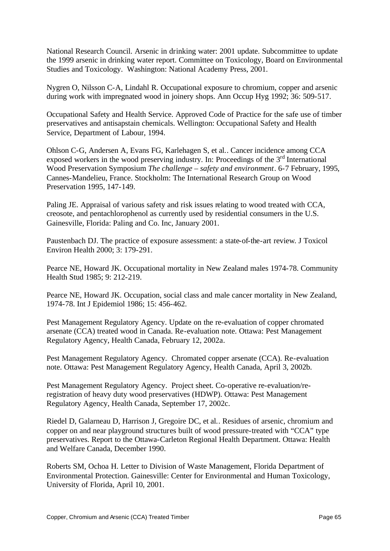National Research Council. Arsenic in drinking water: 2001 update. Subcommittee to update the 1999 arsenic in drinking water report. Committee on Toxicology, Board on Environmental Studies and Toxicology. Washington: National Academy Press, 2001.

Nygren O, Nilsson C-A, Lindahl R. Occupational exposure to chromium, copper and arsenic during work with impregnated wood in joinery shops. Ann Occup Hyg 1992; 36: 509-517.

Occupational Safety and Health Service. Approved Code of Practice for the safe use of timber preservatives and antisapstain chemicals. Wellington: Occupational Safety and Health Service, Department of Labour, 1994.

Ohlson C-G, Andersen A, Evans FG, Karlehagen S, et al.. Cancer incidence among CCA exposed workers in the wood preserving industry. In: Proceedings of the  $3<sup>rd</sup>$  International Wood Preservation Symposium *The challenge – safety and environment*. 6-7 February, 1995, Cannes-Mandelieu, France. Stockholm: The International Research Group on Wood Preservation 1995, 147-149.

Paling JE. Appraisal of various safety and risk issues relating to wood treated with CCA, creosote, and pentachlorophenol as currently used by residential consumers in the U.S. Gainesville, Florida: Paling and Co. Inc, January 2001.

Paustenbach DJ. The practice of exposure assessment: a state-of-the-art review. J Toxicol Environ Health 2000; 3: 179-291.

Pearce NE, Howard JK. Occupational mortality in New Zealand males 1974-78. Community Health Stud 1985; 9: 212-219.

Pearce NE, Howard JK. Occupation, social class and male cancer mortality in New Zealand, 1974-78. Int J Epidemiol 1986; 15: 456-462.

Pest Management Regulatory Agency. Update on the re-evaluation of copper chromated arsenate (CCA) treated wood in Canada. Re-evaluation note. Ottawa: Pest Management Regulatory Agency, Health Canada, February 12, 2002a.

Pest Management Regulatory Agency. Chromated copper arsenate (CCA). Re-evaluation note. Ottawa: Pest Management Regulatory Agency, Health Canada, April 3, 2002b.

Pest Management Regulatory Agency. Project sheet. Co-operative re-evaluation/reregistration of heavy duty wood preservatives (HDWP). Ottawa: Pest Management Regulatory Agency, Health Canada, September 17, 2002c.

Riedel D, Galarneau D, Harrison J, Gregoire DC, et al.. Residues of arsenic, chromium and copper on and near playground structures built of wood pressure-treated with "CCA" type preservatives. Report to the Ottawa-Carleton Regional Health Department. Ottawa: Health and Welfare Canada, December 1990.

Roberts SM, Ochoa H. Letter to Division of Waste Management, Florida Department of Environmental Protection. Gainesville: Center for Environmental and Human Toxicology, University of Florida, April 10, 2001.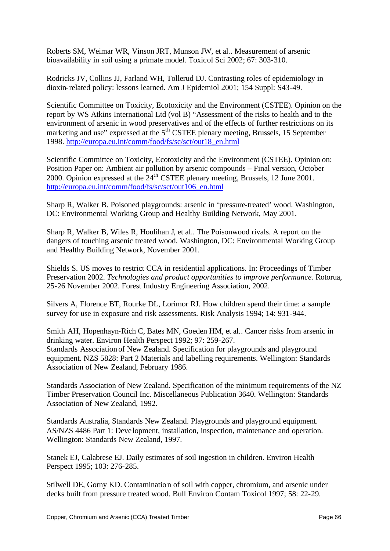Roberts SM, Weimar WR, Vinson JRT, Munson JW, et al.. Measurement of arsenic bioavailability in soil using a primate model. Toxicol Sci 2002; 67: 303-310.

Rodricks JV, Collins JJ, Farland WH, Tollerud DJ. Contrasting roles of epidemiology in dioxin-related policy: lessons learned. Am J Epidemiol 2001; 154 Suppl: S43-49.

Scientific Committee on Toxicity, Ecotoxicity and the Environment (CSTEE). Opinion on the report by WS Atkins International Ltd (vol B) "Assessment of the risks to health and to the environment of arsenic in wood preservatives and of the effects of further restrictions on its marketing and use" expressed at the 5<sup>th</sup> CSTEE plenary meeting, Brussels, 15 September 1998. http://europa.eu.int/comm/food/fs/sc/sct/out18\_en.html

Scientific Committee on Toxicity, Ecotoxicity and the Environment (CSTEE). Opinion on: Position Paper on: Ambient air pollution by arsenic compounds – Final version, October 2000. Opinion expressed at the 24<sup>th</sup> CSTEE plenary meeting, Brussels, 12 June 2001. http://europa.eu.int/comm/food/fs/sc/sct/out106\_en.html

Sharp R, Walker B. Poisoned playgrounds: arsenic in 'pressure-treated' wood. Washington, DC: Environmental Working Group and Healthy Building Network, May 2001.

Sharp R, Walker B, Wiles R, Houlihan J, et al.. The Poisonwood rivals. A report on the dangers of touching arsenic treated wood. Washington, DC: Environmental Working Group and Healthy Building Network, November 2001.

Shields S. US moves to restrict CCA in residential applications. In: Proceedings of Timber Preservation 2002. *Technologies and product opportunities to improve performance.* Rotorua, 25-26 November 2002. Forest Industry Engineering Association, 2002.

Silvers A, Florence BT, Rourke DL, Lorimor RJ. How children spend their time: a sample survey for use in exposure and risk assessments. Risk Analysis 1994; 14: 931-944.

Smith AH, Hopenhayn-Rich C, Bates MN, Goeden HM, et al.. Cancer risks from arsenic in drinking water. Environ Health Perspect 1992; 97: 259-267. Standards Association of New Zealand. Specification for playgrounds and playground equipment. NZS 5828: Part 2 Materials and labelling requirements. Wellington: Standards Association of New Zealand, February 1986.

Standards Association of New Zealand. Specification of the minimum requirements of the NZ Timber Preservation Council Inc. Miscellaneous Publication 3640. Wellington: Standards Association of New Zealand, 1992.

Standards Australia, Standards New Zealand. Playgrounds and playground equipment. AS/NZS 4486 Part 1: Deve lopment, installation, inspection, maintenance and operation. Wellington: Standards New Zealand, 1997.

Stanek EJ, Calabrese EJ. Daily estimates of soil ingestion in children. Environ Health Perspect 1995; 103: 276-285.

Stilwell DE, Gorny KD. Contamination of soil with copper, chromium, and arsenic under decks built from pressure treated wood. Bull Environ Contam Toxicol 1997; 58: 22-29.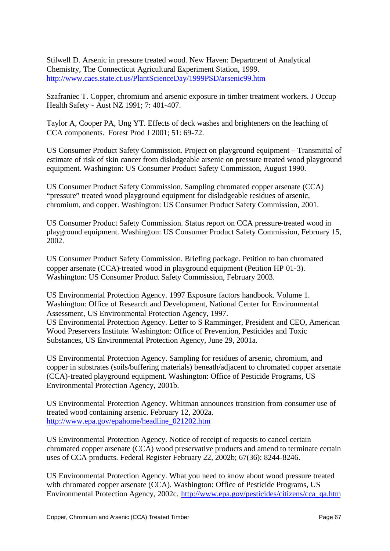Stilwell D. Arsenic in pressure treated wood. New Haven: Department of Analytical Chemistry, The Connecticut Agricultural Experiment Station, 1999. http://www.caes.state.ct.us/PlantScienceDay/1999PSD/arsenic99.htm

Szafraniec T. Copper, chromium and arsenic exposure in timber treatment workers. J Occup Health Safety - Aust NZ 1991; 7: 401-407.

Taylor A, Cooper PA, Ung YT. Effects of deck washes and brighteners on the leaching of CCA components. Forest Prod J 2001; 51: 69-72.

US Consumer Product Safety Commission. Project on playground equipment – Transmittal of estimate of risk of skin cancer from dislodgeable arsenic on pressure treated wood playground equipment. Washington: US Consumer Product Safety Commission, August 1990.

US Consumer Product Safety Commission. Sampling chromated copper arsenate (CCA) "pressure" treated wood playground equipment for dislodgeable residues of arsenic, chromium, and copper. Washington: US Consumer Product Safety Commission, 2001.

US Consumer Product Safety Commission. Status report on CCA pressure-treated wood in playground equipment. Washington: US Consumer Product Safety Commission, February 15, 2002.

US Consumer Product Safety Commission. Briefing package. Petition to ban chromated copper arsenate (CCA)-treated wood in playground equipment (Petition HP 01-3). Washington: US Consumer Product Safety Commission, February 2003.

US Environmental Protection Agency. 1997 Exposure factors handbook. Volume 1. Washington: Office of Research and Development, National Center for Environmental Assessment, US Environmental Protection Agency, 1997. US Environmental Protection Agency. Letter to S Ramminger, President and CEO, American Wood Preservers Institute. Washington: Office of Prevention, Pesticides and Toxic

Substances, US Environmental Protection Agency, June 29, 2001a.

US Environmental Protection Agency. Sampling for residues of arsenic, chromium, and copper in substrates (soils/buffering materials) beneath/adjacent to chromated copper arsenate (CCA)-treated playground equipment. Washington: Office of Pesticide Programs, US Environmental Protection Agency, 2001b.

US Environmental Protection Agency. Whitman announces transition from consumer use of treated wood containing arsenic. February 12, 2002a. http://www.epa.gov/epahome/headline\_021202.htm

US Environmental Protection Agency. Notice of receipt of requests to cancel certain chromated copper arsenate (CCA) wood preservative products and amend to terminate certain uses of CCA products. Federal Register February 22, 2002b; 67(36): 8244-8246.

US Environmental Protection Agency. What you need to know about wood pressure treated with chromated copper arsenate (CCA). Washington: Office of Pesticide Programs, US Environmental Protection Agency, 2002c. http://www.epa.gov/pesticides/citizens/cca\_qa.htm